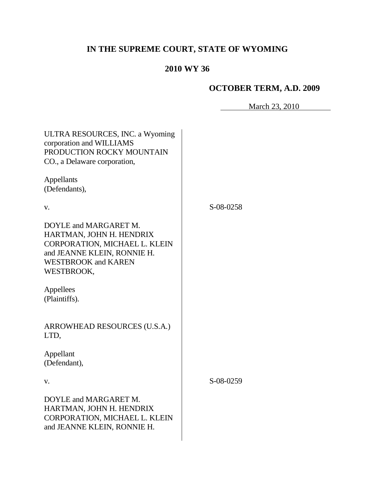# **IN THE SUPREME COURT, STATE OF WYOMING**

# **2010 WY 36**

# **OCTOBER TERM, A.D. 2009**

March 23, 2010

| ULTRA RESOURCES, INC. a Wyoming<br>corporation and WILLIAMS<br>PRODUCTION ROCKY MOUNTAIN<br>CO., a Delaware corporation,                                      |           |
|---------------------------------------------------------------------------------------------------------------------------------------------------------------|-----------|
| Appellants<br>(Defendants),                                                                                                                                   |           |
| V.                                                                                                                                                            | S-08-0258 |
| DOYLE and MARGARET M.<br>HARTMAN, JOHN H. HENDRIX<br>CORPORATION, MICHAEL L. KLEIN<br>and JEANNE KLEIN, RONNIE H.<br><b>WESTBROOK and KAREN</b><br>WESTBROOK, |           |
| Appellees<br>(Plaintiffs).                                                                                                                                    |           |
| ARROWHEAD RESOURCES (U.S.A.)<br>LTD,                                                                                                                          |           |
| Appellant<br>(Defendant),                                                                                                                                     |           |
| V.                                                                                                                                                            | S-08-0259 |
| DOYLE and MARGARET M.<br>HARTMAN, JOHN H. HENDRIX<br>CORPORATION, MICHAEL L. KLEIN<br>and JEANNE KLEIN, RONNIE H.                                             |           |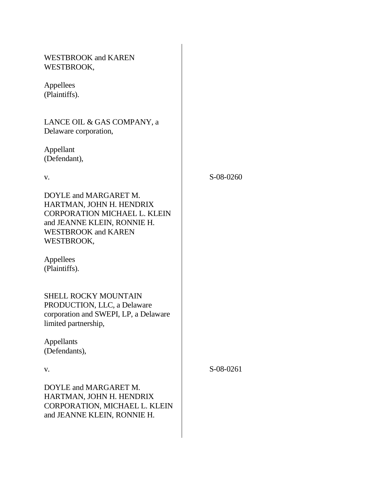| <b>WESTBROOK and KAREN</b><br>WESTBROOK,                                                                                                                     |           |
|--------------------------------------------------------------------------------------------------------------------------------------------------------------|-----------|
| Appellees<br>(Plaintiffs).                                                                                                                                   |           |
| LANCE OIL & GAS COMPANY, a<br>Delaware corporation,                                                                                                          |           |
| Appellant<br>(Defendant),                                                                                                                                    |           |
| V.                                                                                                                                                           | S-08-0260 |
| DOYLE and MARGARET M.<br>HARTMAN, JOHN H. HENDRIX<br>CORPORATION MICHAEL L. KLEIN<br>and JEANNE KLEIN, RONNIE H.<br><b>WESTBROOK and KAREN</b><br>WESTBROOK, |           |
| Appellees<br>(Plaintiffs).                                                                                                                                   |           |
| SHELL ROCKY MOUNTAIN<br>PRODUCTION, LLC, a Delaware<br>corporation and SWEPI, LP, a Delaware<br>limited partnership,                                         |           |
| <b>Appellants</b><br>(Defendants),                                                                                                                           |           |
| V.                                                                                                                                                           | S-08-0261 |
| DOYLE and MARGARET M.<br>HARTMAN, JOHN H. HENDRIX<br>CORPORATION, MICHAEL L. KLEIN<br>and JEANNE KLEIN, RONNIE H.                                            |           |
|                                                                                                                                                              |           |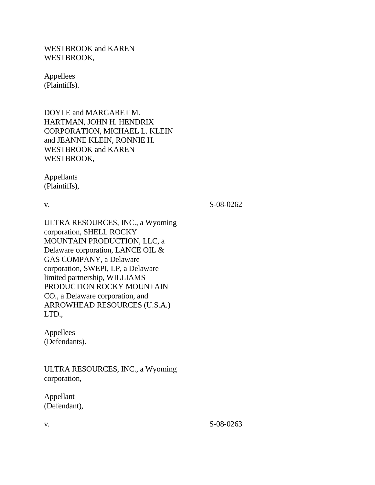| <b>WESTBROOK and KAREN</b><br>WESTBROOK,                                                                                                                                                                                                                                                                                                     |           |
|----------------------------------------------------------------------------------------------------------------------------------------------------------------------------------------------------------------------------------------------------------------------------------------------------------------------------------------------|-----------|
| Appellees<br>(Plaintiffs).                                                                                                                                                                                                                                                                                                                   |           |
| DOYLE and MARGARET M.<br>HARTMAN, JOHN H. HENDRIX<br>CORPORATION, MICHAEL L. KLEIN<br>and JEANNE KLEIN, RONNIE H.<br><b>WESTBROOK and KAREN</b><br>WESTBROOK,                                                                                                                                                                                |           |
| Appellants<br>(Plaintiffs),                                                                                                                                                                                                                                                                                                                  |           |
| V.                                                                                                                                                                                                                                                                                                                                           | S-08-0262 |
| ULTRA RESOURCES, INC., a Wyoming<br>corporation, SHELL ROCKY<br>MOUNTAIN PRODUCTION, LLC, a<br>Delaware corporation, LANCE OIL &<br>GAS COMPANY, a Delaware<br>corporation, SWEPI, LP, a Delaware<br>limited partnership, WILLIAMS<br>PRODUCTION ROCKY MOUNTAIN<br>CO., a Delaware corporation, and<br>ARROWHEAD RESOURCES (U.S.A.)<br>LTD., |           |
| Appellees<br>(Defendants).                                                                                                                                                                                                                                                                                                                   |           |
| ULTRA RESOURCES, INC., a Wyoming<br>corporation,                                                                                                                                                                                                                                                                                             |           |
| Appellant<br>(Defendant),                                                                                                                                                                                                                                                                                                                    |           |
| V.                                                                                                                                                                                                                                                                                                                                           | S-08-0263 |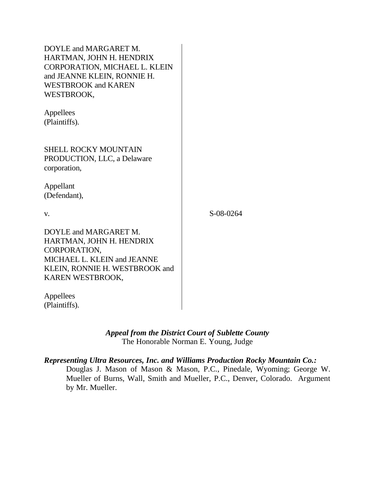| DOYLE and MARGARET M.<br>HARTMAN, JOHN H. HENDRIX<br>CORPORATION, MICHAEL L. KLEIN<br>and JEANNE KLEIN, RONNIE H.<br><b>WESTBROOK and KAREN</b><br>WESTBROOK,<br>Appellees<br>(Plaintiffs). |           |  |
|---------------------------------------------------------------------------------------------------------------------------------------------------------------------------------------------|-----------|--|
| <b>SHELL ROCKY MOUNTAIN</b><br>PRODUCTION, LLC, a Delaware<br>corporation,<br>Appellant                                                                                                     |           |  |
| (Defendant),                                                                                                                                                                                |           |  |
| V.                                                                                                                                                                                          | S-08-0264 |  |
| DOYLE and MARGARET M.<br>HARTMAN, JOHN H. HENDRIX<br>CORPORATION,<br>MICHAEL L. KLEIN and JEANNE<br>KLEIN, RONNIE H. WESTBROOK and<br>KAREN WESTBROOK,                                      |           |  |
| Appellees<br>(Plaintiffs).                                                                                                                                                                  |           |  |

# *Appeal from the District Court of Sublette County* The Honorable Norman E. Young, Judge

# *Representing Ultra Resources, Inc. and Williams Production Rocky Mountain Co.:*

Douglas J. Mason of Mason & Mason, P.C., Pinedale, Wyoming; George W. Mueller of Burns, Wall, Smith and Mueller, P.C., Denver, Colorado. Argument by Mr. Mueller.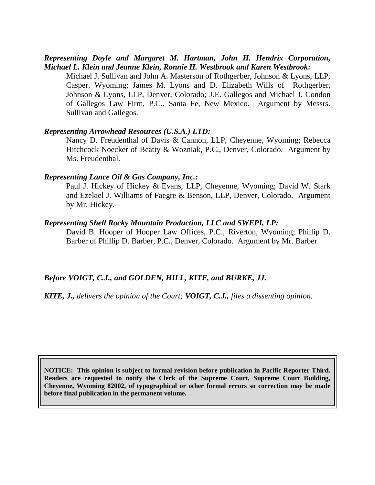# *Representing Doyle and Margaret M. Hartman, John H. Hendrix Corporation, Michael L. Klein and Jeanne Klein, Ronnie H. Westbrook and Karen Westbrook:*

Michael J. Sullivan and John A. Masterson of Rothgerber, Johnson & Lyons, LLP, Casper, Wyoming; James M. Lyons and D. Elizabeth Wills of Rothgerber, Johnson & Lyons, LLP, Denver, Colorado; J.E. Gallegos and Michael J. Condon of Gallegos Law Firm, P.C., Santa Fe, New Mexico. Argument by Messrs. Sullivan and Gallegos.

#### *Representing Arrowhead Resources (U.S.A.) LTD:*

Nancy D. Freudenthal of Davis & Cannon, LLP, Cheyenne, Wyoming; Rebecca Hitchcock Noecker of Beatty & Wozniak, P.C., Denver, Colorado. Argument by Ms. Freudenthal.

#### *Representing Lance Oil & Gas Company, Inc.:*

Paul J. Hickey of Hickey & Evans, LLP, Cheyenne, Wyoming; David W. Stark and Ezekiel J. Williams of Faegre & Benson, LLP, Denver, Colorado. Argument by Mr. Hickey.

#### *Representing Shell Rocky Mountain Production, LLC and SWEPI, LP:*

David B. Hooper of Hooper Law Offices, P.C., Riverton, Wyoming; Phillip D. Barber of Phillip D. Barber, P.C., Denver, Colorado. Argument by Mr. Barber.

# *Before VOIGT, C.J., and GOLDEN, HILL, KITE, and BURKE, JJ.*

*KITE, J., delivers the opinion of the Court; VOIGT, C.J., files a dissenting opinion.*

**NOTICE: This opinion is subject to formal revision before publication in Pacific Reporter Third. Readers are requested to notify the Clerk of the Supreme Court, Supreme Court Building, Cheyenne, Wyoming 82002, of typographical or other formal errors so correction may be made before final publication in the permanent volume.**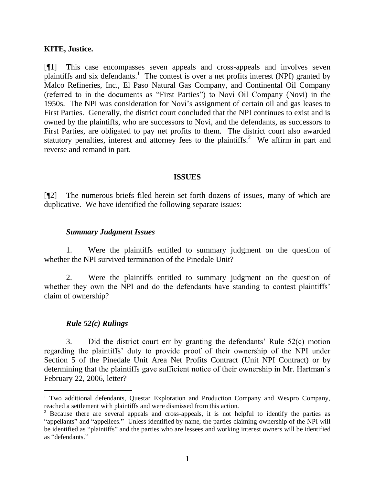### **KITE, Justice.**

[¶1] This case encompasses seven appeals and cross-appeals and involves seven plaintiffs and six defendants.<sup>1</sup> The contest is over a net profits interest (NPI) granted by Malco Refineries, Inc., El Paso Natural Gas Company, and Continental Oil Company (referred to in the documents as "First Parties") to Novi Oil Company (Novi) in the 1950s. The NPI was consideration for Novi's assignment of certain oil and gas leases to First Parties. Generally, the district court concluded that the NPI continues to exist and is owned by the plaintiffs, who are successors to Novi, and the defendants, as successors to First Parties, are obligated to pay net profits to them. The district court also awarded statutory penalties, interest and attorney fees to the plaintiffs.<sup>2</sup> We affirm in part and reverse and remand in part.

#### **ISSUES**

[¶2] The numerous briefs filed herein set forth dozens of issues, many of which are duplicative. We have identified the following separate issues:

#### *Summary Judgment Issues*

1. Were the plaintiffs entitled to summary judgment on the question of whether the NPI survived termination of the Pinedale Unit?

2. Were the plaintiffs entitled to summary judgment on the question of whether they own the NPI and do the defendants have standing to contest plaintiffs' claim of ownership?

### *Rule 52(c) Rulings*

 $\overline{a}$ 

3. Did the district court err by granting the defendants' Rule 52(c) motion regarding the plaintiffs' duty to provide proof of their ownership of the NPI under Section 5 of the Pinedale Unit Area Net Profits Contract (Unit NPI Contract) or by determining that the plaintiffs gave sufficient notice of their ownership in Mr. Hartman's February 22, 2006, letter?

<sup>&</sup>lt;sup>1</sup> Two additional defendants, Questar Exploration and Production Company and Wexpro Company, reached a settlement with plaintiffs and were dismissed from this action.

 $2$  Because there are several appeals and cross-appeals, it is not helpful to identify the parties as "appellants" and "appellees." Unless identified by name, the parties claiming ownership of the NPI will be identified as "plaintiffs" and the parties who are lessees and working interest owners will be identified as "defendants"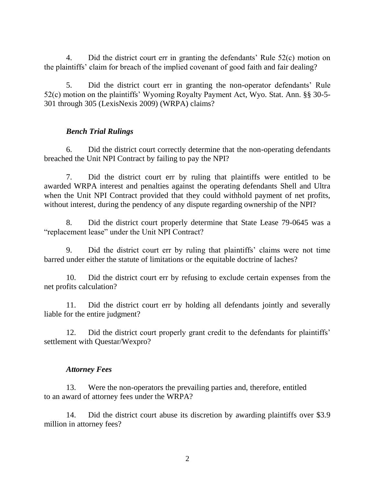4. Did the district court err in granting the defendants' Rule 52(c) motion on the plaintiffs' claim for breach of the implied covenant of good faith and fair dealing?

5. Did the district court err in granting the non-operator defendants' Rule 52(c) motion on the plaintiffs' Wyoming Royalty Payment Act, Wyo. Stat. Ann. §§ 30-5- 301 through 305 (LexisNexis 2009) (WRPA) claims?

### *Bench Trial Rulings*

6. Did the district court correctly determine that the non-operating defendants breached the Unit NPI Contract by failing to pay the NPI?

7. Did the district court err by ruling that plaintiffs were entitled to be awarded WRPA interest and penalties against the operating defendants Shell and Ultra when the Unit NPI Contract provided that they could withhold payment of net profits, without interest, during the pendency of any dispute regarding ownership of the NPI?

8. Did the district court properly determine that State Lease 79-0645 was a "replacement lease" under the Unit NPI Contract?

9. Did the district court err by ruling that plaintiffs' claims were not time barred under either the statute of limitations or the equitable doctrine of laches?

10. Did the district court err by refusing to exclude certain expenses from the net profits calculation?

11. Did the district court err by holding all defendants jointly and severally liable for the entire judgment?

12. Did the district court properly grant credit to the defendants for plaintiffs' settlement with Questar/Wexpro?

### *Attorney Fees*

13. Were the non-operators the prevailing parties and, therefore, entitled to an award of attorney fees under the WRPA?

14. Did the district court abuse its discretion by awarding plaintiffs over \$3.9 million in attorney fees?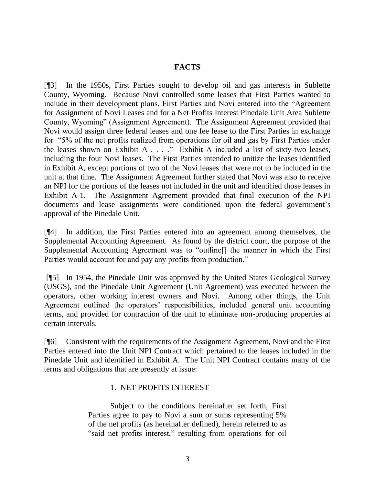## **FACTS**

[¶3] In the 1950s, First Parties sought to develop oil and gas interests in Sublette County, Wyoming. Because Novi controlled some leases that First Parties wanted to include in their development plans, First Parties and Novi entered into the "Agreement" for Assignment of Novi Leases and for a Net Profits Interest Pinedale Unit Area Sublette County, Wyoming" (Assignment Agreement). The Assignment Agreement provided that Novi would assign three federal leases and one fee lease to the First Parties in exchange for "5% of the net profits realized from operations for oil and gas by First Parties under the leases shown on Exhibit A  $\dots$ ." Exhibit A included a list of sixty-two leases, including the four Novi leases. The First Parties intended to unitize the leases identified in Exhibit A, except portions of two of the Novi leases that were not to be included in the unit at that time. The Assignment Agreement further stated that Novi was also to receive an NPI for the portions of the leases not included in the unit and identified those leases in Exhibit A-1. The Assignment Agreement provided that final execution of the NPI documents and lease assignments were conditioned upon the federal government's approval of the Pinedale Unit.

[¶4] In addition, the First Parties entered into an agreement among themselves, the Supplemental Accounting Agreement. As found by the district court, the purpose of the Supplemental Accounting Agreement was to "outline[] the manner in which the First Parties would account for and pay any profits from production."

[¶5] In 1954, the Pinedale Unit was approved by the United States Geological Survey (USGS), and the Pinedale Unit Agreement (Unit Agreement) was executed between the operators, other working interest owners and Novi. Among other things, the Unit Agreement outlined the operators' responsibilities, included general unit accounting terms, and provided for contraction of the unit to eliminate non-producing properties at certain intervals.

[¶6] Consistent with the requirements of the Assignment Agreement, Novi and the First Parties entered into the Unit NPI Contract which pertained to the leases included in the Pinedale Unit and identified in Exhibit A. The Unit NPI Contract contains many of the terms and obligations that are presently at issue:

### 1. NET PROFITS INTEREST –

Subject to the conditions hereinafter set forth, First Parties agree to pay to Novi a sum or sums representing 5% of the net profits (as hereinafter defined), herein referred to as "said net profits interest," resulting from operations for oil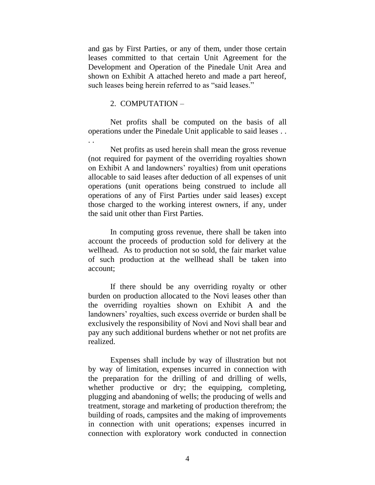and gas by First Parties, or any of them, under those certain leases committed to that certain Unit Agreement for the Development and Operation of the Pinedale Unit Area and shown on Exhibit A attached hereto and made a part hereof, such leases being herein referred to as "said leases."

#### 2. COMPUTATION –

. .

Net profits shall be computed on the basis of all operations under the Pinedale Unit applicable to said leases . .

Net profits as used herein shall mean the gross revenue (not required for payment of the overriding royalties shown on Exhibit A and landowners' royalties) from unit operations allocable to said leases after deduction of all expenses of unit operations (unit operations being construed to include all operations of any of First Parties under said leases) except those charged to the working interest owners, if any, under the said unit other than First Parties.

In computing gross revenue, there shall be taken into account the proceeds of production sold for delivery at the wellhead. As to production not so sold, the fair market value of such production at the wellhead shall be taken into account;

If there should be any overriding royalty or other burden on production allocated to the Novi leases other than the overriding royalties shown on Exhibit A and the landowners' royalties, such excess override or burden shall be exclusively the responsibility of Novi and Novi shall bear and pay any such additional burdens whether or not net profits are realized.

Expenses shall include by way of illustration but not by way of limitation, expenses incurred in connection with the preparation for the drilling of and drilling of wells, whether productive or dry; the equipping, completing, plugging and abandoning of wells; the producing of wells and treatment, storage and marketing of production therefrom; the building of roads, campsites and the making of improvements in connection with unit operations; expenses incurred in connection with exploratory work conducted in connection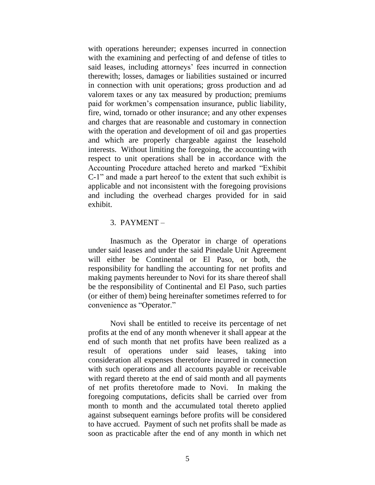with operations hereunder; expenses incurred in connection with the examining and perfecting of and defense of titles to said leases, including attorneys' fees incurred in connection therewith; losses, damages or liabilities sustained or incurred in connection with unit operations; gross production and ad valorem taxes or any tax measured by production; premiums paid for workmen's compensation insurance, public liability, fire, wind, tornado or other insurance; and any other expenses and charges that are reasonable and customary in connection with the operation and development of oil and gas properties and which are properly chargeable against the leasehold interests. Without limiting the foregoing, the accounting with respect to unit operations shall be in accordance with the Accounting Procedure attached hereto and marked "Exhibit" C-1" and made a part hereof to the extent that such exhibit is applicable and not inconsistent with the foregoing provisions and including the overhead charges provided for in said exhibit.

#### 3. PAYMENT –

Inasmuch as the Operator in charge of operations under said leases and under the said Pinedale Unit Agreement will either be Continental or El Paso, or both, the responsibility for handling the accounting for net profits and making payments hereunder to Novi for its share thereof shall be the responsibility of Continental and El Paso, such parties (or either of them) being hereinafter sometimes referred to for convenience as "Operator."

Novi shall be entitled to receive its percentage of net profits at the end of any month whenever it shall appear at the end of such month that net profits have been realized as a result of operations under said leases, taking into consideration all expenses theretofore incurred in connection with such operations and all accounts payable or receivable with regard thereto at the end of said month and all payments of net profits theretofore made to Novi. In making the foregoing computations, deficits shall be carried over from month to month and the accumulated total thereto applied against subsequent earnings before profits will be considered to have accrued. Payment of such net profits shall be made as soon as practicable after the end of any month in which net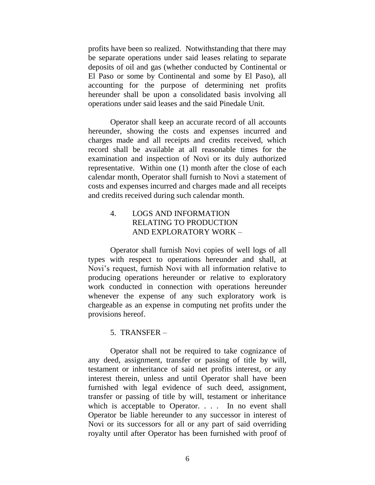profits have been so realized. Notwithstanding that there may be separate operations under said leases relating to separate deposits of oil and gas (whether conducted by Continental or El Paso or some by Continental and some by El Paso), all accounting for the purpose of determining net profits hereunder shall be upon a consolidated basis involving all operations under said leases and the said Pinedale Unit.

Operator shall keep an accurate record of all accounts hereunder, showing the costs and expenses incurred and charges made and all receipts and credits received, which record shall be available at all reasonable times for the examination and inspection of Novi or its duly authorized representative. Within one (1) month after the close of each calendar month, Operator shall furnish to Novi a statement of costs and expenses incurred and charges made and all receipts and credits received during such calendar month.

# 4. LOGS AND INFORMATION RELATING TO PRODUCTION AND EXPLORATORY WORK –

Operator shall furnish Novi copies of well logs of all types with respect to operations hereunder and shall, at Novi's request, furnish Novi with all information relative to producing operations hereunder or relative to exploratory work conducted in connection with operations hereunder whenever the expense of any such exploratory work is chargeable as an expense in computing net profits under the provisions hereof.

### 5. TRANSFER –

Operator shall not be required to take cognizance of any deed, assignment, transfer or passing of title by will, testament or inheritance of said net profits interest, or any interest therein, unless and until Operator shall have been furnished with legal evidence of such deed, assignment, transfer or passing of title by will, testament or inheritance which is acceptable to Operator. . . . In no event shall Operator be liable hereunder to any successor in interest of Novi or its successors for all or any part of said overriding royalty until after Operator has been furnished with proof of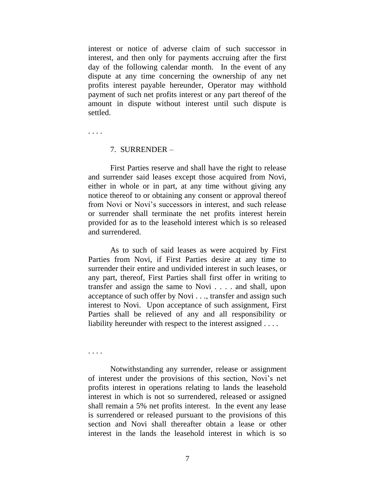interest or notice of adverse claim of such successor in interest, and then only for payments accruing after the first day of the following calendar month. In the event of any dispute at any time concerning the ownership of any net profits interest payable hereunder, Operator may withhold payment of such net profits interest or any part thereof of the amount in dispute without interest until such dispute is settled.

. . . .

#### 7. SURRENDER –

First Parties reserve and shall have the right to release and surrender said leases except those acquired from Novi, either in whole or in part, at any time without giving any notice thereof to or obtaining any consent or approval thereof from Novi or Novi's successors in interest, and such release or surrender shall terminate the net profits interest herein provided for as to the leasehold interest which is so released and surrendered.

As to such of said leases as were acquired by First Parties from Novi, if First Parties desire at any time to surrender their entire and undivided interest in such leases, or any part, thereof, First Parties shall first offer in writing to transfer and assign the same to Novi . . . . and shall, upon acceptance of such offer by Novi . . ., transfer and assign such interest to Novi. Upon acceptance of such assignment, First Parties shall be relieved of any and all responsibility or liability hereunder with respect to the interest assigned . . . .

. . . .

Notwithstanding any surrender, release or assignment of interest under the provisions of this section, Novi's net profits interest in operations relating to lands the leasehold interest in which is not so surrendered, released or assigned shall remain a 5% net profits interest. In the event any lease is surrendered or released pursuant to the provisions of this section and Novi shall thereafter obtain a lease or other interest in the lands the leasehold interest in which is so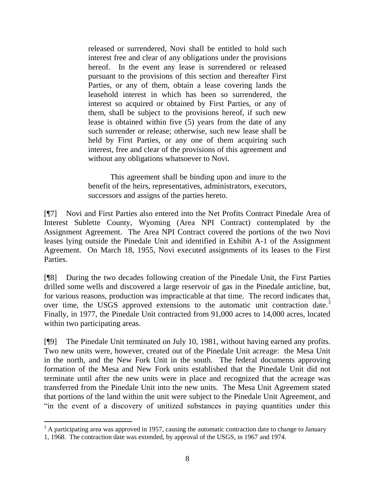released or surrendered, Novi shall be entitled to hold such interest free and clear of any obligations under the provisions hereof. In the event any lease is surrendered or released pursuant to the provisions of this section and thereafter First Parties, or any of them, obtain a lease covering lands the leasehold interest in which has been so surrendered, the interest so acquired or obtained by First Parties, or any of them, shall be subject to the provisions hereof, if such new lease is obtained within five (5) years from the date of any such surrender or release; otherwise, such new lease shall be held by First Parties, or any one of them acquiring such interest, free and clear of the provisions of this agreement and without any obligations whatsoever to Novi.

This agreement shall be binding upon and inure to the benefit of the heirs, representatives, administrators, executors, successors and assigns of the parties hereto.

[¶7] Novi and First Parties also entered into the Net Profits Contract Pinedale Area of Interest Sublette County, Wyoming (Area NPI Contract) contemplated by the Assignment Agreement. The Area NPI Contract covered the portions of the two Novi leases lying outside the Pinedale Unit and identified in Exhibit A-1 of the Assignment Agreement. On March 18, 1955, Novi executed assignments of its leases to the First Parties.

[¶8] During the two decades following creation of the Pinedale Unit, the First Parties drilled some wells and discovered a large reservoir of gas in the Pinedale anticline, but, for various reasons, production was impracticable at that time. The record indicates that, over time, the USGS approved extensions to the automatic unit contraction date.<sup>3</sup> Finally, in 1977, the Pinedale Unit contracted from 91,000 acres to 14,000 acres, located within two participating areas.

[¶9] The Pinedale Unit terminated on July 10, 1981, without having earned any profits. Two new units were, however, created out of the Pinedale Unit acreage: the Mesa Unit in the north, and the New Fork Unit in the south. The federal documents approving formation of the Mesa and New Fork units established that the Pinedale Unit did not terminate until after the new units were in place and recognized that the acreage was transferred from the Pinedale Unit into the new units. The Mesa Unit Agreement stated that portions of the land within the unit were subject to the Pinedale Unit Agreement, and ―in the event of a discovery of unitized substances in paying quantities under this

 $\overline{a}$  $3$  A participating area was approved in 1957, causing the automatic contraction date to change to January 1, 1968. The contraction date was extended, by approval of the USGS, in 1967 and 1974.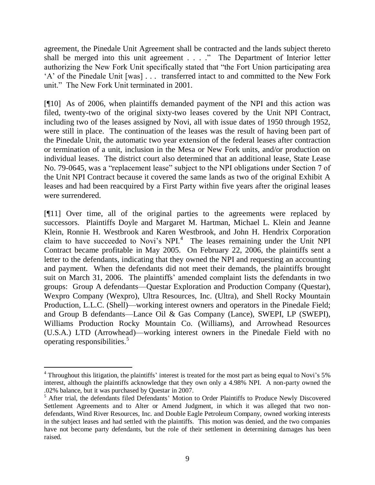agreement, the Pinedale Unit Agreement shall be contracted and the lands subject thereto shall be merged into this unit agreement  $\dots$ . The Department of Interior letter authorizing the New Fork Unit specifically stated that "the Fort Union participating area ‗A' of the Pinedale Unit [was] . . . transferred intact to and committed to the New Fork unit." The New Fork Unit terminated in 2001.

[¶10] As of 2006, when plaintiffs demanded payment of the NPI and this action was filed, twenty-two of the original sixty-two leases covered by the Unit NPI Contract, including two of the leases assigned by Novi, all with issue dates of 1950 through 1952, were still in place. The continuation of the leases was the result of having been part of the Pinedale Unit, the automatic two year extension of the federal leases after contraction or termination of a unit, inclusion in the Mesa or New Fork units, and/or production on individual leases. The district court also determined that an additional lease, State Lease No. 79-0645, was a "replacement lease" subject to the NPI obligations under Section 7 of the Unit NPI Contract because it covered the same lands as two of the original Exhibit A leases and had been reacquired by a First Party within five years after the original leases were surrendered.

[¶11] Over time, all of the original parties to the agreements were replaced by successors. Plaintiffs Doyle and Margaret M. Hartman, Michael L. Klein and Jeanne Klein, Ronnie H. Westbrook and Karen Westbrook, and John H. Hendrix Corporation claim to have succeeded to Novi's  $NPL<sup>4</sup>$  The leases remaining under the Unit NPI Contract became profitable in May 2005. On February 22, 2006, the plaintiffs sent a letter to the defendants, indicating that they owned the NPI and requesting an accounting and payment. When the defendants did not meet their demands, the plaintiffs brought suit on March 31, 2006. The plaintiffs' amended complaint lists the defendants in two groups: Group A defendants—Questar Exploration and Production Company (Questar), Wexpro Company (Wexpro), Ultra Resources, Inc. (Ultra), and Shell Rocky Mountain Production, L.L.C. (Shell)—working interest owners and operators in the Pinedale Field; and Group B defendants—Lance Oil & Gas Company (Lance), SWEPI, LP (SWEPI), Williams Production Rocky Mountain Co. (Williams), and Arrowhead Resources (U.S.A.) LTD (Arrowhead)—working interest owners in the Pinedale Field with no operating responsibilities.<sup>5</sup>

 $\overline{a}$ 

<sup>&</sup>lt;sup>4</sup> Throughout this litigation, the plaintiffs' interest is treated for the most part as being equal to Novi's 5% interest, although the plaintiffs acknowledge that they own only a 4.98% NPI. A non-party owned the .02% balance, but it was purchased by Questar in 2007.

<sup>&</sup>lt;sup>5</sup> After trial, the defendants filed Defendants' Motion to Order Plaintiffs to Produce Newly Discovered Settlement Agreements and to Alter or Amend Judgment, in which it was alleged that two nondefendants, Wind River Resources, Inc. and Double Eagle Petroleum Company, owned working interests in the subject leases and had settled with the plaintiffs. This motion was denied, and the two companies have not become party defendants, but the role of their settlement in determining damages has been raised.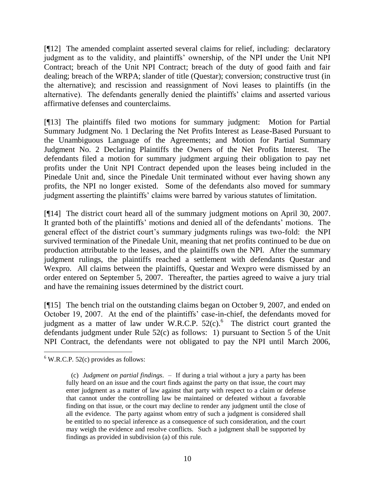[¶12] The amended complaint asserted several claims for relief, including: declaratory judgment as to the validity, and plaintiffs' ownership, of the NPI under the Unit NPI Contract; breach of the Unit NPI Contract; breach of the duty of good faith and fair dealing; breach of the WRPA; slander of title (Questar); conversion; constructive trust (in the alternative); and rescission and reassignment of Novi leases to plaintiffs (in the alternative). The defendants generally denied the plaintiffs' claims and asserted various affirmative defenses and counterclaims.

[¶13] The plaintiffs filed two motions for summary judgment: Motion for Partial Summary Judgment No. 1 Declaring the Net Profits Interest as Lease-Based Pursuant to the Unambiguous Language of the Agreements; and Motion for Partial Summary Judgment No. 2 Declaring Plaintiffs the Owners of the Net Profits Interest. The defendants filed a motion for summary judgment arguing their obligation to pay net profits under the Unit NPI Contract depended upon the leases being included in the Pinedale Unit and, since the Pinedale Unit terminated without ever having shown any profits, the NPI no longer existed. Some of the defendants also moved for summary judgment asserting the plaintiffs' claims were barred by various statutes of limitation.

[¶14] The district court heard all of the summary judgment motions on April 30, 2007. It granted both of the plaintiffs' motions and denied all of the defendants' motions. The general effect of the district court's summary judgments rulings was two-fold: the NPI survived termination of the Pinedale Unit, meaning that net profits continued to be due on production attributable to the leases, and the plaintiffs own the NPI. After the summary judgment rulings, the plaintiffs reached a settlement with defendants Questar and Wexpro. All claims between the plaintiffs, Questar and Wexpro were dismissed by an order entered on September 5, 2007. Thereafter, the parties agreed to waive a jury trial and have the remaining issues determined by the district court.

[¶15] The bench trial on the outstanding claims began on October 9, 2007, and ended on October 19, 2007. At the end of the plaintiffs' case-in-chief, the defendants moved for judgment as a matter of law under W.R.C.P.  $52(c)$ .<sup>6</sup> The district court granted the defendants judgment under Rule 52(c) as follows: 1) pursuant to Section 5 of the Unit NPI Contract, the defendants were not obligated to pay the NPI until March 2006,

 $\overline{a}$  $6$  W.R.C.P. 52(c) provides as follows:

 <sup>(</sup>c) *Judgment on partial findings*. – If during a trial without a jury a party has been fully heard on an issue and the court finds against the party on that issue, the court may enter judgment as a matter of law against that party with respect to a claim or defense that cannot under the controlling law be maintained or defeated without a favorable finding on that issue, or the court may decline to render any judgment until the close of all the evidence. The party against whom entry of such a judgment is considered shall be entitled to no special inference as a consequence of such consideration, and the court may weigh the evidence and resolve conflicts. Such a judgment shall be supported by findings as provided in subdivision (a) of this rule.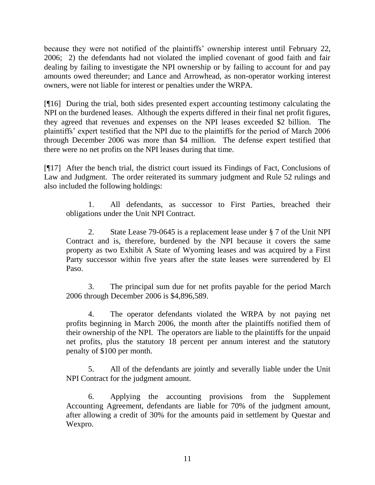because they were not notified of the plaintiffs' ownership interest until February 22, 2006; 2) the defendants had not violated the implied covenant of good faith and fair dealing by failing to investigate the NPI ownership or by failing to account for and pay amounts owed thereunder; and Lance and Arrowhead, as non-operator working interest owners, were not liable for interest or penalties under the WRPA.

[¶16] During the trial, both sides presented expert accounting testimony calculating the NPI on the burdened leases. Although the experts differed in their final net profit figures, they agreed that revenues and expenses on the NPI leases exceeded \$2 billion. The plaintiffs' expert testified that the NPI due to the plaintiffs for the period of March 2006 through December 2006 was more than \$4 million. The defense expert testified that there were no net profits on the NPI leases during that time.

[¶17] After the bench trial, the district court issued its Findings of Fact, Conclusions of Law and Judgment. The order reiterated its summary judgment and Rule 52 rulings and also included the following holdings:

1. All defendants, as successor to First Parties, breached their obligations under the Unit NPI Contract.

2. State Lease 79-0645 is a replacement lease under § 7 of the Unit NPI Contract and is, therefore, burdened by the NPI because it covers the same property as two Exhibit A State of Wyoming leases and was acquired by a First Party successor within five years after the state leases were surrendered by El Paso.

3. The principal sum due for net profits payable for the period March 2006 through December 2006 is \$4,896,589.

4. The operator defendants violated the WRPA by not paying net profits beginning in March 2006, the month after the plaintiffs notified them of their ownership of the NPI. The operators are liable to the plaintiffs for the unpaid net profits, plus the statutory 18 percent per annum interest and the statutory penalty of \$100 per month.

5. All of the defendants are jointly and severally liable under the Unit NPI Contract for the judgment amount.

6. Applying the accounting provisions from the Supplement Accounting Agreement, defendants are liable for 70% of the judgment amount, after allowing a credit of 30% for the amounts paid in settlement by Questar and Wexpro.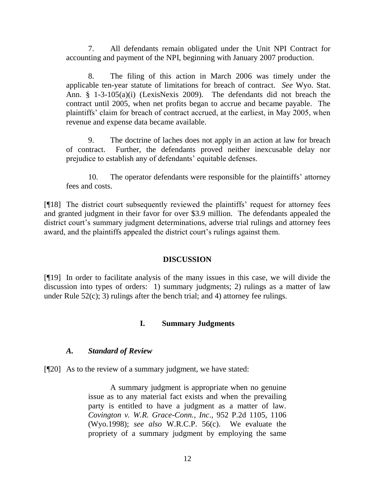7. All defendants remain obligated under the Unit NPI Contract for accounting and payment of the NPI, beginning with January 2007 production.

8. The filing of this action in March 2006 was timely under the applicable ten-year statute of limitations for breach of contract. *See* Wyo. Stat. Ann. § 1-3-105(a)(i) (LexisNexis 2009). The defendants did not breach the contract until 2005, when net profits began to accrue and became payable. The plaintiffs' claim for breach of contract accrued, at the earliest, in May 2005, when revenue and expense data became available.

9. The doctrine of laches does not apply in an action at law for breach of contract. Further, the defendants proved neither inexcusable delay nor prejudice to establish any of defendants' equitable defenses.

10. The operator defendants were responsible for the plaintiffs' attorney fees and costs.

[¶18] The district court subsequently reviewed the plaintiffs' request for attorney fees and granted judgment in their favor for over \$3.9 million. The defendants appealed the district court's summary judgment determinations, adverse trial rulings and attorney fees award, and the plaintiffs appealed the district court's rulings against them.

# **DISCUSSION**

[¶19] In order to facilitate analysis of the many issues in this case, we will divide the discussion into types of orders: 1) summary judgments; 2) rulings as a matter of law under Rule 52(c); 3) rulings after the bench trial; and 4) attorney fee rulings.

# **I. Summary Judgments**

### *A. Standard of Review*

[¶20] As to the review of a summary judgment, we have stated:

A summary judgment is appropriate when no genuine issue as to any material fact exists and when the prevailing party is entitled to have a judgment as a matter of law. *Covington v. W.R. Grace-Conn., Inc*., 952 P.2d 1105, 1106 (Wyo.1998); *see also* W.R.C.P. 56(c). We evaluate the propriety of a summary judgment by employing the same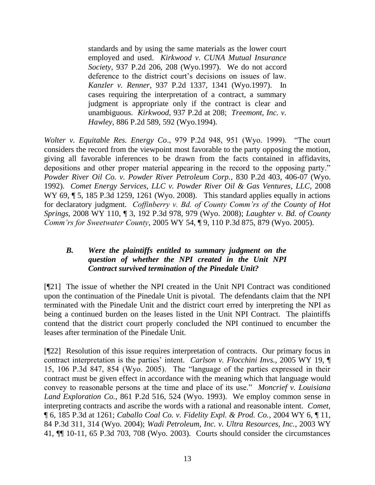standards and by using the same materials as the lower court employed and used. *Kirkwood v. CUNA Mutual Insurance Society*, 937 P.2d 206, 208 (Wyo.1997). We do not accord deference to the district court's decisions on issues of law. *Kanzler v. Renner*, 937 P.2d 1337, 1341 (Wyo.1997). In cases requiring the interpretation of a contract, a summary judgment is appropriate only if the contract is clear and unambiguous. *Kirkwood*, 937 P.2d at 208; *Treemont, Inc. v. Hawley*, 886 P.2d 589, 592 (Wyo.1994).

*Wolter v. Equitable Res. Energy Co.*, 979 P.2d 948, 951 (Wyo. 1999). "The court considers the record from the viewpoint most favorable to the party opposing the motion, giving all favorable inferences to be drawn from the facts contained in affidavits, depositions and other proper material appearing in the record to the opposing party." *Powder River Oil Co. v. Powder River Petroleum Corp.*, 830 P.2d 403, 406-07 (Wyo. 1992). *Comet Energy Services, LLC v. Powder River Oil & Gas Ventures, LLC*, 2008 WY 69,  $\parallel$  5, 185 P.3d 1259, 1261 (Wyo. 2008). This standard applies equally in actions for declaratory judgment. *Coffinberry v. Bd. of County Comm'rs of the County of Hot Springs*, 2008 WY 110, ¶ 3, 192 P.3d 978, 979 (Wyo. 2008); *Laughter v. Bd. of County Comm'rs for Sweetwater County*, 2005 WY 54, ¶ 9, 110 P.3d 875, 879 (Wyo. 2005).

# *B. Were the plaintiffs entitled to summary judgment on the question of whether the NPI created in the Unit NPI Contract survived termination of the Pinedale Unit?*

[¶21] The issue of whether the NPI created in the Unit NPI Contract was conditioned upon the continuation of the Pinedale Unit is pivotal. The defendants claim that the NPI terminated with the Pinedale Unit and the district court erred by interpreting the NPI as being a continued burden on the leases listed in the Unit NPI Contract. The plaintiffs contend that the district court properly concluded the NPI continued to encumber the leases after termination of the Pinedale Unit.

[¶22] Resolution of this issue requires interpretation of contracts. Our primary focus in contract interpretation is the parties' intent. *Carlson v. Flocchini Invs.*, 2005 WY 19, ¶ 15, 106 P.3d 847, 854 (Wyo. 2005). The "language of the parties expressed in their contract must be given effect in accordance with the meaning which that language would convey to reasonable persons at the time and place of its use." *Moncrief v. Louisiana Land Exploration Co.*, 861 P.2d 516, 524 (Wyo. 1993). We employ common sense in interpreting contracts and ascribe the words with a rational and reasonable intent. *Comet,*  ¶ 6, 185 P.3d at 1261; *Caballo Coal Co. v. Fidelity Expl. & Prod. Co.*, 2004 WY 6, ¶ 11, 84 P.3d 311, 314 (Wyo. 2004); *Wadi Petroleum, Inc. v. Ultra Resources, Inc.*, 2003 WY 41, ¶¶ 10-11, 65 P.3d 703, 708 (Wyo. 2003). Courts should consider the circumstances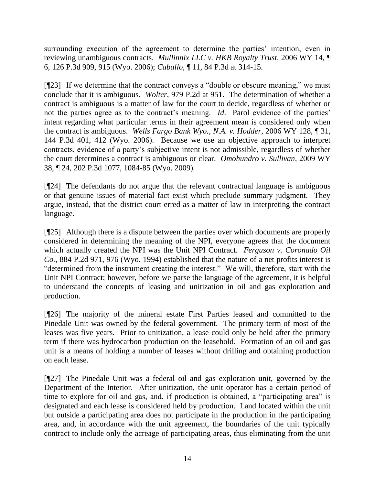surrounding execution of the agreement to determine the parties' intention, even in reviewing unambiguous contracts. *Mullinnix LLC v. HKB Royalty Trust*, 2006 WY 14, ¶ 6, 126 P.3d 909, 915 (Wyo. 2006); *Caballo*, ¶ 11, 84 P.3d at 314-15.

 $[$ [[23] If we determine that the contract conveys a "double or obscure meaning," we must conclude that it is ambiguous. *Wolter*, 979 P.2d at 951. The determination of whether a contract is ambiguous is a matter of law for the court to decide, regardless of whether or not the parties agree as to the contract's meaning. *Id*. Parol evidence of the parties' intent regarding what particular terms in their agreement mean is considered only when the contract is ambiguous. *Wells Fargo Bank Wyo., N.A. v. Hodder,* 2006 WY 128, ¶ 31, 144 P.3d 401, 412 (Wyo. 2006).Because we use an objective approach to interpret contracts, evidence of a party's subjective intent is not admissible, regardless of whether the court determines a contract is ambiguous or clear. *Omohundro v. Sullivan,* 2009 WY 38, ¶ 24, 202 P.3d 1077, 1084-85 (Wyo. 2009).

[¶24] The defendants do not argue that the relevant contractual language is ambiguous or that genuine issues of material fact exist which preclude summary judgment. They argue, instead, that the district court erred as a matter of law in interpreting the contract language.

[¶25] Although there is a dispute between the parties over which documents are properly considered in determining the meaning of the NPI, everyone agrees that the document which actually created the NPI was the Unit NPI Contract. *Ferguson v. Coronado Oil Co.,* 884 P.2d 971, 976 (Wyo. 1994) established that the nature of a net profits interest is "determined from the instrument creating the interest." We will, therefore, start with the Unit NPI Contract; however, before we parse the language of the agreement, it is helpful to understand the concepts of leasing and unitization in oil and gas exploration and production.

[¶26] The majority of the mineral estate First Parties leased and committed to the Pinedale Unit was owned by the federal government. The primary term of most of the leases was five years. Prior to unitization, a lease could only be held after the primary term if there was hydrocarbon production on the leasehold. Formation of an oil and gas unit is a means of holding a number of leases without drilling and obtaining production on each lease.

[¶27] The Pinedale Unit was a federal oil and gas exploration unit, governed by the Department of the Interior. After unitization, the unit operator has a certain period of time to explore for oil and gas, and, if production is obtained, a "participating area" is designated and each lease is considered held by production. Land located within the unit but outside a participating area does not participate in the production in the participating area, and, in accordance with the unit agreement, the boundaries of the unit typically contract to include only the acreage of participating areas, thus eliminating from the unit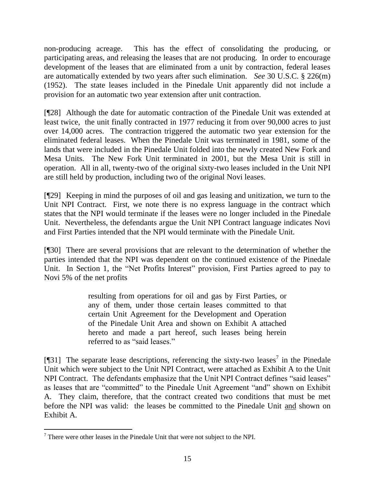non-producing acreage. This has the effect of consolidating the producing, or participating areas, and releasing the leases that are not producing. In order to encourage development of the leases that are eliminated from a unit by contraction, federal leases are automatically extended by two years after such elimination. *See* 30 U.S.C. § 226(m) (1952). The state leases included in the Pinedale Unit apparently did not include a provision for an automatic two year extension after unit contraction.

[¶28] Although the date for automatic contraction of the Pinedale Unit was extended at least twice, the unit finally contracted in 1977 reducing it from over 90,000 acres to just over 14,000 acres. The contraction triggered the automatic two year extension for the eliminated federal leases. When the Pinedale Unit was terminated in 1981, some of the lands that were included in the Pinedale Unit folded into the newly created New Fork and Mesa Units. The New Fork Unit terminated in 2001, but the Mesa Unit is still in operation. All in all, twenty-two of the original sixty-two leases included in the Unit NPI are still held by production, including two of the original Novi leases.

[¶29] Keeping in mind the purposes of oil and gas leasing and unitization, we turn to the Unit NPI Contract. First, we note there is no express language in the contract which states that the NPI would terminate if the leases were no longer included in the Pinedale Unit. Nevertheless, the defendants argue the Unit NPI Contract language indicates Novi and First Parties intended that the NPI would terminate with the Pinedale Unit.

[¶30] There are several provisions that are relevant to the determination of whether the parties intended that the NPI was dependent on the continued existence of the Pinedale Unit. In Section 1, the "Net Profits Interest" provision, First Parties agreed to pay to Novi 5% of the net profits

> resulting from operations for oil and gas by First Parties, or any of them, under those certain leases committed to that certain Unit Agreement for the Development and Operation of the Pinedale Unit Area and shown on Exhibit A attached hereto and made a part hereof, such leases being herein referred to as "said leases."

[ $[$ ]31] The separate lease descriptions, referencing the sixty-two leases<sup>7</sup> in the Pinedale Unit which were subject to the Unit NPI Contract, were attached as Exhibit A to the Unit NPI Contract. The defendants emphasize that the Unit NPI Contract defines "said leases" as leases that are "committed" to the Pinedale Unit Agreement "and" shown on Exhibit A. They claim, therefore, that the contract created two conditions that must be met before the NPI was valid: the leases be committed to the Pinedale Unit and shown on Exhibit A.

 $\overline{a}$  $<sup>7</sup>$  There were other leases in the Pinedale Unit that were not subject to the NPI.</sup>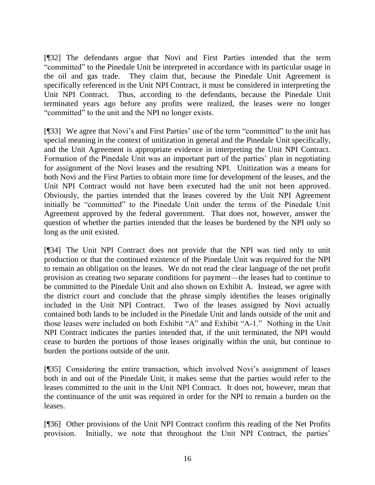[¶32] The defendants argue that Novi and First Parties intended that the term ―committed‖ to the Pinedale Unit be interpreted in accordance with its particular usage in the oil and gas trade. They claim that, because the Pinedale Unit Agreement is specifically referenced in the Unit NPI Contract, it must be considered in interpreting the Unit NPI Contract. Thus, according to the defendants, because the Pinedale Unit terminated years ago before any profits were realized, the leases were no longer ―committed‖ to the unit and the NPI no longer exists.

[¶33] We agree that Novi's and First Parties' use of the term "committed" to the unit has special meaning in the context of unitization in general and the Pinedale Unit specifically, and the Unit Agreement is appropriate evidence in interpreting the Unit NPI Contract. Formation of the Pinedale Unit was an important part of the parties' plan in negotiating for assignment of the Novi leases and the resulting NPI. Unitization was a means for both Novi and the First Parties to obtain more time for development of the leases, and the Unit NPI Contract would not have been executed had the unit not been approved. Obviously, the parties intended that the leases covered by the Unit NPI Agreement initially be "committed" to the Pinedale Unit under the terms of the Pinedale Unit Agreement approved by the federal government. That does not, however, answer the question of whether the parties intended that the leases be burdened by the NPI only so long as the unit existed.

[¶34] The Unit NPI Contract does not provide that the NPI was tied only to unit production or that the continued existence of the Pinedale Unit was required for the NPI to remain an obligation on the leases. We do not read the clear language of the net profit provision as creating two separate conditions for payment—the leases had to continue to be committed to the Pinedale Unit and also shown on Exhibit A. Instead, we agree with the district court and conclude that the phrase simply identifies the leases originally included in the Unit NPI Contract. Two of the leases assigned by Novi actually contained both lands to be included in the Pinedale Unit and lands outside of the unit and those leases were included on both Exhibit "A" and Exhibit "A-1." Nothing in the Unit NPI Contract indicates the parties intended that, if the unit terminated, the NPI would cease to burden the portions of those leases originally within the unit, but continue to burden the portions outside of the unit.

[¶35] Considering the entire transaction, which involved Novi's assignment of leases both in and out of the Pinedale Unit, it makes sense that the parties would refer to the leases committed to the unit in the Unit NPI Contract. It does not, however, mean that the continuance of the unit was required in order for the NPI to remain a burden on the leases.

[¶36] Other provisions of the Unit NPI Contract confirm this reading of the Net Profits provision. Initially, we note that throughout the Unit NPI Contract, the parties'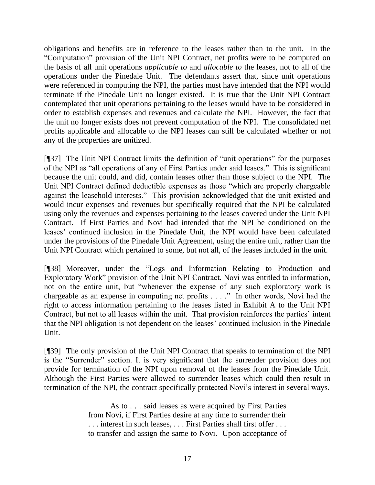obligations and benefits are in reference to the leases rather than to the unit. In the ―Computation‖ provision of the Unit NPI Contract, net profits were to be computed on the basis of all unit operations *applicable to* and *allocable to* the leases, not to all of the operations under the Pinedale Unit. The defendants assert that, since unit operations were referenced in computing the NPI, the parties must have intended that the NPI would terminate if the Pinedale Unit no longer existed. It is true that the Unit NPI Contract contemplated that unit operations pertaining to the leases would have to be considered in order to establish expenses and revenues and calculate the NPI. However, the fact that the unit no longer exists does not prevent computation of the NPI. The consolidated net profits applicable and allocable to the NPI leases can still be calculated whether or not any of the properties are unitized.

[¶37] The Unit NPI Contract limits the definition of "unit operations" for the purposes of the NPI as "all operations of any of First Parties under said leases." This is significant because the unit could, and did, contain leases other than those subject to the NPI. The Unit NPI Contract defined deductible expenses as those "which are properly chargeable against the leasehold interests." This provision acknowledged that the unit existed and would incur expenses and revenues but specifically required that the NPI be calculated using only the revenues and expenses pertaining to the leases covered under the Unit NPI Contract. If First Parties and Novi had intended that the NPI be conditioned on the leases' continued inclusion in the Pinedale Unit, the NPI would have been calculated under the provisions of the Pinedale Unit Agreement, using the entire unit, rather than the Unit NPI Contract which pertained to some, but not all, of the leases included in the unit.

[¶38] Moreover, under the "Logs and Information Relating to Production and Exploratory Work" provision of the Unit NPI Contract, Novi was entitled to information, not on the entire unit, but "whenever the expense of any such exploratory work is chargeable as an expense in computing net profits  $\dots$ ." In other words, Novi had the right to access information pertaining to the leases listed in Exhibit A to the Unit NPI Contract, but not to all leases within the unit. That provision reinforces the parties' intent that the NPI obligation is not dependent on the leases' continued inclusion in the Pinedale Unit.

[¶39] The only provision of the Unit NPI Contract that speaks to termination of the NPI is the "Surrender" section. It is very significant that the surrender provision does not provide for termination of the NPI upon removal of the leases from the Pinedale Unit. Although the First Parties were allowed to surrender leases which could then result in termination of the NPI, the contract specifically protected Novi's interest in several ways.

> As to . . . said leases as were acquired by First Parties from Novi, if First Parties desire at any time to surrender their . . . interest in such leases, . . . First Parties shall first offer . . . to transfer and assign the same to Novi. Upon acceptance of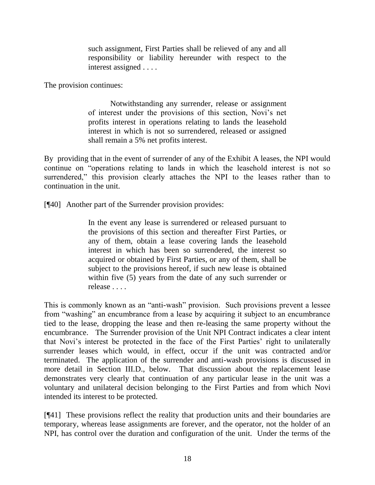such assignment, First Parties shall be relieved of any and all responsibility or liability hereunder with respect to the interest assigned . . . .

The provision continues:

Notwithstanding any surrender, release or assignment of interest under the provisions of this section, Novi's net profits interest in operations relating to lands the leasehold interest in which is not so surrendered, released or assigned shall remain a 5% net profits interest.

By providing that in the event of surrender of any of the Exhibit A leases, the NPI would continue on "operations relating to lands in which the leasehold interest is not so surrendered," this provision clearly attaches the NPI to the leases rather than to continuation in the unit.

[¶40] Another part of the Surrender provision provides:

In the event any lease is surrendered or released pursuant to the provisions of this section and thereafter First Parties, or any of them, obtain a lease covering lands the leasehold interest in which has been so surrendered, the interest so acquired or obtained by First Parties, or any of them, shall be subject to the provisions hereof, if such new lease is obtained within five (5) years from the date of any such surrender or release . . . .

This is commonly known as an "anti-wash" provision. Such provisions prevent a lessee from "washing" an encumbrance from a lease by acquiring it subject to an encumbrance tied to the lease, dropping the lease and then re-leasing the same property without the encumbrance. The Surrender provision of the Unit NPI Contract indicates a clear intent that Novi's interest be protected in the face of the First Parties' right to unilaterally surrender leases which would, in effect, occur if the unit was contracted and/or terminated. The application of the surrender and anti-wash provisions is discussed in more detail in Section III.D., below. That discussion about the replacement lease demonstrates very clearly that continuation of any particular lease in the unit was a voluntary and unilateral decision belonging to the First Parties and from which Novi intended its interest to be protected.

[¶41] These provisions reflect the reality that production units and their boundaries are temporary, whereas lease assignments are forever, and the operator, not the holder of an NPI, has control over the duration and configuration of the unit. Under the terms of the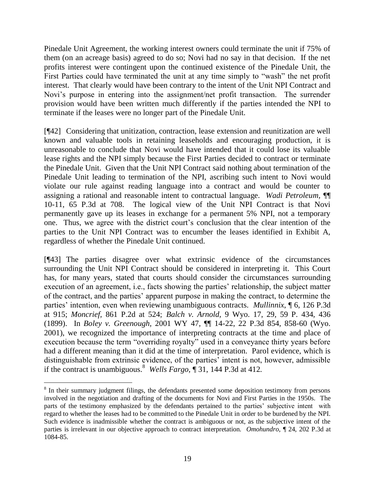Pinedale Unit Agreement, the working interest owners could terminate the unit if 75% of them (on an acreage basis) agreed to do so; Novi had no say in that decision. If the net profits interest were contingent upon the continued existence of the Pinedale Unit, the First Parties could have terminated the unit at any time simply to "wash" the net profit interest. That clearly would have been contrary to the intent of the Unit NPI Contract and Novi's purpose in entering into the assignment/net profit transaction. The surrender provision would have been written much differently if the parties intended the NPI to terminate if the leases were no longer part of the Pinedale Unit.

[¶42] Considering that unitization, contraction, lease extension and reunitization are well known and valuable tools in retaining leaseholds and encouraging production, it is unreasonable to conclude that Novi would have intended that it could lose its valuable lease rights and the NPI simply because the First Parties decided to contract or terminate the Pinedale Unit. Given that the Unit NPI Contract said nothing about termination of the Pinedale Unit leading to termination of the NPI, ascribing such intent to Novi would violate our rule against reading language into a contract and would be counter to assigning a rational and reasonable intent to contractual language. *Wadi Petroleum,* ¶¶ 10-11, 65 P.3d at 708. The logical view of the Unit NPI Contract is that Novi permanently gave up its leases in exchange for a permanent 5% NPI, not a temporary one. Thus, we agree with the district court's conclusion that the clear intention of the parties to the Unit NPI Contract was to encumber the leases identified in Exhibit A, regardless of whether the Pinedale Unit continued.

[¶43] The parties disagree over what extrinsic evidence of the circumstances surrounding the Unit NPI Contract should be considered in interpreting it. This Court has, for many years, stated that courts should consider the circumstances surrounding execution of an agreement, i.e., facts showing the parties' relationship, the subject matter of the contract, and the parties' apparent purpose in making the contract, to determine the parties' intention, even when reviewing unambiguous contracts. *Mullinnix*, ¶ 6, 126 P.3d at 915; *[Moncrief,](http://www.westlaw.com/Find/Default.wl?rs=dfa1.0&vr=2.0&DB=661&FindType=Y&ReferencePositionType=S&SerialNum=1993210326&ReferencePosition=524)* [861 P.2d at](http://www.westlaw.com/Find/Default.wl?rs=dfa1.0&vr=2.0&DB=661&FindType=Y&ReferencePositionType=S&SerialNum=1993210326&ReferencePosition=524) 524; *Balch v. Arnold,* [9 Wyo. 17, 29, 59 P. 434, 436](http://www.westlaw.com/Find/Default.wl?rs=dfa1.0&vr=2.0&DB=660&FindType=Y&ReferencePositionType=S&SerialNum=1899012604&ReferencePosition=436)  [\(1899\).](http://www.westlaw.com/Find/Default.wl?rs=dfa1.0&vr=2.0&DB=660&FindType=Y&ReferencePositionType=S&SerialNum=1899012604&ReferencePosition=436) In *Boley v. Greenough,* 2001 WY 47, ¶¶ 14-22, 22 P.3d 854, 858-60 (Wyo. 2001), we recognized the importance of interpreting contracts at the time and place of execution because the term "overriding royalty" used in a conveyance thirty years before had a different meaning than it did at the time of interpretation. Parol evidence, which is distinguishable from extrinsic evidence, of the parties' intent is not, however, admissible if the contract is unambiguous.<sup>8</sup> *Wells Fargo*,  $\int$  31, 144 P.3d at 412.

 $\overline{a}$ 

<sup>&</sup>lt;sup>8</sup> In their summary judgment filings, the defendants presented some deposition testimony from persons involved in the negotiation and drafting of the documents for Novi and First Parties in the 1950s. The parts of the testimony emphasized by the defendants pertained to the parties' subjective intent with regard to whether the leases had to be committed to the Pinedale Unit in order to be burdened by the NPI. Such evidence is inadmissible whether the contract is ambiguous or not, as the subjective intent of the parties is irrelevant in our objective approach to contract interpretation. *Omohundro,* ¶ 24, 202 P.3d at 1084-85.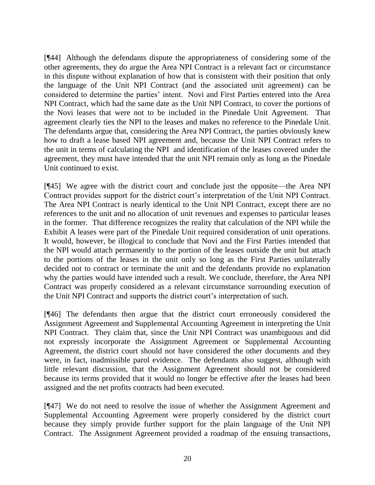[¶44] Although the defendants dispute the appropriateness of considering some of the other agreements, they do argue the Area NPI Contract is a relevant fact or circumstance in this dispute without explanation of how that is consistent with their position that only the language of the Unit NPI Contract (and the associated unit agreement) can be considered to determine the parties' intent. Novi and First Parties entered into the Area NPI Contract, which had the same date as the Unit NPI Contract, to cover the portions of the Novi leases that were not to be included in the Pinedale Unit Agreement. That agreement clearly ties the NPI to the leases and makes no reference to the Pinedale Unit. The defendants argue that, considering the Area NPI Contract, the parties obviously knew how to draft a lease based NPI agreement and, because the Unit NPI Contract refers to the unit in terms of calculating the NPI and identification of the leases covered under the agreement, they must have intended that the unit NPI remain only as long as the Pinedale Unit continued to exist.

[¶45] We agree with the district court and conclude just the opposite—the Area NPI Contract provides support for the district court's interpretation of the Unit NPI Contract. The Area NPI Contract is nearly identical to the Unit NPI Contract, except there are no references to the unit and no allocation of unit revenues and expenses to particular leases in the former. That difference recognizes the reality that calculation of the NPI while the Exhibit A leases were part of the Pinedale Unit required consideration of unit operations. It would, however, be illogical to conclude that Novi and the First Parties intended that the NPI would attach permanently to the portion of the leases outside the unit but attach to the portions of the leases in the unit only so long as the First Parties unilaterally decided not to contract or terminate the unit and the defendants provide no explanation why the parties would have intended such a result. We conclude, therefore, the Area NPI Contract was properly considered as a relevant circumstance surrounding execution of the Unit NPI Contract and supports the district court's interpretation of such.

[¶46] The defendants then argue that the district court erroneously considered the Assignment Agreement and Supplemental Accounting Agreement in interpreting the Unit NPI Contract. They claim that, since the Unit NPI Contract was unambiguous and did not expressly incorporate the Assignment Agreement or Supplemental Accounting Agreement, the district court should not have considered the other documents and they were, in fact, inadmissible parol evidence. The defendants also suggest, although with little relevant discussion, that the Assignment Agreement should not be considered because its terms provided that it would no longer be effective after the leases had been assigned and the net profits contracts had been executed.

[¶47] We do not need to resolve the issue of whether the Assignment Agreement and Supplemental Accounting Agreement were properly considered by the district court because they simply provide further support for the plain language of the Unit NPI Contract. The Assignment Agreement provided a roadmap of the ensuing transactions,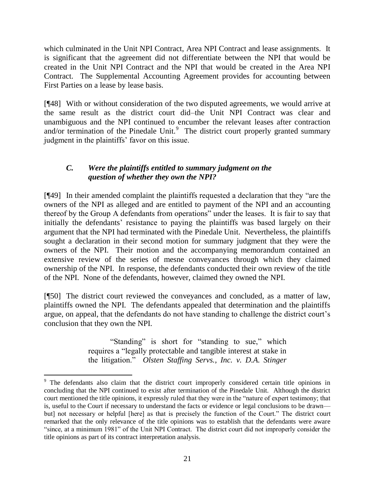which culminated in the Unit NPI Contract, Area NPI Contract and lease assignments. It is significant that the agreement did not differentiate between the NPI that would be created in the Unit NPI Contract and the NPI that would be created in the Area NPI Contract. The Supplemental Accounting Agreement provides for accounting between First Parties on a lease by lease basis.

[¶48] With or without consideration of the two disputed agreements, we would arrive at the same result as the district court did–the Unit NPI Contract was clear and unambiguous and the NPI continued to encumber the relevant leases after contraction and/or termination of the Pinedale Unit. $9$  The district court properly granted summary judgment in the plaintiffs' favor on this issue.

# *C. Were the plaintiffs entitled to summary judgment on the question of whether they own the NPI?*

 $[$ [49] In their amended complaint the plaintiffs requested a declaration that they "are the owners of the NPI as alleged and are entitled to payment of the NPI and an accounting thereof by the Group A defendants from operations" under the leases. It is fair to say that initially the defendants' resistance to paying the plaintiffs was based largely on their argument that the NPI had terminated with the Pinedale Unit. Nevertheless, the plaintiffs sought a declaration in their second motion for summary judgment that they were the owners of the NPI. Their motion and the accompanying memorandum contained an extensive review of the series of mesne conveyances through which they claimed ownership of the NPI. In response, the defendants conducted their own review of the title of the NPI. None of the defendants, however, claimed they owned the NPI.

[¶50] The district court reviewed the conveyances and concluded, as a matter of law, plaintiffs owned the NPI. The defendants appealed that determination and the plaintiffs argue, on appeal, that the defendants do not have standing to challenge the district court's conclusion that they own the NPI.

> "Standing" is short for "standing to sue," which requires a "legally protectable and tangible interest at stake in the litigation.‖ *Olsten Staffing Servs., Inc. v. D.A. Stinger*

 $\overline{a}$ 

<sup>&</sup>lt;sup>9</sup> The defendants also claim that the district court improperly considered certain title opinions in concluding that the NPI continued to exist after termination of the Pinedale Unit. Although the district court mentioned the title opinions, it expressly ruled that they were in the "nature of expert testimony; that is, useful to the Court if necessary to understand the facts or evidence or legal conclusions to be drawn but] not necessary or helpful [here] as that is precisely the function of the Court." The district court remarked that the only relevance of the title opinions was to establish that the defendants were aware ―since, at a minimum 1981‖ of the Unit NPI Contract. The district court did not improperly consider the title opinions as part of its contract interpretation analysis.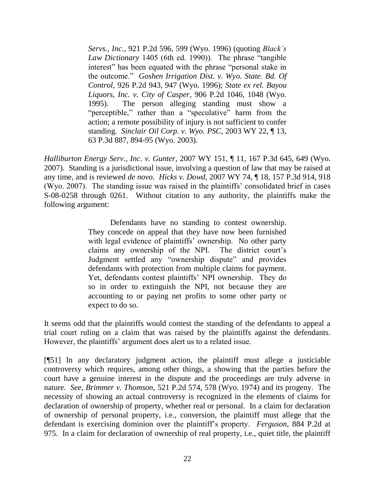*Servs., Inc.*, 921 P.2d 596, 599 (Wyo. 1996) (quoting *Black's Law Dictionary* 1405 (6th ed. 1990)). The phrase "tangible" interest" has been equated with the phrase "personal stake in the outcome.‖ *Goshen Irrigation Dist. v. Wyo. State. Bd. Of Control*, 926 P.2d 943, 947 (Wyo. 1996); *State ex rel. Bayou Liquors, Inc. v. City of Casper*, 906 P.2d 1046, 1048 (Wyo. 1995). The person alleging standing must show a "perceptible," rather than a "speculative" harm from the action; a remote possibility of injury is not sufficient to confer standing. *Sinclair Oil Corp. v. Wyo. PSC*, 2003 WY 22, ¶ 13, 63 P.3d 887, 894-95 (Wyo. 2003).

*Halliburton Energy Serv., Inc. v. Gunter*, 2007 WY 151, ¶ 11, 167 P.3d 645, 649 (Wyo. 2007). Standing is a jurisdictional issue, involving a question of law that may be raised at any time, and is reviewed *de novo*. *Hicks v. Dowd*, 2007 WY 74, ¶ 18, 157 P.3d 914, 918 (Wyo. 2007). The standing issue was raised in the plaintiffs' consolidated brief in cases S-08-0258 through 0261. Without citation to any authority, the plaintiffs make the following argument:

> Defendants have no standing to contest ownership. They concede on appeal that they have now been furnished with legal evidence of plaintiffs' ownership. No other party claims any ownership of the NPI. The district court's Judgment settled any "ownership dispute" and provides defendants with protection from multiple claims for payment. Yet, defendants contest plaintiffs' NPI ownership. They do so in order to extinguish the NPI, not because they are accounting to or paying net profits to some other party or expect to do so.

It seems odd that the plaintiffs would contest the standing of the defendants to appeal a trial court ruling on a claim that was raised by the plaintiffs against the defendants. However, the plaintiffs' argument does alert us to a related issue.

[¶51] In any declaratory judgment action, the plaintiff must allege a justiciable controversy which requires, among other things, a showing that the parties before the court have a genuine interest in the dispute and the proceedings are truly adverse in nature. *See*, *Brimmer v. Thomson,* 521 P.2d 574, 578 (Wyo. 1974) and its progeny. The necessity of showing an actual controversy is recognized in the elements of claims for declaration of ownership of property, whether real or personal. In a claim for declaration of ownership of personal property, i.e., conversion, the plaintiff must allege that the defendant is exercising dominion over the plaintiff's property. *Ferguson,* 884 P.2d at 975. In a claim for declaration of ownership of real property, i.e., quiet title, the plaintiff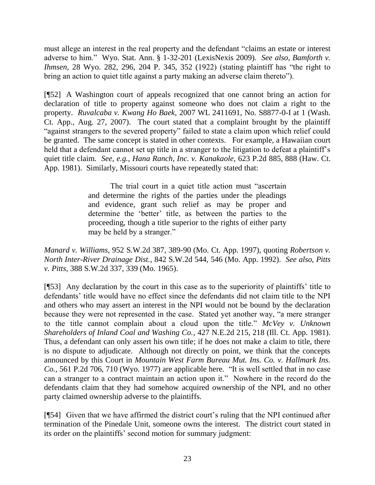must allege an interest in the real property and the defendant "claims an estate or interest adverse to him." Wyo. Stat. Ann. § 1-32-201 (LexisNexis 2009). *See also*, *Bamforth v. Ihmsen,* 28 Wyo. 282, 296, 204 P. 345, 352 (1922) (stating plaintiff has "the right to bring an action to quiet title against a party making an adverse claim thereto").

[¶52] A Washington court of appeals recognized that one cannot bring an action for declaration of title to property against someone who does not claim a right to the property. *Ruvalcaba v. Kwang Ho Baek,* 2007 WL 2411691, No. S8877-0-I at 1 (Wash. Ct. App., Aug. 27, 2007). The court stated that a complaint brought by the plaintiff "against strangers to the severed property" failed to state a claim upon which relief could be granted. The same concept is stated in other contexts. For example, a Hawaiian court held that a defendant cannot set up title in a stranger to the litigation to defeat a plaintiff's quiet title claim. *See, e.g.*, *Hana Ranch, Inc. v. Kanakaole,* 623 P.2d 885, 888 (Haw. Ct. App. 1981). Similarly, Missouri courts have repeatedly stated that:

> The trial court in a quiet title action must "ascertain" and determine the rights of the parties under the pleadings and evidence, grant such relief as may be proper and determine the 'better' title, as between the parties to the proceeding, though a title superior to the rights of either party may be held by a stranger."

*Manard v. Williams,* 952 S.W.2d 387, 389-90 (Mo. Ct. App. 1997), quoting *Robertson v. North Inter-River Drainage Dist.*, 842 S.W.2d 544, 546 (Mo. App. 1992). *See also*, *Pitts v. Pitts,* 388 S.W.2d 337, 339 (Mo. 1965).

[¶53] Any declaration by the court in this case as to the superiority of plaintiffs' title to defendants' title would have no effect since the defendants did not claim title to the NPI and others who may assert an interest in the NPI would not be bound by the declaration because they were not represented in the case. Stated yet another way, "a mere stranger to the title cannot complain about a cloud upon the title." McVey v. Unknown *Shareholders of Inland Coal and Washing Co.,* 427 N.E.2d 215, 218 (Ill. Ct. App. 1981). Thus, a defendant can only assert his own title; if he does not make a claim to title, there is no dispute to adjudicate. Although not directly on point, we think that the concepts announced by this Court in *Mountain West Farm Bureau Mut. Ins. Co. v. Hallmark Ins. Co.*, 561 P.2d 706, 710 (Wyo. 1977) are applicable here. "It is well settled that in no case can a stranger to a contract maintain an action upon it." Nowhere in the record do the defendants claim that they had somehow acquired ownership of the NPI, and no other party claimed ownership adverse to the plaintiffs.

[¶54] Given that we have affirmed the district court's ruling that the NPI continued after termination of the Pinedale Unit, someone owns the interest. The district court stated in its order on the plaintiffs' second motion for summary judgment: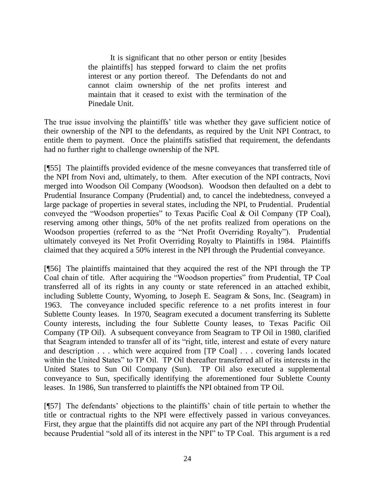It is significant that no other person or entity [besides the plaintiffs] has stepped forward to claim the net profits interest or any portion thereof. The Defendants do not and cannot claim ownership of the net profits interest and maintain that it ceased to exist with the termination of the Pinedale Unit.

The true issue involving the plaintiffs' title was whether they gave sufficient notice of their ownership of the NPI to the defendants, as required by the Unit NPI Contract, to entitle them to payment. Once the plaintiffs satisfied that requirement, the defendants had no further right to challenge ownership of the NPI.

[¶55] The plaintiffs provided evidence of the mesne conveyances that transferred title of the NPI from Novi and, ultimately, to them. After execution of the NPI contracts, Novi merged into Woodson Oil Company (Woodson). Woodson then defaulted on a debt to Prudential Insurance Company (Prudential) and, to cancel the indebtedness, conveyed a large package of properties in several states, including the NPI, to Prudential. Prudential conveyed the "Woodson properties" to Texas Pacific Coal & Oil Company (TP Coal), reserving among other things, 50% of the net profits realized from operations on the Woodson properties (referred to as the "Net Profit Overriding Royalty"). Prudential ultimately conveyed its Net Profit Overriding Royalty to Plaintiffs in 1984. Plaintiffs claimed that they acquired a 50% interest in the NPI through the Prudential conveyance.

[¶56] The plaintiffs maintained that they acquired the rest of the NPI through the TP Coal chain of title. After acquiring the "Woodson properties" from Prudential, TP Coal transferred all of its rights in any county or state referenced in an attached exhibit, including Sublette County, Wyoming, to Joseph E. Seagram & Sons, Inc. (Seagram) in 1963. The conveyance included specific reference to a net profits interest in four Sublette County leases. In 1970, Seagram executed a document transferring its Sublette County interests, including the four Sublette County leases, to Texas Pacific Oil Company (TP Oil). A subsequent conveyance from Seagram to TP Oil in 1980, clarified that Seagram intended to transfer all of its "right, title, interest and estate of every nature and description . . . which were acquired from [TP Coal] . . . covering lands located within the United States" to TP Oil. TP Oil thereafter transferred all of its interests in the United States to Sun Oil Company (Sun). TP Oil also executed a supplemental conveyance to Sun, specifically identifying the aforementioned four Sublette County leases. In 1986, Sun transferred to plaintiffs the NPI obtained from TP Oil.

[¶57] The defendants' objections to the plaintiffs' chain of title pertain to whether the title or contractual rights to the NPI were effectively passed in various conveyances. First, they argue that the plaintiffs did not acquire any part of the NPI through Prudential because Prudential "sold all of its interest in the NPI" to TP Coal. This argument is a red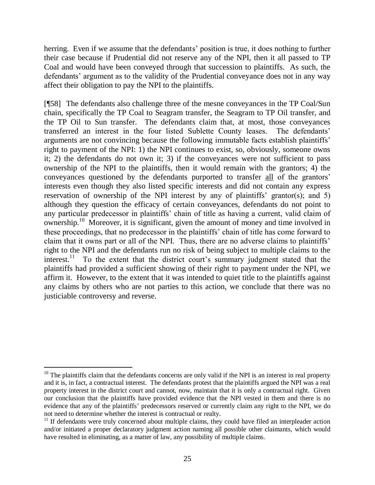herring. Even if we assume that the defendants' position is true, it does nothing to further their case because if Prudential did not reserve any of the NPI, then it all passed to TP Coal and would have been conveyed through that succession to plaintiffs. As such, the defendants' argument as to the validity of the Prudential conveyance does not in any way affect their obligation to pay the NPI to the plaintiffs.

[¶58] The defendants also challenge three of the mesne conveyances in the TP Coal/Sun chain, specifically the TP Coal to Seagram transfer, the Seagram to TP Oil transfer, and the TP Oil to Sun transfer. The defendants claim that, at most, those conveyances transferred an interest in the four listed Sublette County leases. The defendants' arguments are not convincing because the following immutable facts establish plaintiffs' right to payment of the NPI: 1) the NPI continues to exist, so, obviously, someone owns it; 2) the defendants do not own it; 3) if the conveyances were not sufficient to pass ownership of the NPI to the plaintiffs, then it would remain with the grantors; 4) the conveyances questioned by the defendants purported to transfer all of the grantors' interests even though they also listed specific interests and did not contain any express reservation of ownership of the NPI interest by any of plaintiffs' grantor(s); and 5) although they question the efficacy of certain conveyances, defendants do not point to any particular predecessor in plaintiffs' chain of title as having a current, valid claim of ownership.<sup>10</sup> Moreover, it is significant, given the amount of money and time involved in these proceedings, that no predecessor in the plaintiffs' chain of title has come forward to claim that it owns part or all of the NPI. Thus, there are no adverse claims to plaintiffs' right to the NPI and the defendants run no risk of being subject to multiple claims to the interest.<sup>11</sup> To the extent that the district court's summary judgment stated that the plaintiffs had provided a sufficient showing of their right to payment under the NPI, we affirm it. However, to the extent that it was intended to quiet title to the plaintiffs against any claims by others who are not parties to this action, we conclude that there was no justiciable controversy and reverse.

 $\overline{a}$  $10$  The plaintiffs claim that the defendants concerns are only valid if the NPI is an interest in real property and it is, in fact, a contractual interest. The defendants protest that the plaintiffs argued the NPI was a real property interest in the district court and cannot, now, maintain that it is only a contractual right. Given our conclusion that the plaintiffs have provided evidence that the NPI vested in them and there is no evidence that any of the plaintiffs' predecessors reserved or currently claim any right to the NPI, we do not need to determine whether the interest is contractual or realty.

 $11$  If defendants were truly concerned about multiple claims, they could have filed an interpleader action and/or initiated a proper declaratory judgment action naming all possible other claimants, which would have resulted in eliminating, as a matter of law, any possibility of multiple claims.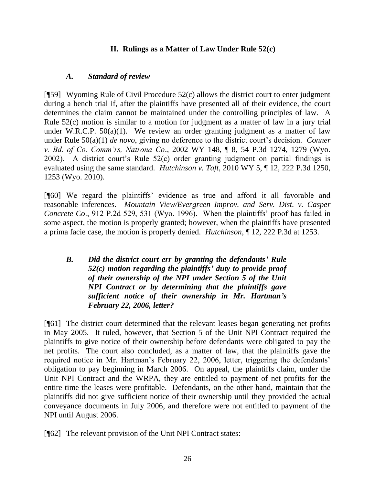## **II. Rulings as a Matter of Law Under Rule 52(c)**

### *A. Standard of review*

[¶59] Wyoming Rule of Civil Procedure 52(c) allows the district court to enter judgment during a bench trial if, after the plaintiffs have presented all of their evidence, the court determines the claim cannot be maintained under the controlling principles of law. A Rule 52(c) motion is similar to a motion for judgment as a matter of law in a jury trial under W.R.C.P.  $50(a)(1)$ . We review an order granting judgment as a matter of law under Rule 50(a)(1) *de novo*, giving no deference to the district court's decision. *Conner v. Bd. of Co. Comm'rs, Natrona Co*., 2002 WY 148, ¶ 8, 54 P.3d 1274, 1279 (Wyo. 2002). A district court's Rule 52(c) order granting judgment on partial findings is evaluated using the same standard. *Hutchinson v. Taft,* 2010 WY 5, ¶ 12, 222 P.3d 1250, 1253 (Wyo. 2010).

[¶60] We regard the plaintiffs' evidence as true and afford it all favorable and reasonable inferences. *Mountain View/Evergreen Improv. and Serv. Dist. v. Casper Concrete Co*., 912 P.2d 529, 531 (Wyo. 1996). When the plaintiffs' proof has failed in some aspect, the motion is properly granted; however, when the plaintiffs have presented a prima facie case, the motion is properly denied. *Hutchinson,* ¶ 12, 222 P.3d at 1253.

*B. Did the district court err by granting the defendants' Rule 52(c) motion regarding the plaintiffs' duty to provide proof of their ownership of the NPI under Section 5 of the Unit NPI Contract or by determining that the plaintiffs gave sufficient notice of their ownership in Mr. Hartman's February 22, 2006, letter?* 

[¶61] The district court determined that the relevant leases began generating net profits in May 2005. It ruled, however, that Section 5 of the Unit NPI Contract required the plaintiffs to give notice of their ownership before defendants were obligated to pay the net profits. The court also concluded, as a matter of law, that the plaintiffs gave the required notice in Mr. Hartman's February 22, 2006, letter, triggering the defendants' obligation to pay beginning in March 2006. On appeal, the plaintiffs claim, under the Unit NPI Contract and the WRPA, they are entitled to payment of net profits for the entire time the leases were profitable. Defendants, on the other hand, maintain that the plaintiffs did not give sufficient notice of their ownership until they provided the actual conveyance documents in July 2006, and therefore were not entitled to payment of the NPI until August 2006.

[¶62] The relevant provision of the Unit NPI Contract states: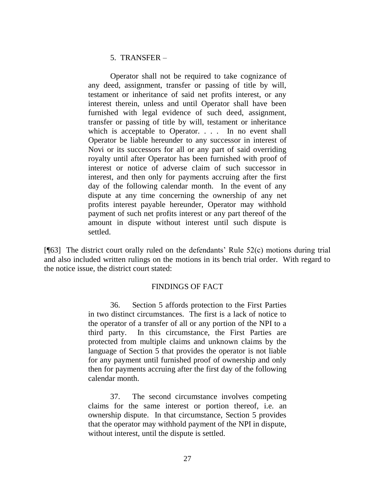### 5. TRANSFER –

Operator shall not be required to take cognizance of any deed, assignment, transfer or passing of title by will, testament or inheritance of said net profits interest, or any interest therein, unless and until Operator shall have been furnished with legal evidence of such deed, assignment, transfer or passing of title by will, testament or inheritance which is acceptable to Operator. . . . In no event shall Operator be liable hereunder to any successor in interest of Novi or its successors for all or any part of said overriding royalty until after Operator has been furnished with proof of interest or notice of adverse claim of such successor in interest, and then only for payments accruing after the first day of the following calendar month. In the event of any dispute at any time concerning the ownership of any net profits interest payable hereunder, Operator may withhold payment of such net profits interest or any part thereof of the amount in dispute without interest until such dispute is settled.

[ $[$ [63] The district court orally ruled on the defendants' Rule 52(c) motions during trial and also included written rulings on the motions in its bench trial order. With regard to the notice issue, the district court stated:

### FINDINGS OF FACT

36. Section 5 affords protection to the First Parties in two distinct circumstances. The first is a lack of notice to the operator of a transfer of all or any portion of the NPI to a third party. In this circumstance, the First Parties are protected from multiple claims and unknown claims by the language of Section 5 that provides the operator is not liable for any payment until furnished proof of ownership and only then for payments accruing after the first day of the following calendar month.

37. The second circumstance involves competing claims for the same interest or portion thereof, i.e. an ownership dispute. In that circumstance, Section 5 provides that the operator may withhold payment of the NPI in dispute, without interest, until the dispute is settled.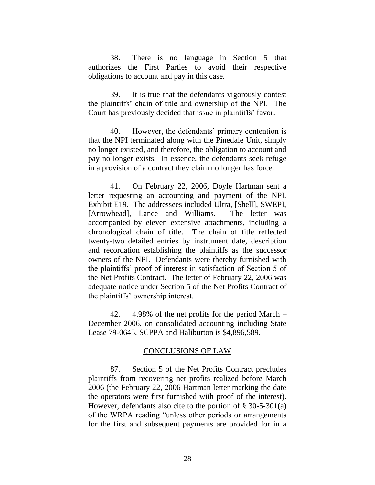38. There is no language in Section 5 that authorizes the First Parties to avoid their respective obligations to account and pay in this case.

39. It is true that the defendants vigorously contest the plaintiffs' chain of title and ownership of the NPI. The Court has previously decided that issue in plaintiffs' favor.

40. However, the defendants' primary contention is that the NPI terminated along with the Pinedale Unit, simply no longer existed, and therefore, the obligation to account and pay no longer exists. In essence, the defendants seek refuge in a provision of a contract they claim no longer has force.

41. On February 22, 2006, Doyle Hartman sent a letter requesting an accounting and payment of the NPI. Exhibit E19. The addressees included Ultra, [Shell], SWEPI, [Arrowhead], Lance and Williams. The letter was accompanied by eleven extensive attachments, including a chronological chain of title. The chain of title reflected twenty-two detailed entries by instrument date, description and recordation establishing the plaintiffs as the successor owners of the NPI. Defendants were thereby furnished with the plaintiffs' proof of interest in satisfaction of Section 5 of the Net Profits Contract. The letter of February 22, 2006 was adequate notice under Section 5 of the Net Profits Contract of the plaintiffs' ownership interest.

42. 4.98% of the net profits for the period March – December 2006, on consolidated accounting including State Lease 79-0645, SCPPA and Haliburton is \$4,896,589.

#### CONCLUSIONS OF LAW

87. Section 5 of the Net Profits Contract precludes plaintiffs from recovering net profits realized before March 2006 (the February 22, 2006 Hartman letter marking the date the operators were first furnished with proof of the interest). However, defendants also cite to the portion of § 30-5-301(a) of the WRPA reading "unless other periods or arrangements" for the first and subsequent payments are provided for in a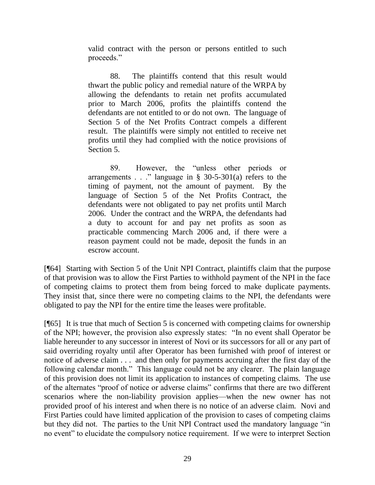valid contract with the person or persons entitled to such proceeds."

88. The plaintiffs contend that this result would thwart the public policy and remedial nature of the WRPA by allowing the defendants to retain net profits accumulated prior to March 2006, profits the plaintiffs contend the defendants are not entitled to or do not own. The language of Section 5 of the Net Profits Contract compels a different result. The plaintiffs were simply not entitled to receive net profits until they had complied with the notice provisions of Section 5.

89. However, the "unless other periods or arrangements  $\ldots$  " language in § 30-5-301(a) refers to the timing of payment, not the amount of payment. By the language of Section 5 of the Net Profits Contract, the defendants were not obligated to pay net profits until March 2006. Under the contract and the WRPA, the defendants had a duty to account for and pay net profits as soon as practicable commencing March 2006 and, if there were a reason payment could not be made, deposit the funds in an escrow account.

[¶64] Starting with Section 5 of the Unit NPI Contract, plaintiffs claim that the purpose of that provision was to allow the First Parties to withhold payment of the NPI in the face of competing claims to protect them from being forced to make duplicate payments. They insist that, since there were no competing claims to the NPI, the defendants were obligated to pay the NPI for the entire time the leases were profitable.

 $[$ <del>[</del>[65] It is true that much of Section 5 is concerned with competing claims for ownership of the NPI; however, the provision also expressly states: "In no event shall Operator be liable hereunder to any successor in interest of Novi or its successors for all or any part of said overriding royalty until after Operator has been furnished with proof of interest or notice of adverse claim . . . and then only for payments accruing after the first day of the following calendar month." This language could not be any clearer. The plain language of this provision does not limit its application to instances of competing claims. The use of the alternates "proof of notice or adverse claims" confirms that there are two different scenarios where the non-liability provision applies—when the new owner has not provided proof of his interest and when there is no notice of an adverse claim. Novi and First Parties could have limited application of the provision to cases of competing claims but they did not. The parties to the Unit NPI Contract used the mandatory language "in no event" to elucidate the compulsory notice requirement. If we were to interpret Section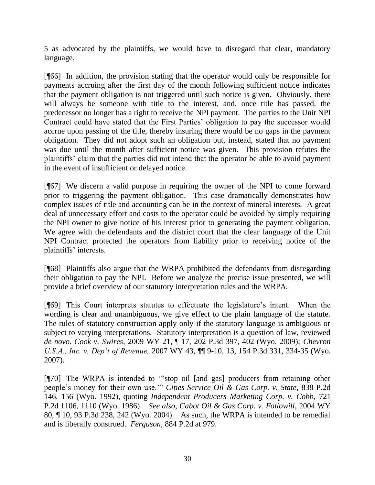5 as advocated by the plaintiffs, we would have to disregard that clear, mandatory language.

[¶66] In addition, the provision stating that the operator would only be responsible for payments accruing after the first day of the month following sufficient notice indicates that the payment obligation is not triggered until such notice is given. Obviously, there will always be someone with title to the interest, and, once title has passed, the predecessor no longer has a right to receive the NPI payment. The parties to the Unit NPI Contract could have stated that the First Parties' obligation to pay the successor would accrue upon passing of the title, thereby insuring there would be no gaps in the payment obligation. They did not adopt such an obligation but, instead, stated that no payment was due until the month after sufficient notice was given. This provision refutes the plaintiffs' claim that the parties did not intend that the operator be able to avoid payment in the event of insufficient or delayed notice.

[¶67] We discern a valid purpose in requiring the owner of the NPI to come forward prior to triggering the payment obligation. This case dramatically demonstrates how complex issues of title and accounting can be in the context of mineral interests. A great deal of unnecessary effort and costs to the operator could be avoided by simply requiring the NPI owner to give notice of his interest prior to generating the payment obligation. We agree with the defendants and the district court that the clear language of the Unit NPI Contract protected the operators from liability prior to receiving notice of the plaintiffs' interests.

[¶68] Plaintiffs also argue that the WRPA prohibited the defendants from disregarding their obligation to pay the NPI. Before we analyze the precise issue presented, we will provide a brief overview of our statutory interpretation rules and the WRPA.

[¶69] This Court interprets statutes to effectuate the legislature's intent. When the wording is clear and unambiguous, we give effect to the plain language of the statute. The rules of statutory construction apply only if the statutory language is ambiguous or subject to varying interpretations. Statutory interpretation is a question of law, reviewed *de novo. Cook v. Swires,* 2009 WY 21, ¶ 17, 202 P.3d 397, 402 (Wyo. 2009); *[Chevron](http://web2.westlaw.com/find/default.wl?tf=-1&rs=WLW9.11&referencepositiontype=S&serialnum=2011676524&fn=_top&sv=Split&referenceposition=334&pbc=AAEE0C01&tc=-1&ordoc=2018165289&findtype=Y&db=4645&vr=2.0&rp=%2ffind%2fdefault.wl&mt=117)  U.S.A., Inc. v. Dep't of Revenue,* [2007 WY 43, ¶¶ 9-10, 13, 154 P.3d 331, 334-35 \(Wyo.](http://web2.westlaw.com/find/default.wl?tf=-1&rs=WLW9.11&referencepositiontype=S&serialnum=2011676524&fn=_top&sv=Split&referenceposition=334&pbc=AAEE0C01&tc=-1&ordoc=2018165289&findtype=Y&db=4645&vr=2.0&rp=%2ffind%2fdefault.wl&mt=117)  [2007\).](http://web2.westlaw.com/find/default.wl?tf=-1&rs=WLW9.11&referencepositiontype=S&serialnum=2011676524&fn=_top&sv=Split&referenceposition=334&pbc=AAEE0C01&tc=-1&ordoc=2018165289&findtype=Y&db=4645&vr=2.0&rp=%2ffind%2fdefault.wl&mt=117)

 $[$ [[70] The WRPA is intended to "stop oil [and gas] producers from retaining other people's money for their own use."" *Cities Service Oil & Gas Corp. v. State, 838 P.2d* 146, 156 (Wyo. 1992), quoting *Independent Producers Marketing Corp. v. Cobb,* 721 P.2d 1106, 1110 (Wyo. 1986). *See also*, *Cabot Oil & Gas Corp. v. Followill,* 2004 WY 80, ¶ 10, 93 P.3d 238, 242 (Wyo. 2004). As such, the WRPA is intended to be remedial and is liberally construed. *Ferguson,* 884 P.2d at 979.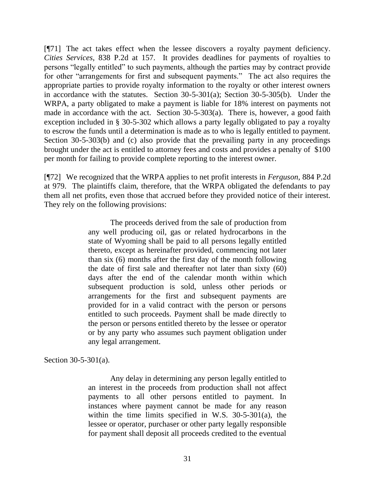[¶71] The act takes effect when the lessee discovers a royalty payment deficiency. *Cities Services,* 838 P.2d at 157. It provides deadlines for payments of royalties to persons "legally entitled" to such payments, although the parties may by contract provide for other "arrangements for first and subsequent payments." The act also requires the appropriate parties to provide royalty information to the royalty or other interest owners in accordance with the statutes. Section 30-5-301(a); Section 30-5-305(b). Under the WRPA, a party obligated to make a payment is liable for 18% interest on payments not made in accordance with the act. Section 30-5-303(a). There is, however, a good faith exception included in § 30-5-302 which allows a party legally obligated to pay a royalty to escrow the funds until a determination is made as to who is legally entitled to payment. Section 30-5-303(b) and (c) also provide that the prevailing party in any proceedings brought under the act is entitled to attorney fees and costs and provides a penalty of \$100 per month for failing to provide complete reporting to the interest owner.

[¶72] We recognized that the WRPA applies to net profit interests in *Ferguson,* 884 P.2d at 979. The plaintiffs claim, therefore, that the WRPA obligated the defendants to pay them all net profits, even those that accrued before they provided notice of their interest. They rely on the following provisions:

> The proceeds derived from the sale of production from any well producing oil, gas or related hydrocarbons in the state of Wyoming shall be paid to all persons legally entitled thereto, except as hereinafter provided, commencing not later than six (6) months after the first day of the month following the date of first sale and thereafter not later than sixty (60) days after the end of the calendar month within which subsequent production is sold, unless other periods or arrangements for the first and subsequent payments are provided for in a valid contract with the person or persons entitled to such proceeds. Payment shall be made directly to the person or persons entitled thereto by the lessee or operator or by any party who assumes such payment obligation under any legal arrangement.

Section 30-5-301(a).

Any delay in determining any person legally entitled to an interest in the proceeds from production shall not affect payments to all other persons entitled to payment. In instances where payment cannot be made for any reason within the time limits specified in [W.S. 30-5-301\(a\),](http://www.westlaw.com/Find/Default.wl?rs=dfa1.0&vr=2.0&DB=1000377&DocName=WYSTS30-5-301&FindType=Y&ReferencePositionType=S&ReferencePosition=8b3b0000958a4) the lessee or operator, purchaser or other party legally responsible for payment shall deposit all proceeds credited to the eventual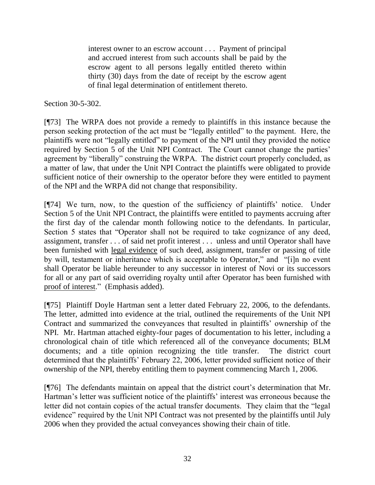interest owner to an escrow account . . . Payment of principal and accrued interest from such accounts shall be paid by the escrow agent to all persons legally entitled thereto within thirty (30) days from the date of receipt by the escrow agent of final legal determination of entitlement thereto.

Section 30-5-302.

[¶73] The WRPA does not provide a remedy to plaintiffs in this instance because the person seeking protection of the act must be "legally entitled" to the payment. Here, the plaintiffs were not "legally entitled" to payment of the NPI until they provided the notice required by Section 5 of the Unit NPI Contract. The Court cannot change the parties' agreement by "liberally" construing the WRPA. The district court properly concluded, as a matter of law, that under the Unit NPI Contract the plaintiffs were obligated to provide sufficient notice of their ownership to the operator before they were entitled to payment of the NPI and the WRPA did not change that responsibility.

[¶74] We turn, now, to the question of the sufficiency of plaintiffs' notice. Under Section 5 of the Unit NPI Contract, the plaintiffs were entitled to payments accruing after the first day of the calendar month following notice to the defendants. In particular, Section 5 states that "Operator shall not be required to take cognizance of any deed, assignment, transfer . . . of said net profit interest . . . unless and until Operator shall have been furnished with legal evidence of such deed, assignment, transfer or passing of title by will, testament or inheritance which is acceptable to Operator," and "[i]n no event shall Operator be liable hereunder to any successor in interest of Novi or its successors for all or any part of said overriding royalty until after Operator has been furnished with proof of interest." (Emphasis added).

[¶75] Plaintiff Doyle Hartman sent a letter dated February 22, 2006, to the defendants. The letter, admitted into evidence at the trial, outlined the requirements of the Unit NPI Contract and summarized the conveyances that resulted in plaintiffs' ownership of the NPI. Mr. Hartman attached eighty-four pages of documentation to his letter, including a chronological chain of title which referenced all of the conveyance documents; BLM documents; and a title opinion recognizing the title transfer. The district court determined that the plaintiffs' February 22, 2006, letter provided sufficient notice of their ownership of the NPI, thereby entitling them to payment commencing March 1, 2006.

[¶76] The defendants maintain on appeal that the district court's determination that Mr. Hartman's letter was sufficient notice of the plaintiffs' interest was erroneous because the letter did not contain copies of the actual transfer documents. They claim that the "legal" evidence" required by the Unit NPI Contract was not presented by the plaintiffs until July 2006 when they provided the actual conveyances showing their chain of title.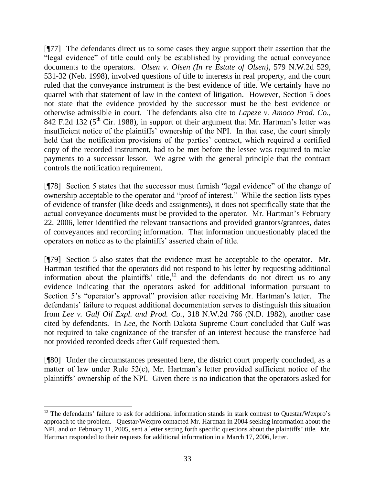[¶77] The defendants direct us to some cases they argue support their assertion that the "legal evidence" of title could only be established by providing the actual conveyance documents to the operators. *Olsen v. Olsen (In re Estate of Olsen),* 579 N.W.2d 529, 531-32 (Neb. 1998), involved questions of title to interests in real property, and the court ruled that the conveyance instrument is the best evidence of title. We certainly have no quarrel with that statement of law in the context of litigation. However, Section 5 does not state that the evidence provided by the successor must be the best evidence or otherwise admissible in court. The defendants also cite to *Lapeze v. Amoco Prod. Co.,*  842 F.2d 132 ( $5<sup>th</sup>$  Cir. 1988), in support of their argument that Mr. Hartman's letter was insufficient notice of the plaintiffs' ownership of the NPI. In that case, the court simply held that the notification provisions of the parties' contract, which required a certified copy of the recorded instrument, had to be met before the lessee was required to make payments to a successor lessor. We agree with the general principle that the contract controls the notification requirement.

[\perm{178] Section 5 states that the successor must furnish "legal evidence" of the change of ownership acceptable to the operator and "proof of interest." While the section lists types of evidence of transfer (like deeds and assignments), it does not specifically state that the actual conveyance documents must be provided to the operator. Mr. Hartman's February 22, 2006, letter identified the relevant transactions and provided grantors/grantees, dates of conveyances and recording information. That information unquestionably placed the operators on notice as to the plaintiffs' asserted chain of title.

[¶79] Section 5 also states that the evidence must be acceptable to the operator. Mr. Hartman testified that the operators did not respond to his letter by requesting additional information about the plaintiffs' title,<sup>12</sup> and the defendants do not direct us to any evidence indicating that the operators asked for additional information pursuant to Section 5's "operator's approval" provision after receiving Mr. Hartman's letter. The defendants' failure to request additional documentation serves to distinguish this situation from *Lee v. Gulf Oil Expl. and Prod. Co.,* 318 N.W.2d 766 (N.D. 1982), another case cited by defendants. In *Lee,* the North Dakota Supreme Court concluded that Gulf was not required to take cognizance of the transfer of an interest because the transferee had not provided recorded deeds after Gulf requested them.

[¶80] Under the circumstances presented here, the district court properly concluded, as a matter of law under Rule 52(c), Mr. Hartman's letter provided sufficient notice of the plaintiffs' ownership of the NPI. Given there is no indication that the operators asked for

 $\overline{a}$  $12$  The defendants' failure to ask for additional information stands in stark contrast to Questar/Wexpro's approach to the problem. Questar/Wexpro contacted Mr. Hartman in 2004 seeking information about the NPI, and on February 11, 2005, sent a letter setting forth specific questions about the plaintiffs' title. Mr. Hartman responded to their requests for additional information in a March 17, 2006, letter.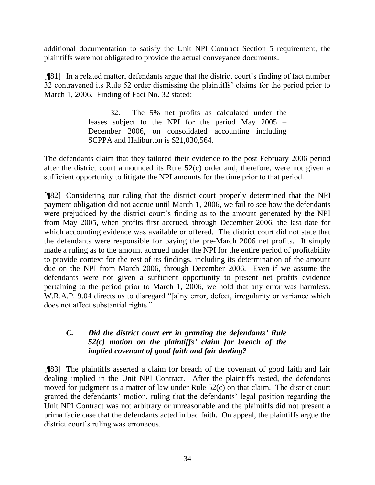additional documentation to satisfy the Unit NPI Contract Section 5 requirement, the plaintiffs were not obligated to provide the actual conveyance documents.

[¶81] In a related matter, defendants argue that the district court's finding of fact number 32 contravened its Rule 52 order dismissing the plaintiffs' claims for the period prior to March 1, 2006. Finding of Fact No. 32 stated:

> 32. The 5% net profits as calculated under the leases subject to the NPI for the period May 2005 – December 2006, on consolidated accounting including SCPPA and Haliburton is \$21,030,564.

The defendants claim that they tailored their evidence to the post February 2006 period after the district court announced its Rule 52(c) order and, therefore, were not given a sufficient opportunity to litigate the NPI amounts for the time prior to that period.

[¶82] Considering our ruling that the district court properly determined that the NPI payment obligation did not accrue until March 1, 2006, we fail to see how the defendants were prejudiced by the district court's finding as to the amount generated by the NPI from May 2005, when profits first accrued, through December 2006, the last date for which accounting evidence was available or offered. The district court did not state that the defendants were responsible for paying the pre-March 2006 net profits. It simply made a ruling as to the amount accrued under the NPI for the entire period of profitability to provide context for the rest of its findings, including its determination of the amount due on the NPI from March 2006, through December 2006. Even if we assume the defendants were not given a sufficient opportunity to present net profits evidence pertaining to the period prior to March 1, 2006, we hold that any error was harmless. W.R.A.P. 9.04 directs us to disregard "[a]ny error, defect, irregularity or variance which does not affect substantial rights."

#### *C. Did the district court err in granting the defendants' Rule 52(c) motion on the plaintiffs' claim for breach of the implied covenant of good faith and fair dealing?*

[¶83] The plaintiffs asserted a claim for breach of the covenant of good faith and fair dealing implied in the Unit NPI Contract. After the plaintiffs rested, the defendants moved for judgment as a matter of law under Rule 52(c) on that claim. The district court granted the defendants' motion, ruling that the defendants' legal position regarding the Unit NPI Contract was not arbitrary or unreasonable and the plaintiffs did not present a prima facie case that the defendants acted in bad faith. On appeal, the plaintiffs argue the district court's ruling was erroneous.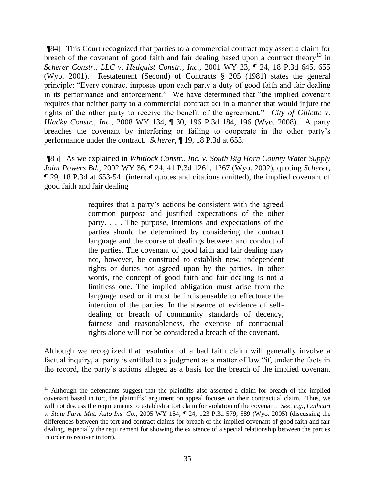[¶84] This Court recognized that parties to a commercial contract may assert a claim for breach of the covenant of good faith and fair dealing based upon a contract theory<sup>13</sup> in *Scherer Constr., LLC v. Hedquist Constr., Inc.,* 2001 WY 23, ¶ 24, 18 P.3d 645, 655 (Wyo. 2001). Restatement (Second) of Contracts § 205 (1981) states the general principle: "Every contract imposes upon each party a duty of good faith and fair dealing in its performance and enforcement." We have determined that "the implied covenant requires that neither party to a commercial contract act in a manner that would injure the rights of the other party to receive the benefit of the agreement." *City of Gillette v. Hladky Constr., Inc.,* 2008 WY 134, ¶ 30, 196 P.3d 184, 196 (Wyo. 2008). A party breaches the covenant by interfering or failing to cooperate in the other party's performance under the contract. *Scherer,* ¶ 19, 18 P.3d at 653.

[¶85] As we explained in *Whitlock Constr., Inc. v. South Big Horn County Water Supply Joint Powers Bd.,* 2002 WY 36, ¶ 24, 41 P.3d 1261, 1267 (Wyo. 2002), quoting *Scherer,*  ¶ 29, 18 P.3d at 653-54 (internal quotes and citations omitted), the implied covenant of good faith and fair dealing

> requires that a party's actions be consistent with the agreed common purpose and justified expectations of the other party. . . . The purpose, intentions and expectations of the parties should be determined by considering the contract language and the course of dealings between and conduct of the parties. The covenant of good faith and fair dealing may not, however, be construed to establish new, independent rights or duties not agreed upon by the parties. In other words, the concept of good faith and fair dealing is not a limitless one. The implied obligation must arise from the language used or it must be indispensable to effectuate the intention of the parties. In the absence of evidence of selfdealing or breach of community standards of decency, fairness and reasonableness, the exercise of contractual rights alone will not be considered a breach of the covenant.

Although we recognized that resolution of a bad faith claim will generally involve a factual inquiry, a party is entitled to a judgment as a matter of law "if, under the facts in the record, the party's actions alleged as a basis for the breach of the implied covenant

 $\overline{a}$ 

<sup>&</sup>lt;sup>13</sup> Although the defendants suggest that the plaintiffs also asserted a claim for breach of the implied covenant based in tort, the plaintiffs' argument on appeal focuses on their contractual claim. Thus, we will not discuss the requirements to establish a tort claim for violation of the covenant. *See, e.g.*, *Cathcart v. State Farm Mut. Auto Ins. Co.,* 2005 WY 154, ¶ 24, 123 P.3d 579, 589 (Wyo. 2005) (discussing the differences between the tort and contract claims for breach of the implied covenant of good faith and fair dealing, especially the requirement for showing the existence of a special relationship between the parties in order to recover in tort).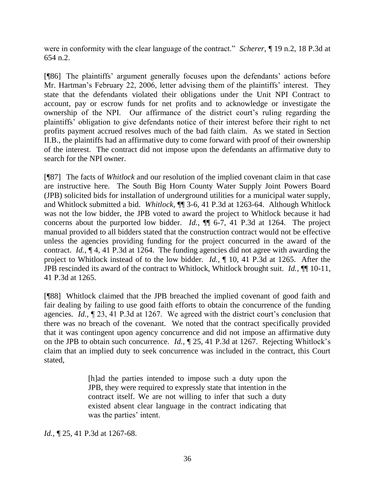were in conformity with the clear language of the contract." *Scherer*, ¶ 19 n.2, 18 P.3d at 654 n.2.

[¶86] The plaintiffs' argument generally focuses upon the defendants' actions before Mr. Hartman's February 22, 2006, letter advising them of the plaintiffs' interest. They state that the defendants violated their obligations under the Unit NPI Contract to account, pay or escrow funds for net profits and to acknowledge or investigate the ownership of the NPI. Our affirmance of the district court's ruling regarding the plaintiffs' obligation to give defendants notice of their interest before their right to net profits payment accrued resolves much of the bad faith claim. As we stated in Section II.B., the plaintiffs had an affirmative duty to come forward with proof of their ownership of the interest. The contract did not impose upon the defendants an affirmative duty to search for the NPI owner.

[¶87] The facts of *Whitlock* and our resolution of the implied covenant claim in that case are instructive here. The South Big Horn County Water Supply Joint Powers Board (JPB) solicited bids for installation of underground utilities for a municipal water supply, and Whitlock submitted a bid. *Whitlock,* ¶¶ 3-6, 41 P.3d at 1263-64. Although Whitlock was not the low bidder, the JPB voted to award the project to Whitlock because it had concerns about the purported low bidder. *Id.,* ¶¶ 6-7, 41 P.3d at 1264. The project manual provided to all bidders stated that the construction contract would not be effective unless the agencies providing funding for the project concurred in the award of the contract. *Id.,* ¶ 4, 41 P.3d at 1264. The funding agencies did not agree with awarding the project to Whitlock instead of to the low bidder. *Id.,* ¶ 10, 41 P.3d at 1265. After the JPB rescinded its award of the contract to Whitlock, Whitlock brought suit. *Id.,* ¶¶ 10-11, 41 P.3d at 1265.

[¶88] Whitlock claimed that the JPB breached the implied covenant of good faith and fair dealing by failing to use good faith efforts to obtain the concurrence of the funding agencies. *Id.,* ¶ 23, 41 P.3d at 1267. We agreed with the district court's conclusion that there was no breach of the covenant. We noted that the contract specifically provided that it was contingent upon agency concurrence and did not impose an affirmative duty on the JPB to obtain such concurrence. *Id.,* ¶ 25, 41 P.3d at 1267. Rejecting Whitlock's claim that an implied duty to seek concurrence was included in the contract, this Court stated,

> [h]ad the parties intended to impose such a duty upon the JPB, they were required to expressly state that intention in the contract itself. We are not willing to infer that such a duty existed absent clear language in the contract indicating that was the parties' intent.

*Id.*, ¶ 25, 41 P.3d at 1267-68.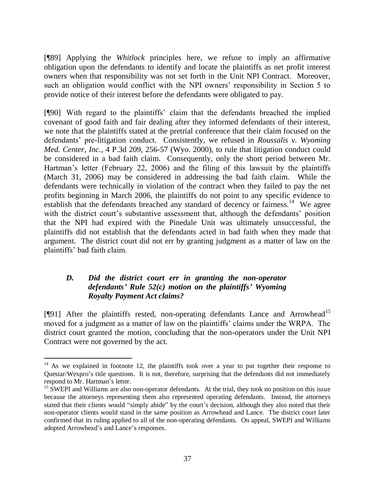[¶89] Applying the *Whitlock* principles here, we refuse to imply an affirmative obligation upon the defendants to identify and locate the plaintiffs as net profit interest owners when that responsibility was not set forth in the Unit NPI Contract. Moreover, such an obligation would conflict with the NPI owners' responsibility in Section 5 to provide notice of their interest before the defendants were obligated to pay.

[¶90] With regard to the plaintiffs' claim that the defendants breached the implied covenant of good faith and fair dealing after they informed defendants of their interest, we note that the plaintiffs stated at the pretrial conference that their claim focused on the defendants' pre-litigation conduct. Consistently, we refused in *Roussalis v. Wyoming Med. Center, Inc.,* 4 P.3d 209, 256-57 (Wyo. 2000), to rule that litigation conduct could be considered in a bad faith claim. Consequently, only the short period between Mr. Hartman's letter (February 22, 2006) and the filing of this lawsuit by the plaintiffs (March 31, 2006) may be considered in addressing the bad faith claim. While the defendants were technically in violation of the contract when they failed to pay the net profits beginning in March 2006, the plaintiffs do not point to any specific evidence to establish that the defendants breached any standard of decency or fairness.<sup>14</sup> We agree with the district court's substantive assessment that, although the defendants' position that the NPI had expired with the Pinedale Unit was ultimately unsuccessful, the plaintiffs did not establish that the defendants acted in bad faith when they made that argument. The district court did not err by granting judgment as a matter of law on the plaintiffs' bad faith claim.

### *D. Did the district court err in granting the non-operator defendants' Rule 52(c) motion on the plaintiffs' Wyoming Royalty Payment Act claims?*

 $[$ [[91] After the plaintiffs rested, non-operating defendants Lance and Arrowhead<sup>15</sup> moved for a judgment as a matter of law on the plaintiffs' claims under the WRPA. The district court granted the motion, concluding that the non-operators under the Unit NPI Contract were not governed by the act.

 $\overline{a}$ 

 $14$  As we explained in footnote 12, the plaintiffs took over a year to put together their response to Questar/Wexpro's title questions. It is not, therefore, surprising that the defendants did not immediately respond to Mr. Hartman's letter.

<sup>&</sup>lt;sup>15</sup> SWEPI and Williams are also non-operator defendants. At the trial, they took no position on this issue because the attorneys representing them also represented operating defendants. Instead, the attorneys stated that their clients would "simply abide" by the court's decision, although they also noted that their non-operator clients would stand in the same position as Arrowhead and Lance. The district court later confirmed that its ruling applied to all of the non-operating defendants. On appeal, SWEPI and Williams adopted Arrowhead's and Lance's responses.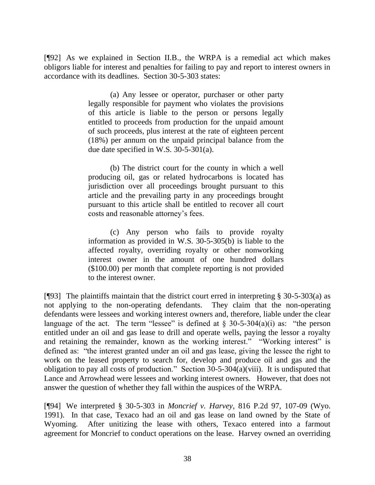[¶92] As we explained in Section II.B., the WRPA is a remedial act which makes obligors liable for interest and penalties for failing to pay and report to interest owners in accordance with its deadlines. Section 30-5-303 states:

> (a) Any lessee or operator, purchaser or other party legally responsible for payment who violates the provisions of this article is liable to the person or persons legally entitled to proceeds from production for the unpaid amount of such proceeds, plus interest at the rate of eighteen percent (18%) per annum on the unpaid principal balance from the due date specified in [W.S. 30-5-301\(a\).](http://www.westlaw.com/Find/Default.wl?rs=dfa1.0&vr=2.0&DB=1000377&DocName=WYSTS30-5-301&FindType=Y&ReferencePositionType=S&ReferencePosition=8b3b0000958a4)

> (b) The district court for the county in which a well producing oil, gas or related hydrocarbons is located has jurisdiction over all proceedings brought pursuant to this article and the prevailing party in any proceedings brought pursuant to this article shall be entitled to recover all court costs and reasonable attorney's fees.

> (c) Any person who fails to provide royalty information as provided in [W.S. 30-5-305\(b\)](http://www.westlaw.com/Find/Default.wl?rs=dfa1.0&vr=2.0&DB=1000377&DocName=WYSTS30-5-305&FindType=Y&ReferencePositionType=S&ReferencePosition=a83b000018c76) is liable to the affected royalty, overriding royalty or other nonworking interest owner in the amount of one hundred dollars (\$100.00) per month that complete reporting is not provided to the interest owner.

[ $[93]$ ] The plaintiffs maintain that the district court erred in interpreting § 30-5-303(a) as not applying to the non-operating defendants. They claim that the non-operating defendants were lessees and working interest owners and, therefore, liable under the clear language of the act. The term "lessee" is defined at  $\S$  30-5-304(a)(i) as: "the person entitled under an oil and gas lease to drill and operate wells, paying the lessor a royalty and retaining the remainder, known as the working interest." "Working interest" is defined as: "the interest granted under an oil and gas lease, giving the lessee the right to work on the leased property to search for, develop and produce oil and gas and the obligation to pay all costs of production." Section  $30-5-304(a)(viii)$ . It is undisputed that Lance and Arrowhead were lessees and working interest owners. However, that does not answer the question of whether they fall within the auspices of the WRPA.

[¶94] We interpreted § 30-5-303 in *Moncrief v. Harvey,* 816 P.2d 97, 107-09 (Wyo. 1991). In that case, Texaco had an oil and gas lease on land owned by the State of Wyoming. After unitizing the lease with others, Texaco entered into a farmout agreement for Moncrief to conduct operations on the lease. Harvey owned an overriding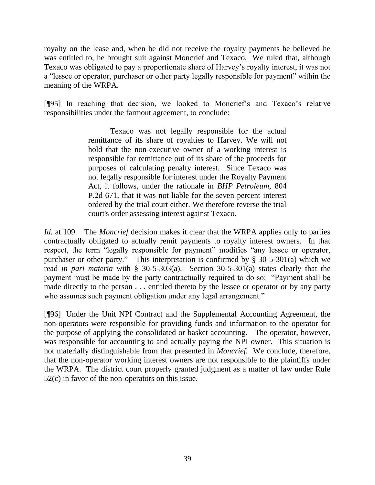royalty on the lease and, when he did not receive the royalty payments he believed he was entitled to, he brought suit against Moncrief and Texaco. We ruled that, although Texaco was obligated to pay a proportionate share of Harvey's royalty interest, it was not a "lessee or operator, purchaser or other party legally responsible for payment" within the meaning of the WRPA.

[¶95] In reaching that decision, we looked to Moncrief's and Texaco's relative responsibilities under the farmout agreement, to conclude:

> Texaco was not legally responsible for the actual remittance of its share of royalties to Harvey. We will not hold that the non-executive owner of a working interest is responsible for remittance out of its share of the proceeds for purposes of calculating penalty interest. Since Texaco was not legally responsible for interest under the Royalty Payment Act, it follows, under the rationale in *[BHP Petroleum,](http://www.westlaw.com/Find/Default.wl?rs=dfa1.0&vr=2.0&DB=661&FindType=Y&SerialNum=1991022309)* [804](http://www.westlaw.com/Find/Default.wl?rs=dfa1.0&vr=2.0&DB=661&FindType=Y&SerialNum=1991022309)  P.2d 671, that it was not liable for the seven percent interest ordered by the trial court either. We therefore reverse the trial court's order assessing interest against Texaco.

*Id.* at 109. The *Moncrief* decision makes it clear that the WRPA applies only to parties contractually obligated to actually remit payments to royalty interest owners. In that respect, the term "legally responsible for payment" modifies "any lessee or operator, purchaser or other party." This interpretation is confirmed by  $\S$  30-5-301(a) which we read *in pari materia* with § 30-5-303(a). Section 30-5-301(a) states clearly that the payment must be made by the party contractually required to do so: "Payment shall be made directly to the person . . . entitled thereto by the lessee or operator or by any party who assumes such payment obligation under any legal arrangement."

[¶96] Under the Unit NPI Contract and the Supplemental Accounting Agreement, the non-operators were responsible for providing funds and information to the operator for the purpose of applying the consolidated or basket accounting. The operator, however, was responsible for accounting to and actually paying the NPI owner. This situation is not materially distinguishable from that presented in *Moncrief.* We conclude, therefore, that the non-operator working interest owners are not responsible to the plaintiffs under the WRPA. The district court properly granted judgment as a matter of law under Rule 52(c) in favor of the non-operators on this issue.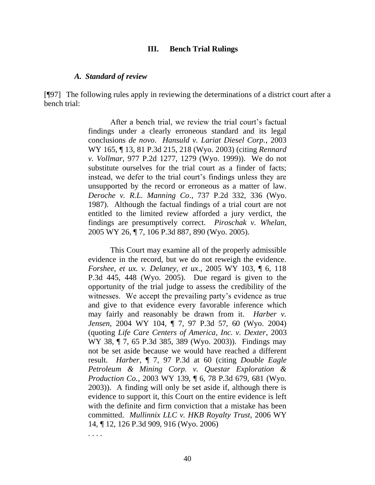#### **III. Bench Trial Rulings**

#### *A. Standard of review*

[¶97] The following rules apply in reviewing the determinations of a district court after a bench trial:

> After a bench trial, we review the trial court's factual findings under a clearly erroneous standard and its legal conclusions *de novo*. *Hansuld v. Lariat Diesel Corp.*, 2003 WY 165, ¶ 13, 81 P.3d 215, 218 (Wyo. 2003) (citing *Rennard v. Vollmar*, 977 P.2d 1277, 1279 (Wyo. 1999)). We do not substitute ourselves for the trial court as a finder of facts; instead, we defer to the trial court's findings unless they are unsupported by the record or erroneous as a matter of law. *Deroche v. R.L. Manning Co*., 737 P.2d 332, 336 (Wyo. 1987). Although the factual findings of a trial court are not entitled to the limited review afforded a jury verdict, the findings are presumptively correct. *Piroschak v. Whelan*, 2005 WY 26, ¶ 7, 106 P.3d 887, 890 (Wyo. 2005).

> This Court may examine all of the properly admissible evidence in the record, but we do not reweigh the evidence. *Forshee, et ux. v. Delaney, et ux*., 2005 WY 103, ¶ 6, 118 P.3d 445, 448 (Wyo. 2005). Due regard is given to the opportunity of the trial judge to assess the credibility of the witnesses. We accept the prevailing party's evidence as true and give to that evidence every favorable inference which may fairly and reasonably be drawn from it. *Harber v. Jensen*, 2004 WY 104, ¶ 7, 97 P.3d 57, 60 (Wyo. 2004) (quoting *Life Care Centers of America, Inc. v. Dexter*, 2003 WY 38, ¶ 7, 65 P.3d 385, 389 (Wyo. 2003)). Findings may not be set aside because we would have reached a different result. *Harber*, ¶ 7, 97 P.3d at 60 (citing *Double Eagle Petroleum & Mining Corp. v. Questar Exploration & Production Co.*, 2003 WY 139, ¶ 6, 78 P.3d 679, 681 (Wyo. 2003)). A finding will only be set aside if, although there is evidence to support it, this Court on the entire evidence is left with the definite and firm conviction that a mistake has been committed. *Mullinnix LLC v. HKB Royalty Trust*, 2006 WY 14, ¶ 12, 126 P.3d 909, 916 (Wyo. 2006)

. . . .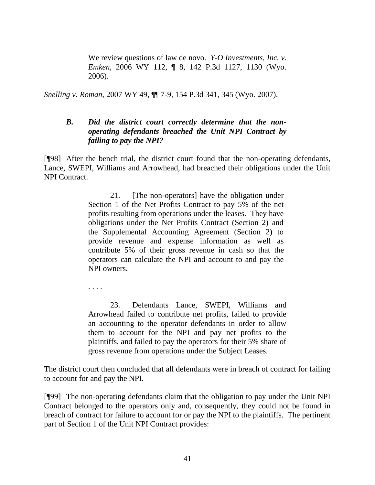We review questions of law de novo. *Y-O Investments, Inc. v. Emken*, 2006 WY 112, ¶ 8, 142 P.3d 1127, 1130 (Wyo. 2006).

*Snelling v. Roman*, 2007 WY 49, ¶¶ 7-9, 154 P.3d 341, 345 (Wyo. 2007).

### *B. Did the district court correctly determine that the nonoperating defendants breached the Unit NPI Contract by failing to pay the NPI?*

[¶98] After the bench trial, the district court found that the non-operating defendants, Lance, SWEPI, Williams and Arrowhead, had breached their obligations under the Unit NPI Contract.

> 21. [The non-operators] have the obligation under Section 1 of the Net Profits Contract to pay 5% of the net profits resulting from operations under the leases. They have obligations under the Net Profits Contract (Section 2) and the Supplemental Accounting Agreement (Section 2) to provide revenue and expense information as well as contribute 5% of their gross revenue in cash so that the operators can calculate the NPI and account to and pay the NPI owners.

. . . .

23. Defendants Lance, SWEPI, Williams and Arrowhead failed to contribute net profits, failed to provide an accounting to the operator defendants in order to allow them to account for the NPI and pay net profits to the plaintiffs, and failed to pay the operators for their 5% share of gross revenue from operations under the Subject Leases.

The district court then concluded that all defendants were in breach of contract for failing to account for and pay the NPI.

[¶99] The non-operating defendants claim that the obligation to pay under the Unit NPI Contract belonged to the operators only and, consequently, they could not be found in breach of contract for failure to account for or pay the NPI to the plaintiffs. The pertinent part of Section 1 of the Unit NPI Contract provides: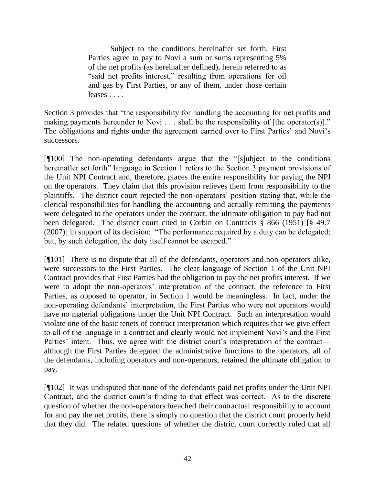Subject to the conditions hereinafter set forth, First Parties agree to pay to Novi a sum or sums representing 5% of the net profits (as hereinafter defined), herein referred to as "said net profits interest," resulting from operations for oil and gas by First Parties, or any of them, under those certain leases . . . .

Section 3 provides that "the responsibility for handling the accounting for net profits and making payments hereunder to Novi  $\ldots$  shall be the responsibility of [the operator(s)]." The obligations and rights under the agreement carried over to First Parties' and Novi's successors.

 $[$ [[100] The non-operating defendants argue that the "[s]ubject to the conditions hereinafter set forth" language in Section 1 refers to the Section 3 payment provisions of the Unit NPI Contract and, therefore, places the entire responsibility for paying the NPI on the operators. They claim that this provision relieves them from responsibility to the plaintiffs. The district court rejected the non-operators' position stating that, while the clerical responsibilities for handling the accounting and actually remitting the payments were delegated to the operators under the contract, the ultimate obligation to pay had not been delegated. The district court cited to Corbin on Contracts § 866 (1951) [§ 49.7 (2007)] in support of its decision: "The performance required by a duty can be delegated; but, by such delegation, the duty itself cannot be escaped."

[¶101] There is no dispute that all of the defendants, operators and non-operators alike, were successors to the First Parties. The clear language of Section 1 of the Unit NPI Contract provides that First Parties had the obligation to pay the net profits interest. If we were to adopt the non-operators' interpretation of the contract, the reference to First Parties, as opposed to operator, in Section 1 would be meaningless. In fact, under the non-operating defendants' interpretation, the First Parties who were not operators would have no material obligations under the Unit NPI Contract. Such an interpretation would violate one of the basic tenets of contract interpretation which requires that we give effect to all of the language in a contract and clearly would not implement Novi's and the First Parties' intent. Thus, we agree with the district court's interpretation of the contract although the First Parties delegated the administrative functions to the operators, all of the defendants, including operators and non-operators, retained the ultimate obligation to pay.

[¶102] It was undisputed that none of the defendants paid net profits under the Unit NPI Contract, and the district court's finding to that effect was correct. As to the discrete question of whether the non-operators breached their contractual responsibility to account for and pay the net profits, there is simply no question that the district court properly held that they did. The related questions of whether the district court correctly ruled that all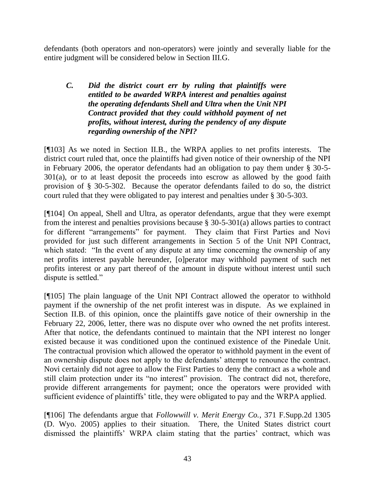defendants (both operators and non-operators) were jointly and severally liable for the entire judgment will be considered below in Section III.G.

### *C. Did the district court err by ruling that plaintiffs were entitled to be awarded WRPA interest and penalties against the operating defendants Shell and Ultra when the Unit NPI Contract provided that they could withhold payment of net profits, without interest, during the pendency of any dispute regarding ownership of the NPI?*

[¶103] As we noted in Section II.B., the WRPA applies to net profits interests. The district court ruled that, once the plaintiffs had given notice of their ownership of the NPI in February 2006, the operator defendants had an obligation to pay them under § 30-5- 301(a), or to at least deposit the proceeds into escrow as allowed by the good faith provision of § 30-5-302. Because the operator defendants failed to do so, the district court ruled that they were obligated to pay interest and penalties under § 30-5-303.

[¶104] On appeal, Shell and Ultra, as operator defendants, argue that they were exempt from the interest and penalties provisions because § 30-5-301(a) allows parties to contract for different "arrangements" for payment. They claim that First Parties and Novi provided for just such different arrangements in Section 5 of the Unit NPI Contract, which stated: "In the event of any dispute at any time concerning the ownership of any net profits interest payable hereunder, [o]perator may withhold payment of such net profits interest or any part thereof of the amount in dispute without interest until such dispute is settled."

[¶105] The plain language of the Unit NPI Contract allowed the operator to withhold payment if the ownership of the net profit interest was in dispute. As we explained in Section II.B. of this opinion, once the plaintiffs gave notice of their ownership in the February 22, 2006, letter, there was no dispute over who owned the net profits interest. After that notice, the defendants continued to maintain that the NPI interest no longer existed because it was conditioned upon the continued existence of the Pinedale Unit. The contractual provision which allowed the operator to withhold payment in the event of an ownership dispute does not apply to the defendants' attempt to renounce the contract. Novi certainly did not agree to allow the First Parties to deny the contract as a whole and still claim protection under its "no interest" provision. The contract did not, therefore, provide different arrangements for payment; once the operators were provided with sufficient evidence of plaintiffs' title, they were obligated to pay and the WRPA applied.

[¶106] The defendants argue that *Followwill v. Merit Energy Co.,* 371 F.Supp.2d 1305 (D. Wyo. 2005) applies to their situation. There, the United States district court dismissed the plaintiffs' WRPA claim stating that the parties' contract, which was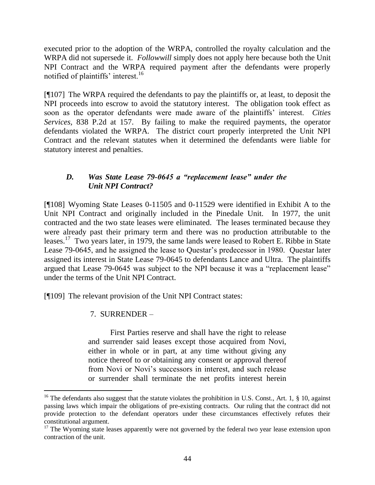executed prior to the adoption of the WRPA, controlled the royalty calculation and the WRPA did not supersede it. *Followwill* simply does not apply here because both the Unit NPI Contract and the WRPA required payment after the defendants were properly notified of plaintiffs' interest.<sup>16</sup>

[¶107] The WRPA required the defendants to pay the plaintiffs or, at least, to deposit the NPI proceeds into escrow to avoid the statutory interest. The obligation took effect as soon as the operator defendants were made aware of the plaintiffs' interest. *Cities Services,* 838 P.2d at 157. By failing to make the required payments, the operator defendants violated the WRPA. The district court properly interpreted the Unit NPI Contract and the relevant statutes when it determined the defendants were liable for statutory interest and penalties.

## *D. Was State Lease 79-0645 a "replacement lease" under the Unit NPI Contract?*

[¶108] Wyoming State Leases 0-11505 and 0-11529 were identified in Exhibit A to the Unit NPI Contract and originally included in the Pinedale Unit. In 1977, the unit contracted and the two state leases were eliminated. The leases terminated because they were already past their primary term and there was no production attributable to the leases.<sup>17</sup> Two years later, in 1979, the same lands were leased to Robert E. Ribbe in State Lease 79-0645, and he assigned the lease to Questar's predecessor in 1980. Questar later assigned its interest in State Lease 79-0645 to defendants Lance and Ultra. The plaintiffs argued that Lease 79-0645 was subject to the NPI because it was a "replacement lease" under the terms of the Unit NPI Contract.

[¶109] The relevant provision of the Unit NPI Contract states:

# 7. SURRENDER –

 $\overline{a}$ 

First Parties reserve and shall have the right to release and surrender said leases except those acquired from Novi, either in whole or in part, at any time without giving any notice thereof to or obtaining any consent or approval thereof from Novi or Novi's successors in interest, and such release or surrender shall terminate the net profits interest herein

<sup>&</sup>lt;sup>16</sup> The defendants also suggest that the statute violates the prohibition in U.S. Const., Art. 1, § 10, against passing laws which impair the obligations of pre-existing contracts. Our ruling that the contract did not provide protection to the defendant operators under these circumstances effectively refutes their constitutional argument.

 $17$  The Wyoming state leases apparently were not governed by the federal two year lease extension upon contraction of the unit.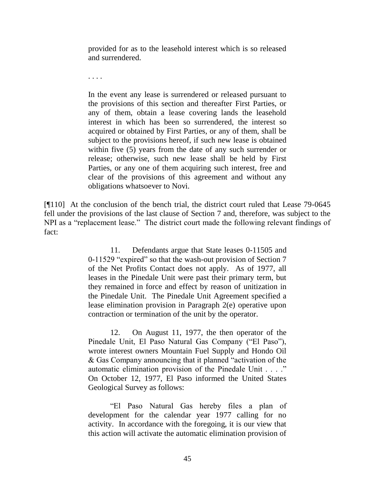provided for as to the leasehold interest which is so released and surrendered.

. . . .

In the event any lease is surrendered or released pursuant to the provisions of this section and thereafter First Parties, or any of them, obtain a lease covering lands the leasehold interest in which has been so surrendered, the interest so acquired or obtained by First Parties, or any of them, shall be subject to the provisions hereof, if such new lease is obtained within five (5) years from the date of any such surrender or release; otherwise, such new lease shall be held by First Parties, or any one of them acquiring such interest, free and clear of the provisions of this agreement and without any obligations whatsoever to Novi.

[¶110] At the conclusion of the bench trial, the district court ruled that Lease 79-0645 fell under the provisions of the last clause of Section 7 and, therefore, was subject to the NPI as a "replacement lease." The district court made the following relevant findings of fact:

> 11. Defendants argue that State leases 0-11505 and 0-11529 "expired" so that the wash-out provision of Section 7 of the Net Profits Contact does not apply. As of 1977, all leases in the Pinedale Unit were past their primary term, but they remained in force and effect by reason of unitization in the Pinedale Unit. The Pinedale Unit Agreement specified a lease elimination provision in Paragraph 2(e) operative upon contraction or termination of the unit by the operator.

> 12. On August 11, 1977, the then operator of the Pinedale Unit, El Paso Natural Gas Company ("El Paso"), wrote interest owners Mountain Fuel Supply and Hondo Oil  $& Gas Company, a  
> noncoming that it planned "activation of the$ automatic elimination provision of the Pinedale Unit . . . ." On October 12, 1977, El Paso informed the United States Geological Survey as follows:

> ―El Paso Natural Gas hereby files a plan of development for the calendar year 1977 calling for no activity. In accordance with the foregoing, it is our view that this action will activate the automatic elimination provision of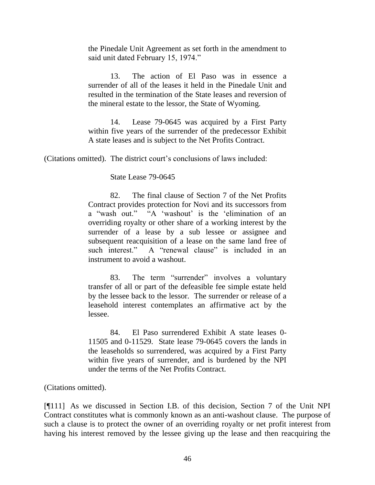the Pinedale Unit Agreement as set forth in the amendment to said unit dated February 15, 1974."

13. The action of El Paso was in essence a surrender of all of the leases it held in the Pinedale Unit and resulted in the termination of the State leases and reversion of the mineral estate to the lessor, the State of Wyoming.

14. Lease 79-0645 was acquired by a First Party within five years of the surrender of the predecessor Exhibit A state leases and is subject to the Net Profits Contract.

(Citations omitted). The district court's conclusions of laws included:

State Lease 79-0645

82. The final clause of Section 7 of the Net Profits Contract provides protection for Novi and its successors from a "wash out." "A 'washout' is the 'elimination of an overriding royalty or other share of a working interest by the surrender of a lease by a sub lessee or assignee and subsequent reacquisition of a lease on the same land free of such interest." A "renewal clause" is included in an instrument to avoid a washout.

83. The term "surrender" involves a voluntary transfer of all or part of the defeasible fee simple estate held by the lessee back to the lessor*.* The surrender or release of a leasehold interest contemplates an affirmative act by the lessee.

84. El Paso surrendered Exhibit A state leases 0- 11505 and 0-11529. State lease 79-0645 covers the lands in the leaseholds so surrendered, was acquired by a First Party within five years of surrender, and is burdened by the NPI under the terms of the Net Profits Contract.

(Citations omitted).

[¶111] As we discussed in Section I.B. of this decision, Section 7 of the Unit NPI Contract constitutes what is commonly known as an anti-washout clause. The purpose of such a clause is to protect the owner of an overriding royalty or net profit interest from having his interest removed by the lessee giving up the lease and then reacquiring the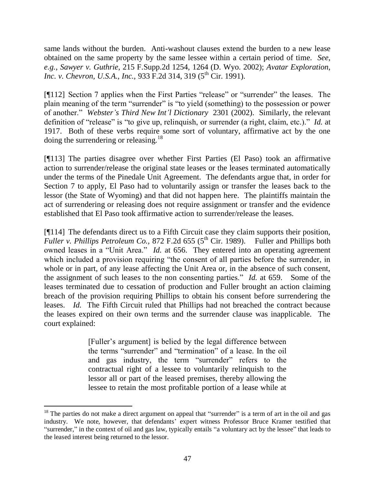same lands without the burden. Anti-washout clauses extend the burden to a new lease obtained on the same property by the same lessee within a certain period of time. *See, e.g.*, *Sawyer v. Guthrie,* 215 F.Supp.2d 1254, 1264 (D. Wyo. 2002); *Avatar Exploration, Inc. v. Chevron, U.S.A., Inc., 933 F.2d 314, 319 (5<sup>th</sup> Cir. 1991).* 

[¶112] Section 7 applies when the First Parties "release" or "surrender" the leases. The plain meaning of the term "surrender" is "to yield (something) to the possession or power of another.‖ *Webster's Third New Int'l Dictionary* 2301 (2002). Similarly, the relevant definition of "release" is "to give up, relinquish, or surrender (a right, claim, etc.)." *Id.* at 1917. Both of these verbs require some sort of voluntary, affirmative act by the one doing the surrendering or releasing.<sup>18</sup>

[¶113] The parties disagree over whether First Parties (El Paso) took an affirmative action to surrender/release the original state leases or the leases terminated automatically under the terms of the Pinedale Unit Agreement. The defendants argue that, in order for Section 7 to apply, El Paso had to voluntarily assign or transfer the leases back to the lessor (the State of Wyoming) and that did not happen here. The plaintiffs maintain the act of surrendering or releasing does not require assignment or transfer and the evidence established that El Paso took affirmative action to surrender/release the leases.

[¶114] The defendants direct us to a Fifth Circuit case they claim supports their position, *Fuller v. Phillips Petroleum Co., 872 F.2d 655 (5<sup>th</sup> Cir. 1989).* Fuller and Phillips both owned leases in a "Unit Area." *Id.* at 656. They entered into an operating agreement which included a provision requiring "the consent of all parties before the surrender, in whole or in part, of any lease affecting the Unit Area or, in the absence of such consent, the assignment of such leases to the non consenting parties." *Id.* at 659. Some of the leases terminated due to cessation of production and Fuller brought an action claiming breach of the provision requiring Phillips to obtain his consent before surrendering the leases. *Id.* The Fifth Circuit ruled that Phillips had not breached the contract because the leases expired on their own terms and the surrender clause was inapplicable. The court explained:

> [Fuller's argument] is belied by the legal difference between the terms "surrender" and "termination" of a lease. In the oil and gas industry, the term "surrender" refers to the contractual right of a lessee to voluntarily relinquish to the lessor all or part of the leased premises, thereby allowing the lessee to retain the most profitable portion of a lease while at

 $\overline{a}$ 

 $18$  The parties do not make a direct argument on appeal that "surrender" is a term of art in the oil and gas industry. We note, however, that defendants' expert witness Professor Bruce Kramer testified that "surrender," in the context of oil and gas law, typically entails "a voluntary act by the lessee" that leads to the leased interest being returned to the lessor.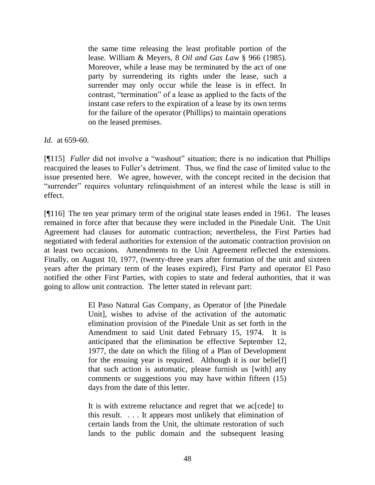the same time releasing the least profitable portion of the lease. William & Meyers, 8 *Oil and Gas Law* § 966 (1985). Moreover, while a lease may be terminated by the act of one party by surrendering its rights under the lease, such a surrender may only occur while the lease is in effect. In contrast, "termination" of a lease as applied to the facts of the instant case refers to the expiration of a lease by its own terms for the failure of the operator (Phillips) to maintain operations on the leased premises.

*Id.* at 659-60.

[¶115] *Fuller* did not involve a "washout" situation; there is no indication that Phillips reacquired the leases to Fuller's detriment. Thus, we find the case of limited value to the issue presented here. We agree, however, with the concept recited in the decision that "surrender" requires voluntary relinquishment of an interest while the lease is still in effect.

[¶116] The ten year primary term of the original state leases ended in 1961. The leases remained in force after that because they were included in the Pinedale Unit. The Unit Agreement had clauses for automatic contraction; nevertheless, the First Parties had negotiated with federal authorities for extension of the automatic contraction provision on at least two occasions. Amendments to the Unit Agreement reflected the extensions. Finally, on August 10, 1977, (twenty-three years after formation of the unit and sixteen years after the primary term of the leases expired), First Party and operator El Paso notified the other First Parties, with copies to state and federal authorities, that it was going to allow unit contraction. The letter stated in relevant part:

> El Paso Natural Gas Company, as Operator of [the Pinedale Unit], wishes to advise of the activation of the automatic elimination provision of the Pinedale Unit as set forth in the Amendment to said Unit dated February 15, 1974. It is anticipated that the elimination be effective September 12, 1977, the date on which the filing of a Plan of Development for the ensuing year is required. Although it is our belie[f] that such action is automatic, please furnish us [with] any comments or suggestions you may have within fifteen (15) days from the date of this letter.

It is with extreme reluctance and regret that we ac [cede] to this result. . . . It appears most unlikely that elimination of certain lands from the Unit, the ultimate restoration of such lands to the public domain and the subsequent leasing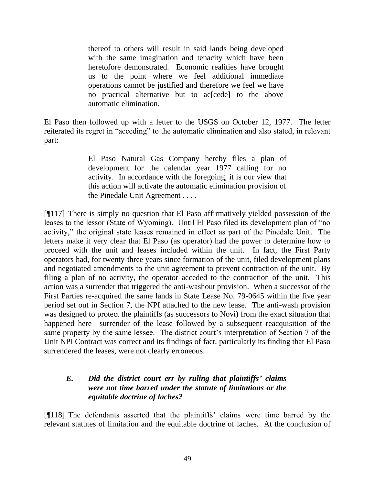thereof to others will result in said lands being developed with the same imagination and tenacity which have been heretofore demonstrated. Economic realities have brought us to the point where we feel additional immediate operations cannot be justified and therefore we feel we have no practical alternative but to ac[cede] to the above automatic elimination.

El Paso then followed up with a letter to the USGS on October 12, 1977. The letter reiterated its regret in "acceding" to the automatic elimination and also stated, in relevant part:

> El Paso Natural Gas Company hereby files a plan of development for the calendar year 1977 calling for no activity. In accordance with the foregoing, it is our view that this action will activate the automatic elimination provision of the Pinedale Unit Agreement . . . .

[¶117] There is simply no question that El Paso affirmatively yielded possession of the leases to the lessor (State of Wyoming). Until El Paso filed its development plan of "no activity," the original state leases remained in effect as part of the Pinedale Unit. The letters make it very clear that El Paso (as operator) had the power to determine how to proceed with the unit and leases included within the unit. In fact, the First Party operators had, for twenty-three years since formation of the unit, filed development plans and negotiated amendments to the unit agreement to prevent contraction of the unit. By filing a plan of no activity, the operator acceded to the contraction of the unit. This action was a surrender that triggered the anti-washout provision. When a successor of the First Parties re-acquired the same lands in State Lease No. 79-0645 within the five year period set out in Section 7, the NPI attached to the new lease. The anti-wash provision was designed to protect the plaintiffs (as successors to Novi) from the exact situation that happened here—surrender of the lease followed by a subsequent reacquisition of the same property by the same lessee. The district court's interpretation of Section 7 of the Unit NPI Contract was correct and its findings of fact, particularly its finding that El Paso surrendered the leases, were not clearly erroneous.

### *E. Did the district court err by ruling that plaintiffs' claims were not time barred under the statute of limitations or the equitable doctrine of laches?*

[¶118] The defendants asserted that the plaintiffs' claims were time barred by the relevant statutes of limitation and the equitable doctrine of laches. At the conclusion of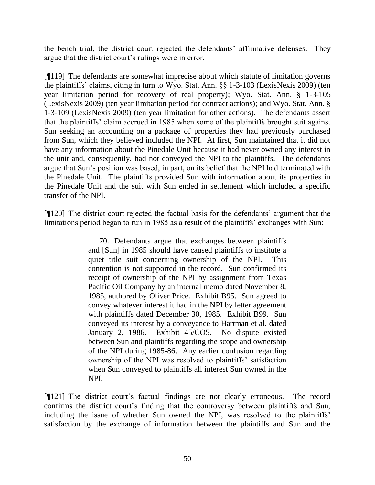the bench trial, the district court rejected the defendants' affirmative defenses. They argue that the district court's rulings were in error.

[¶119] The defendants are somewhat imprecise about which statute of limitation governs the plaintiffs' claims, citing in turn to Wyo. Stat. Ann. §§ 1-3-103 (LexisNexis 2009) (ten year limitation period for recovery of real property); Wyo. Stat. Ann. § 1-3-105 (LexisNexis 2009) (ten year limitation period for contract actions); and Wyo. Stat. Ann. § 1-3-109 (LexisNexis 2009) (ten year limitation for other actions). The defendants assert that the plaintiffs' claim accrued in 1985 when some of the plaintiffs brought suit against Sun seeking an accounting on a package of properties they had previously purchased from Sun, which they believed included the NPI. At first, Sun maintained that it did not have any information about the Pinedale Unit because it had never owned any interest in the unit and, consequently, had not conveyed the NPI to the plaintiffs. The defendants argue that Sun's position was based, in part, on its belief that the NPI had terminated with the Pinedale Unit. The plaintiffs provided Sun with information about its properties in the Pinedale Unit and the suit with Sun ended in settlement which included a specific transfer of the NPI.

[¶120] The district court rejected the factual basis for the defendants' argument that the limitations period began to run in 1985 as a result of the plaintiffs' exchanges with Sun:

> 70. Defendants argue that exchanges between plaintiffs and [Sun] in 1985 should have caused plaintiffs to institute a quiet title suit concerning ownership of the NPI. This contention is not supported in the record. Sun confirmed its receipt of ownership of the NPI by assignment from Texas Pacific Oil Company by an internal memo dated November 8, 1985, authored by Oliver Price. Exhibit B95. Sun agreed to convey whatever interest it had in the NPI by letter agreement with plaintiffs dated December 30, 1985. Exhibit B99. Sun conveyed its interest by a conveyance to Hartman et al. dated January 2, 1986. Exhibit 45/CO5. No dispute existed between Sun and plaintiffs regarding the scope and ownership of the NPI during 1985-86. Any earlier confusion regarding ownership of the NPI was resolved to plaintiffs' satisfaction when Sun conveyed to plaintiffs all interest Sun owned in the NPI.

[¶121] The district court's factual findings are not clearly erroneous. The record confirms the district court's finding that the controversy between plaintiffs and Sun, including the issue of whether Sun owned the NPI, was resolved to the plaintiffs' satisfaction by the exchange of information between the plaintiffs and Sun and the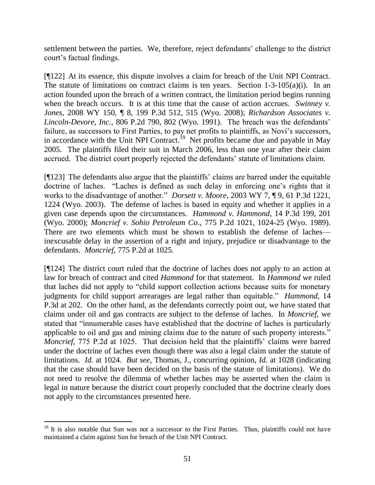settlement between the parties. We, therefore, reject defendants' challenge to the district court's factual findings.

[¶122] At its essence, this dispute involves a claim for breach of the Unit NPI Contract. The statute of limitations on contract claims is ten years. Section 1-3-105(a)(i). In an action founded upon the breach of a written contract, the limitation period begins running when the breach occurs. It is at this time that the cause of action accrues. *Swinney v. Jones,* 2008 WY 150, ¶ 8, 199 P.3d 512, 515 (Wyo. 2008); *[Richardson Associates v.](http://web2.westlaw.com/find/default.wl?tf=-1&rs=WLW9.11&referencepositiontype=S&serialnum=1991035378&fn=_top&sv=Split&referenceposition=802&pbc=190CC0D0&tc=-1&ordoc=2017669631&findtype=Y&db=661&vr=2.0&rp=%2ffind%2fdefault.wl&mt=117)  Lincoln-Devore, Inc.,* [806 P.2d 790, 802 \(Wyo. 1991\).](http://web2.westlaw.com/find/default.wl?tf=-1&rs=WLW9.11&referencepositiontype=S&serialnum=1991035378&fn=_top&sv=Split&referenceposition=802&pbc=190CC0D0&tc=-1&ordoc=2017669631&findtype=Y&db=661&vr=2.0&rp=%2ffind%2fdefault.wl&mt=117) The breach was the defendants' failure, as successors to First Parties, to pay net profits to plaintiffs, as Novi's successors, in accordance with the Unit NPI Contract.<sup>19</sup> Net profits became due and payable in May 2005. The plaintiffs filed their suit in March 2006, less than one year after their claim accrued. The district court properly rejected the defendants' statute of limitations claim.

[¶123] The defendants also argue that the plaintiffs' claims are barred under the equitable doctrine of laches. "Laches is defined as such delay in enforcing one's rights that it works to the disadvantage of another." *Dorsett v. Moore*, 2003 WY 7, ¶ 9, 61 P.3d 1221, 1224 (Wyo. 2003). The defense of laches is based in equity and whether it applies in a given case depends upon the circumstances. *Hammond v. Hammond,* 14 P.3d 199, 201 (Wyo. 2000); *Moncrief v. Sohio Petroleum Co*., 775 P.2d 1021, 1024-25 (Wyo. 1989). There are two elements which must be shown to establish the defense of laches inexcusable delay in the assertion of a right and injury, prejudice or disadvantage to the defendants. *Moncrief,* 775 P.2d at 1025.

[¶124] The district court ruled that the doctrine of laches does not apply to an action at law for breach of contract and cited *Hammond* for that statement. In *Hammond* we ruled that laches did not apply to "child support collection actions because suits for monetary judgments for child support arrearages are legal rather than equitable." *Hammond*, 14 P.3d at 202. On the other hand, as the defendants correctly point out, we have stated that claims under oil and gas contracts are subject to the defense of laches. In *Moncrief,* we stated that "innumerable cases have established that the doctrine of laches is particularly applicable to oil and gas and mining claims due to the nature of such property interests." *Moncrief,* 775 P.2d at 1025. That decision held that the plaintiffs' claims were barred under the doctrine of laches even though there was also a legal claim under the statute of limitations. *Id.* at 1024. *But see*, Thomas, J., concurring opinion, *Id.* at 1028 (indicating that the case should have been decided on the basis of the statute of limitations). We do not need to resolve the dilemma of whether laches may be asserted when the claim is legal in nature because the district court properly concluded that the doctrine clearly does not apply to the circumstances presented here.

 $\overline{a}$ 

 $19$  It is also notable that Sun was not a successor to the First Parties. Thus, plaintiffs could not have maintained a claim against Sun for breach of the Unit NPI Contract.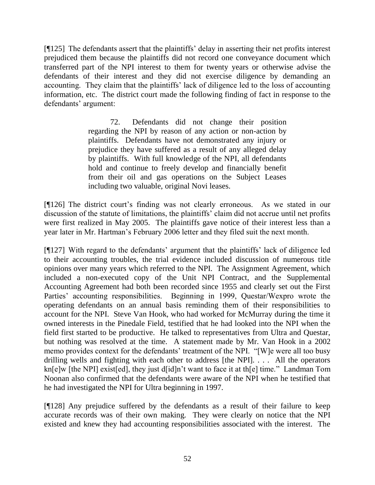[¶125] The defendants assert that the plaintiffs' delay in asserting their net profits interest prejudiced them because the plaintiffs did not record one conveyance document which transferred part of the NPI interest to them for twenty years or otherwise advise the defendants of their interest and they did not exercise diligence by demanding an accounting. They claim that the plaintiffs' lack of diligence led to the loss of accounting information, etc. The district court made the following finding of fact in response to the defendants' argument:

> 72. Defendants did not change their position regarding the NPI by reason of any action or non-action by plaintiffs. Defendants have not demonstrated any injury or prejudice they have suffered as a result of any alleged delay by plaintiffs. With full knowledge of the NPI, all defendants hold and continue to freely develop and financially benefit from their oil and gas operations on the Subject Leases including two valuable, original Novi leases.

[¶126] The district court's finding was not clearly erroneous. As we stated in our discussion of the statute of limitations, the plaintiffs' claim did not accrue until net profits were first realized in May 2005. The plaintiffs gave notice of their interest less than a year later in Mr. Hartman's February 2006 letter and they filed suit the next month.

[¶127] With regard to the defendants' argument that the plaintiffs' lack of diligence led to their accounting troubles, the trial evidence included discussion of numerous title opinions over many years which referred to the NPI. The Assignment Agreement, which included a non-executed copy of the Unit NPI Contract, and the Supplemental Accounting Agreement had both been recorded since 1955 and clearly set out the First Parties' accounting responsibilities. Beginning in 1999, Questar/Wexpro wrote the operating defendants on an annual basis reminding them of their responsibilities to account for the NPI. Steve Van Hook, who had worked for McMurray during the time it owned interests in the Pinedale Field, testified that he had looked into the NPI when the field first started to be productive. He talked to representatives from Ultra and Questar, but nothing was resolved at the time. A statement made by Mr. Van Hook in a 2002 memo provides context for the defendants' treatment of the NPI. "[W]e were all too busy drilling wells and fighting with each other to address [the NPI]. . . . All the operators  $kn[e]w$  [the NPI] exist[ed], they just d[id]n't want to face it at th[e] time." Landman Tom Noonan also confirmed that the defendants were aware of the NPI when he testified that he had investigated the NPI for Ultra beginning in 1997.

[¶128] Any prejudice suffered by the defendants as a result of their failure to keep accurate records was of their own making. They were clearly on notice that the NPI existed and knew they had accounting responsibilities associated with the interest. The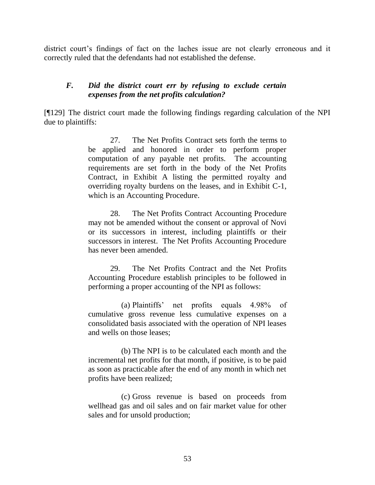district court's findings of fact on the laches issue are not clearly erroneous and it correctly ruled that the defendants had not established the defense.

#### *F. Did the district court err by refusing to exclude certain expenses from the net profits calculation?*

[¶129] The district court made the following findings regarding calculation of the NPI due to plaintiffs:

> 27. The Net Profits Contract sets forth the terms to be applied and honored in order to perform proper computation of any payable net profits. The accounting requirements are set forth in the body of the Net Profits Contract, in Exhibit A listing the permitted royalty and overriding royalty burdens on the leases, and in Exhibit C-1, which is an Accounting Procedure.

> 28. The Net Profits Contract Accounting Procedure may not be amended without the consent or approval of Novi or its successors in interest, including plaintiffs or their successors in interest. The Net Profits Accounting Procedure has never been amended.

> 29. The Net Profits Contract and the Net Profits Accounting Procedure establish principles to be followed in performing a proper accounting of the NPI as follows:

> (a) Plaintiffs' net profits equals 4.98% of cumulative gross revenue less cumulative expenses on a consolidated basis associated with the operation of NPI leases and wells on those leases;

> (b) The NPI is to be calculated each month and the incremental net profits for that month, if positive, is to be paid as soon as practicable after the end of any month in which net profits have been realized;

> (c) Gross revenue is based on proceeds from wellhead gas and oil sales and on fair market value for other sales and for unsold production;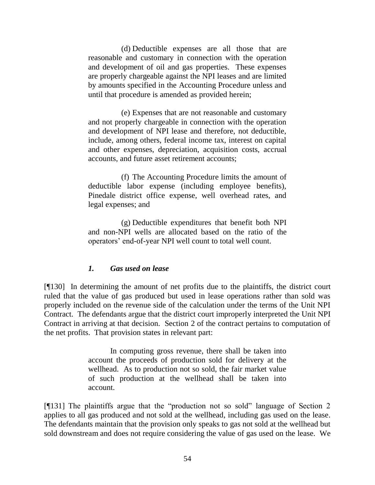(d) Deductible expenses are all those that are reasonable and customary in connection with the operation and development of oil and gas properties. These expenses are properly chargeable against the NPI leases and are limited by amounts specified in the Accounting Procedure unless and until that procedure is amended as provided herein;

(e) Expenses that are not reasonable and customary and not properly chargeable in connection with the operation and development of NPI lease and therefore, not deductible, include, among others, federal income tax, interest on capital and other expenses, depreciation, acquisition costs, accrual accounts, and future asset retirement accounts;

(f) The Accounting Procedure limits the amount of deductible labor expense (including employee benefits), Pinedale district office expense, well overhead rates, and legal expenses; and

(g) Deductible expenditures that benefit both NPI and non-NPI wells are allocated based on the ratio of the operators' end-of-year NPI well count to total well count.

#### *1. Gas used on lease*

[¶130] In determining the amount of net profits due to the plaintiffs, the district court ruled that the value of gas produced but used in lease operations rather than sold was properly included on the revenue side of the calculation under the terms of the Unit NPI Contract. The defendants argue that the district court improperly interpreted the Unit NPI Contract in arriving at that decision. Section 2 of the contract pertains to computation of the net profits. That provision states in relevant part:

> In computing gross revenue, there shall be taken into account the proceeds of production sold for delivery at the wellhead. As to production not so sold, the fair market value of such production at the wellhead shall be taken into account.

[ $[131]$ ] The plaintiffs argue that the "production not so sold" language of Section 2 applies to all gas produced and not sold at the wellhead, including gas used on the lease. The defendants maintain that the provision only speaks to gas not sold at the wellhead but sold downstream and does not require considering the value of gas used on the lease. We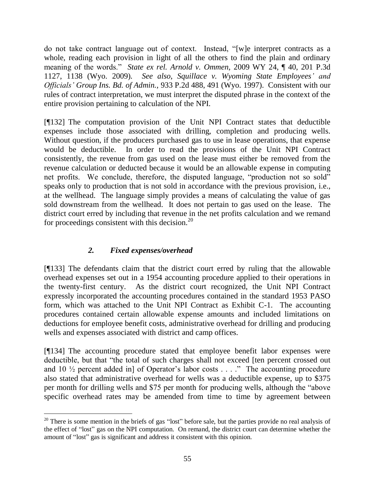do not take contract language out of context. Instead, "[w]e interpret contracts as a whole, reading each provision in light of all the others to find the plain and ordinary meaning of the words.‖ *State ex rel. Arnold v. Ommen,* 2009 WY 24, ¶ 40, 201 P.3d 1127, 1138 (Wyo. 2009). *See also*, *Squillace v. Wyoming [State Employees' and](http://web2.westlaw.com/find/default.wl?tf=-1&rs=WLW9.11&referencepositiontype=S&serialnum=1997060277&fn=_top&sv=Split&referenceposition=491&pbc=A92E73F8&tc=-1&ordoc=2018195810&findtype=Y&db=661&vr=2.0&rp=%2ffind%2fdefault.wl&mt=117)  Officials' [Group Ins. Bd. of Admin.,](http://web2.westlaw.com/find/default.wl?tf=-1&rs=WLW9.11&referencepositiontype=S&serialnum=1997060277&fn=_top&sv=Split&referenceposition=491&pbc=A92E73F8&tc=-1&ordoc=2018195810&findtype=Y&db=661&vr=2.0&rp=%2ffind%2fdefault.wl&mt=117)* 933 P.2d 488, 491 (Wyo. 1997). Consistent with our rules of contract interpretation, we must interpret the disputed phrase in the context of the entire provision pertaining to calculation of the NPI.

[¶132] The computation provision of the Unit NPI Contract states that deductible expenses include those associated with drilling, completion and producing wells. Without question, if the producers purchased gas to use in lease operations, that expense would be deductible. In order to read the provisions of the Unit NPI Contract consistently, the revenue from gas used on the lease must either be removed from the revenue calculation or deducted because it would be an allowable expense in computing net profits. We conclude, therefore, the disputed language, "production not so sold" speaks only to production that is not sold in accordance with the previous provision, i.e., at the wellhead. The language simply provides a means of calculating the value of gas sold downstream from the wellhead. It does not pertain to gas used on the lease. The district court erred by including that revenue in the net profits calculation and we remand for proceedings consistent with this decision. $^{20}$ 

# *2. Fixed expenses/overhead*

 $\overline{a}$ 

[¶133] The defendants claim that the district court erred by ruling that the allowable overhead expenses set out in a 1954 accounting procedure applied to their operations in the twenty-first century. As the district court recognized, the Unit NPI Contract expressly incorporated the accounting procedures contained in the standard 1953 PASO form, which was attached to the Unit NPI Contract as Exhibit C-1. The accounting procedures contained certain allowable expense amounts and included limitations on deductions for employee benefit costs, administrative overhead for drilling and producing wells and expenses associated with district and camp offices.

[¶134] The accounting procedure stated that employee benefit labor expenses were deductible, but that "the total of such charges shall not exceed [ten percent crossed out and 10  $\frac{1}{2}$  percent added in of Operator's labor costs . . . ." The accounting procedure also stated that administrative overhead for wells was a deductible expense, up to \$375 per month for drilling wells and \$75 per month for producing wells, although the "above" specific overhead rates may be amended from time to time by agreement between

 $20$  There is some mention in the briefs of gas "lost" before sale, but the parties provide no real analysis of the effect of "lost" gas on the NPI computation. On remand, the district court can determine whether the amount of "lost" gas is significant and address it consistent with this opinion.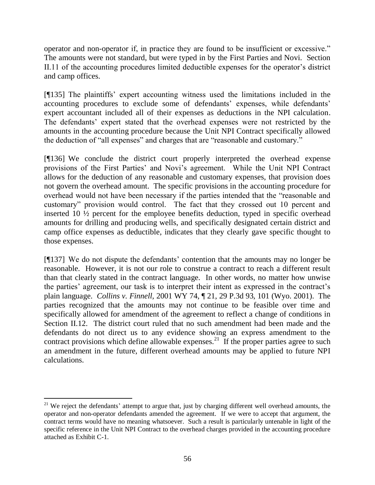operator and non-operator if, in practice they are found to be insufficient or excessive." The amounts were not standard, but were typed in by the First Parties and Novi. Section II.11 of the accounting procedures limited deductible expenses for the operator's district and camp offices.

[¶135] The plaintiffs' expert accounting witness used the limitations included in the accounting procedures to exclude some of defendants' expenses, while defendants' expert accountant included all of their expenses as deductions in the NPI calculation. The defendants' expert stated that the overhead expenses were not restricted by the amounts in the accounting procedure because the Unit NPI Contract specifically allowed the deduction of "all expenses" and charges that are "reasonable and customary."

[¶136] We conclude the district court properly interpreted the overhead expense provisions of the First Parties' and Novi's agreement. While the Unit NPI Contract allows for the deduction of any reasonable and customary expenses, that provision does not govern the overhead amount. The specific provisions in the accounting procedure for overhead would not have been necessary if the parties intended that the "reasonable and customary‖ provision would control. The fact that they crossed out 10 percent and inserted 10 ½ percent for the employee benefits deduction, typed in specific overhead amounts for drilling and producing wells, and specifically designated certain district and camp office expenses as deductible, indicates that they clearly gave specific thought to those expenses.

[¶137] We do not dispute the defendants' contention that the amounts may no longer be reasonable. However, it is not our role to construe a contract to reach a different result than that clearly stated in the contract language. In other words, no matter how unwise the parties' agreement, our task is to interpret their intent as expressed in the contract's plain language. *Collins v. Finnell,* 2001 WY 74, ¶ 21, 29 P.3d 93, 101 (Wyo. 2001). The parties recognized that the amounts may not continue to be feasible over time and specifically allowed for amendment of the agreement to reflect a change of conditions in Section II.12. The district court ruled that no such amendment had been made and the defendants do not direct us to any evidence showing an express amendment to the contract provisions which define allowable expenses.<sup>21</sup> If the proper parties agree to such an amendment in the future, different overhead amounts may be applied to future NPI calculations.

 $\overline{a}$  $21$  We reject the defendants' attempt to argue that, just by charging different well overhead amounts, the operator and non-operator defendants amended the agreement. If we were to accept that argument, the contract terms would have no meaning whatsoever. Such a result is particularly untenable in light of the specific reference in the Unit NPI Contract to the overhead charges provided in the accounting procedure attached as Exhibit C-1.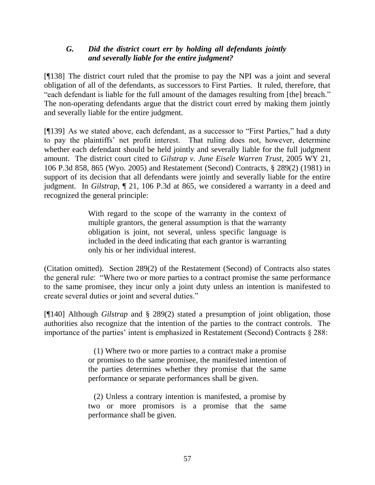### *G. Did the district court err by holding all defendants jointly and severally liable for the entire judgment?*

[¶138] The district court ruled that the promise to pay the NPI was a joint and several obligation of all of the defendants, as successors to First Parties. It ruled, therefore, that "each defendant is liable for the full amount of the damages resulting from [the] breach." The non-operating defendants argue that the district court erred by making them jointly and severally liable for the entire judgment.

[¶139] As we stated above, each defendant, as a successor to "First Parties," had a duty to pay the plaintiffs' net profit interest. That ruling does not, however, determine whether each defendant should be held jointly and severally liable for the full judgment amount. The district court cited to *Gilstrap v. June Eisele Warren Trust,* 2005 WY 21, 106 P.3d 858, 865 (Wyo. 2005) and Restatement (Second) Contracts, § 289(2) (1981) in support of its decision that all defendants were jointly and severally liable for the entire judgment. In *Gilstrap,* ¶ 21, 106 P.3d at 865, we considered a warranty in a deed and recognized the general principle:

> With regard to the scope of the warranty in the context of multiple grantors, the general assumption is that the warranty obligation is joint, not several, unless specific language is included in the deed indicating that each grantor is warranting only his or her individual interest.

(Citation omitted). Section 289(2) of the Restatement (Second) of Contracts also states the general rule: "Where two or more parties to a contract promise the same performance to the same promisee, they incur only a joint duty unless an intention is manifested to create several duties or joint and several duties."

[¶140] Although *Gilstrap* and § 289(2) stated a presumption of joint obligation, those authorities also recognize that the intention of the parties to the contract controls. The importance of the parties' intent is emphasized in Restatement (Second) Contracts § 288:

> (1) Where two or more parties to a contract make a promise or promises to the same promisee, the manifested intention of the parties determines whether they promise that the same performance or separate performances shall be given.

> (2) Unless a contrary intention is manifested, a promise by two or more promisors is a promise that the same performance shall be given.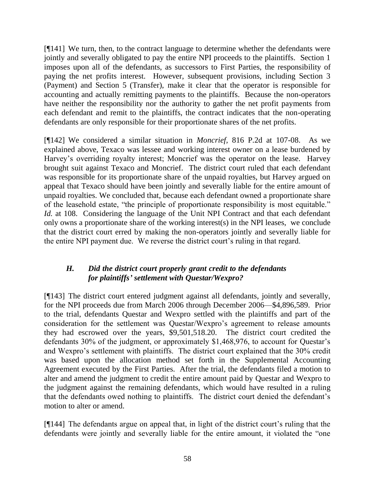[¶141] We turn, then, to the contract language to determine whether the defendants were jointly and severally obligated to pay the entire NPI proceeds to the plaintiffs. Section 1 imposes upon all of the defendants, as successors to First Parties, the responsibility of paying the net profits interest. However, subsequent provisions, including Section 3 (Payment) and Section 5 (Transfer), make it clear that the operator is responsible for accounting and actually remitting payments to the plaintiffs. Because the non-operators have neither the responsibility nor the authority to gather the net profit payments from each defendant and remit to the plaintiffs, the contract indicates that the non-operating defendants are only responsible for their proportionate shares of the net profits.

[¶142] We considered a similar situation in *Moncrief,* 816 P.2d at 107-08. As we explained above, Texaco was lessee and working interest owner on a lease burdened by Harvey's overriding royalty interest; Moncrief was the operator on the lease. Harvey brought suit against Texaco and Moncrief. The district court ruled that each defendant was responsible for its proportionate share of the unpaid royalties, but Harvey argued on appeal that Texaco should have been jointly and severally liable for the entire amount of unpaid royalties. We concluded that, because each defendant owned a proportionate share of the leasehold estate, "the principle of proportionate responsibility is most equitable." *Id.* at 108. Considering the language of the Unit NPI Contract and that each defendant only owns a proportionate share of the working interest(s) in the NPI leases, we conclude that the district court erred by making the non-operators jointly and severally liable for the entire NPI payment due. We reverse the district court's ruling in that regard.

#### *H. Did the district court properly grant credit to the defendants for plaintiffs' settlement with Questar/Wexpro?*

[¶143] The district court entered judgment against all defendants, jointly and severally, for the NPI proceeds due from March 2006 through December 2006—\$4,896,589. Prior to the trial, defendants Questar and Wexpro settled with the plaintiffs and part of the consideration for the settlement was Questar/Wexpro's agreement to release amounts they had escrowed over the years, \$9,501,518.20. The district court credited the defendants 30% of the judgment, or approximately \$1,468,976, to account for Questar's and Wexpro's settlement with plaintiffs. The district court explained that the 30% credit was based upon the allocation method set forth in the Supplemental Accounting Agreement executed by the First Parties. After the trial, the defendants filed a motion to alter and amend the judgment to credit the entire amount paid by Questar and Wexpro to the judgment against the remaining defendants, which would have resulted in a ruling that the defendants owed nothing to plaintiffs. The district court denied the defendant's motion to alter or amend.

[¶144] The defendants argue on appeal that, in light of the district court's ruling that the defendants were jointly and severally liable for the entire amount, it violated the "one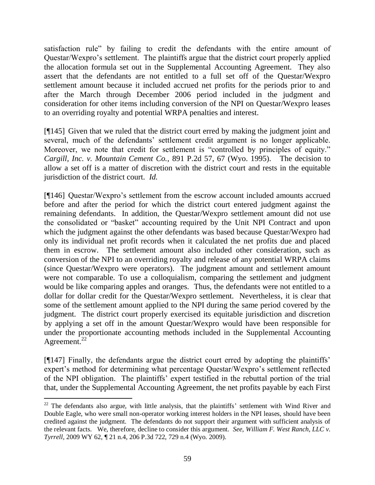satisfaction rule" by failing to credit the defendants with the entire amount of Questar/Wexpro's settlement. The plaintiffs argue that the district court properly applied the allocation formula set out in the Supplemental Accounting Agreement. They also assert that the defendants are not entitled to a full set off of the Questar/Wexpro settlement amount because it included accrued net profits for the periods prior to and after the March through December 2006 period included in the judgment and consideration for other items including conversion of the NPI on Questar/Wexpro leases to an overriding royalty and potential WRPA penalties and interest.

[¶145] Given that we ruled that the district court erred by making the judgment joint and several, much of the defendants' settlement credit argument is no longer applicable. Moreover, we note that credit for settlement is "controlled by principles of equity." *Cargill, Inc. v. Mountain Cement Co.,* 891 P.2d 57, 67 (Wyo. 1995). The decision to allow a set off is a matter of discretion with the district court and rests in the equitable jurisdiction of the district court. *Id.* 

[¶146] Questar/Wexpro's settlement from the escrow account included amounts accrued before and after the period for which the district court entered judgment against the remaining defendants. In addition, the Questar/Wexpro settlement amount did not use the consolidated or "basket" accounting required by the Unit NPI Contract and upon which the judgment against the other defendants was based because Questar/Wexpro had only its individual net profit records when it calculated the net profits due and placed them in escrow. The settlement amount also included other consideration, such as conversion of the NPI to an overriding royalty and release of any potential WRPA claims (since Questar/Wexpro were operators). The judgment amount and settlement amount were not comparable. To use a colloquialism, comparing the settlement and judgment would be like comparing apples and oranges. Thus, the defendants were not entitled to a dollar for dollar credit for the Questar/Wexpro settlement. Nevertheless, it is clear that some of the settlement amount applied to the NPI during the same period covered by the judgment. The district court properly exercised its equitable jurisdiction and discretion by applying a set off in the amount Questar/Wexpro would have been responsible for under the proportionate accounting methods included in the Supplemental Accounting Agreement. $^{22}$ 

[¶147] Finally, the defendants argue the district court erred by adopting the plaintiffs' expert's method for determining what percentage Questar/Wexpro's settlement reflected of the NPI obligation. The plaintiffs' expert testified in the rebuttal portion of the trial that, under the Supplemental Accounting Agreement, the net profits payable by each First

 $\overline{a}$ 

 $22$  The defendants also argue, with little analysis, that the plaintiffs' settlement with Wind River and Double Eagle, who were small non-operator working interest holders in the NPI leases, should have been credited against the judgment. The defendants do not support their argument with sufficient analysis of the relevant facts. We, therefore, decline to consider this argument. *See*, *William F. West Ranch, LLC v. Tyrrell,* 2009 WY 62, ¶ 21 n.4, 206 P.3d 722, 729 n.4 (Wyo. 2009).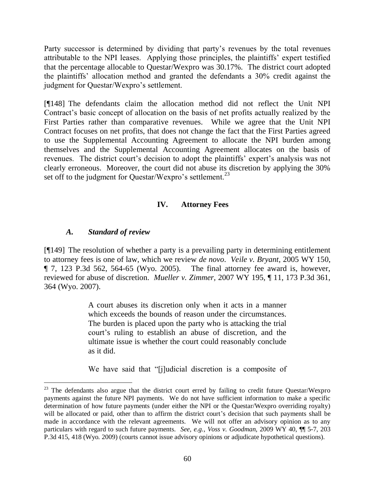Party successor is determined by dividing that party's revenues by the total revenues attributable to the NPI leases. Applying those principles, the plaintiffs' expert testified that the percentage allocable to Questar/Wexpro was 30.17%. The district court adopted the plaintiffs' allocation method and granted the defendants a 30% credit against the judgment for Questar/Wexpro's settlement.

[¶148] The defendants claim the allocation method did not reflect the Unit NPI Contract's basic concept of allocation on the basis of net profits actually realized by the First Parties rather than comparative revenues. While we agree that the Unit NPI Contract focuses on net profits, that does not change the fact that the First Parties agreed to use the Supplemental Accounting Agreement to allocate the NPI burden among themselves and the Supplemental Accounting Agreement allocates on the basis of revenues. The district court's decision to adopt the plaintiffs' expert's analysis was not clearly erroneous. Moreover, the court did not abuse its discretion by applying the 30% set off to the judgment for Questar/Wexpro's settlement.<sup>23</sup>

#### **IV. Attorney Fees**

#### *A. Standard of review*

 $\overline{a}$ 

[¶149] The resolution of whether a party is a prevailing party in determining entitlement to attorney fees is one of law, which we review *de novo*. *Veile v. Bryant*, 2005 WY 150, The final attorney fee award is, however, reviewed for abuse of discretion. *Mueller v. Zimmer,* 2007 WY 195, ¶ 11, 173 P.3d 361, 364 (Wyo. 2007).

> A court abuses its discretion only when it acts in a manner which exceeds the bounds of reason under the circumstances. The burden is placed upon the party who is attacking the trial court's ruling to establish an abuse of discretion, and the ultimate issue is whether the court could reasonably conclude as it did.

> We have said that "[j]udicial discretion is a composite of

<sup>&</sup>lt;sup>23</sup> The defendants also argue that the district court erred by failing to credit future Questar/Wexpro payments against the future NPI payments. We do not have sufficient information to make a specific determination of how future payments (under either the NPI or the Questar/Wexpro overriding royalty) will be allocated or paid, other than to affirm the district court's decision that such payments shall be made in accordance with the relevant agreements. We will not offer an advisory opinion as to any particulars with regard to such future payments. *See, e.g.*, *Voss v. Goodman,* 2009 WY 40, ¶¶ 5-7, 203 P.3d 415, 418 (Wyo. 2009) (courts cannot issue advisory opinions or adjudicate hypothetical questions).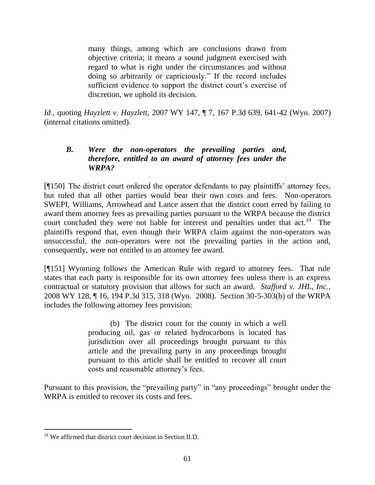many things, among which are conclusions drawn from objective criteria; it means a sound judgment exercised with regard to what is right under the circumstances and without doing so arbitrarily or capriciously." If the record includes sufficient evidence to support the district court's exercise of discretion, we uphold its decision.

*Id.,* quoting *[Hayzlett v. Hayzlett,](http://www.westlaw.com/Find/Default.wl?rs=dfa1.0&vr=2.0&DB=4645&FindType=Y&ReferencePositionType=S&SerialNum=2013196073&ReferencePosition=641)* 2007 WY 147, ¶ 7, [167 P.3d 639, 641-42 \(Wyo. 2007\)](http://www.westlaw.com/Find/Default.wl?rs=dfa1.0&vr=2.0&DB=4645&FindType=Y&ReferencePositionType=S&SerialNum=2013196073&ReferencePosition=641) (internal citations omitted).

### *B. Were the non-operators the prevailing parties and, therefore, entitled to an award of attorney fees under the WRPA?*

[¶150] The district court ordered the operator defendants to pay plaintiffs' attorney fees, but ruled that all other parties would bear their own costs and fees. Non-operators SWEPI, Williams, Arrowhead and Lance assert that the district court erred by failing to award them attorney fees as prevailing parties pursuant to the WRPA because the district court concluded they were not liable for interest and penalties under that  $act.^{24}$ . The plaintiffs respond that, even though their WRPA claim against the non-operators was unsuccessful, the non-operators were not the prevailing parties in the action and, consequently, were not entitled to an attorney fee award.

[¶151] Wyoming follows the American Rule with regard to attorney fees. That rule states that each party is responsible for its own attorney fees unless there is an express contractual or statutory provision that allows for such an award. *Stafford v. JHL, Inc.,* 2008 WY 128, ¶ 16, 194 P.3d 315, 318 (Wyo. 2008). Section 30-5-303(b) of the WRPA includes the following attorney fees provision:

> (b) The district court for the county in which a well producing oil, gas or related hydrocarbons is located has jurisdiction over all proceedings brought pursuant to this article and the prevailing party in any proceedings brought pursuant to this article shall be entitled to recover all court costs and reasonable attorney's fees.

Pursuant to this provision, the "prevailing party" in "any proceedings" brought under the WRPA is entitled to recover its costs and fees.

 $\overline{a}$  $^{24}$  We affirmed that district court decision in Section II.D.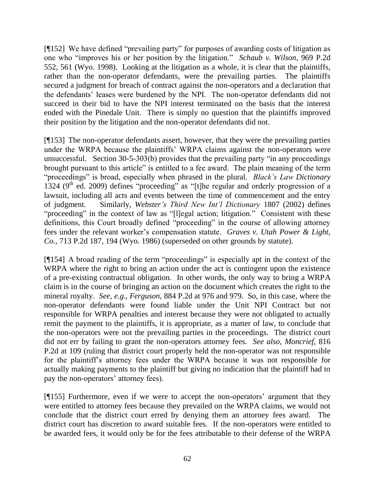[¶152] We have defined "prevailing party" for purposes of awarding costs of litigation as one who "improves his or her position by the litigation." *Schaub v. Wilson*, 969 P.2d 552, 561 (Wyo. 1998). Looking at the litigation as a whole, it is clear that the plaintiffs, rather than the non-operator defendants, were the prevailing parties. The plaintiffs secured a judgment for breach of contract against the non-operators and a declaration that the defendants' leases were burdened by the NPI. The non-operator defendants did not succeed in their bid to have the NPI interest terminated on the basis that the interest ended with the Pinedale Unit. There is simply no question that the plaintiffs improved their position by the litigation and the non-operator defendants did not.

[¶153] The non-operator defendants assert, however, that they were the prevailing parties under the WRPA because the plaintiffs' WRPA claims against the non-operators were unsuccessful. Section  $30-5-303(b)$  provides that the prevailing party "in any proceedings brought pursuant to this article" is entitled to a fee award. The plain meaning of the term "proceedings" is broad, especially when phrased in the plural. *Black's Law Dictionary* 1324 ( $9<sup>th</sup>$  ed. 2009) defines "proceeding" as "[t]he regular and orderly progression of a lawsuit, including all acts and events between the time of commencement and the entry of judgment. Similarly, *Webster's Third New Int'l Dictionary* 1807 (2002) defines "proceeding" in the context of law as "[l]egal action; litigation." Consistent with these definitions, this Court broadly defined "proceeding" in the course of allowing attorney fees under the relevant worker's compensation statute. *Graves v. Utah Power & Light, Co.,* 713 P.2d 187, 194 (Wyo. 1986) (superseded on other grounds by statute).

 $[9154]$  A broad reading of the term "proceedings" is especially apt in the context of the WRPA where the right to bring an action under the act is contingent upon the existence of a pre-existing contractual obligation. In other words, the only way to bring a WRPA claim is in the course of bringing an action on the document which creates the right to the mineral royalty. *See, e.g*., *Ferguson,* 884 P.2d at 976 and 979. So, in this case, where the non-operator defendants were found liable under the Unit NPI Contract but not responsible for WRPA penalties and interest because they were not obligated to actually remit the payment to the plaintiffs, it is appropriate, as a matter of law, to conclude that the non-operators were not the prevailing parties in the proceedings. The district court did not err by failing to grant the non-operators attorney fees. *See also*, *Moncrief,* 816 P.2d at 109 (ruling that district court properly held the non-operator was not responsible for the plaintiff's attorney fees under the WRPA because it was not responsible for actually making payments to the plaintiff but giving no indication that the plaintiff had to pay the non-operators' attorney fees).

[¶155] Furthermore, even if we were to accept the non-operators' argument that they were entitled to attorney fees because they prevailed on the WRPA claims, we would not conclude that the district court erred by denying them an attorney fees award. The district court has discretion to award suitable fees. If the non-operators were entitled to be awarded fees, it would only be for the fees attributable to their defense of the WRPA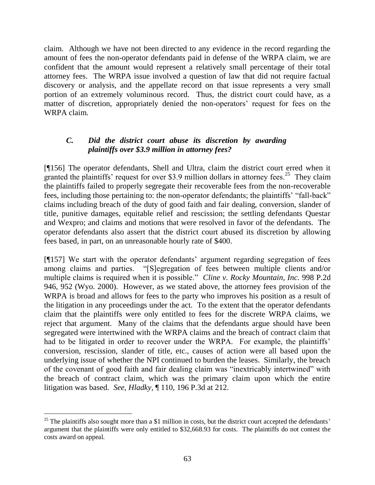claim. Although we have not been directed to any evidence in the record regarding the amount of fees the non-operator defendants paid in defense of the WRPA claim, we are confident that the amount would represent a relatively small percentage of their total attorney fees. The WRPA issue involved a question of law that did not require factual discovery or analysis, and the appellate record on that issue represents a very small portion of an extremely voluminous record. Thus, the district court could have, as a matter of discretion, appropriately denied the non-operators' request for fees on the WRPA claim.

### *C. Did the district court abuse its discretion by awarding plaintiffs over \$3.9 million in attorney fees?*

[¶156] The operator defendants, Shell and Ultra, claim the district court erred when it granted the plaintiffs' request for over \$3.9 million dollars in attorney fees.<sup>25</sup> They claim the plaintiffs failed to properly segregate their recoverable fees from the non-recoverable fees, including those pertaining to: the non-operator defendants; the plaintiffs' "fall-back" claims including breach of the duty of good faith and fair dealing, conversion, slander of title, punitive damages, equitable relief and rescission; the settling defendants Questar and Wexpro; and claims and motions that were resolved in favor of the defendants. The operator defendants also assert that the district court abused its discretion by allowing fees based, in part, on an unreasonable hourly rate of \$400.

[¶157] We start with the operator defendants' argument regarding segregation of fees among claims and parties. "[S]egregation of fees between multiple clients and/or multiple claims is required when it is possible." *Cline v. Rocky Mountain, Inc.* 998 P.2d 946, 952 (Wyo. 2000). However, as we stated above, the attorney fees provision of the WRPA is broad and allows for fees to the party who improves his position as a result of the litigation in any proceedings under the act. To the extent that the operator defendants claim that the plaintiffs were only entitled to fees for the discrete WRPA claims, we reject that argument. Many of the claims that the defendants argue should have been segregated were intertwined with the WRPA claims and the breach of contract claim that had to be litigated in order to recover under the WRPA. For example, the plaintiffs' conversion, rescission, slander of title, etc., causes of action were all based upon the underlying issue of whether the NPI continued to burden the leases. Similarly, the breach of the covenant of good faith and fair dealing claim was "inextricably intertwined" with the breach of contract claim, which was the primary claim upon which the entire litigation was based. *See, Hladky,* ¶ 110, 196 P.3d at 212.

 $\overline{a}$  $25$  The plaintiffs also sought more than a \$1 million in costs, but the district court accepted the defendants' argument that the plaintiffs were only entitled to \$32,668.93 for costs. The plaintiffs do not contest the costs award on appeal.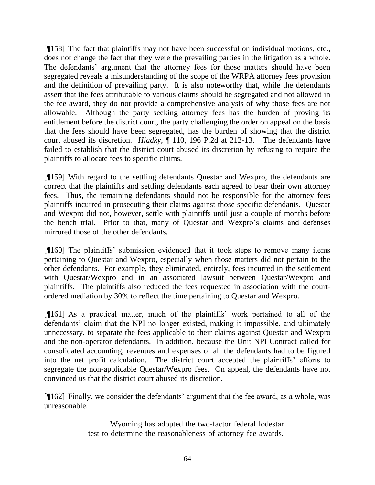[¶158] The fact that plaintiffs may not have been successful on individual motions, etc., does not change the fact that they were the prevailing parties in the litigation as a whole. The defendants' argument that the attorney fees for those matters should have been segregated reveals a misunderstanding of the scope of the WRPA attorney fees provision and the definition of prevailing party. It is also noteworthy that, while the defendants assert that the fees attributable to various claims should be segregated and not allowed in the fee award, they do not provide a comprehensive analysis of why those fees are not allowable. Although the party seeking attorney fees has the burden of proving its entitlement before the district court, the party challenging the order on appeal on the basis that the fees should have been segregated, has the burden of showing that the district court abused its discretion. *Hladky,* ¶ 110, 196 P.2d at 212-13. The defendants have failed to establish that the district court abused its discretion by refusing to require the plaintiffs to allocate fees to specific claims.

[¶159] With regard to the settling defendants Questar and Wexpro, the defendants are correct that the plaintiffs and settling defendants each agreed to bear their own attorney fees. Thus, the remaining defendants should not be responsible for the attorney fees plaintiffs incurred in prosecuting their claims against those specific defendants. Questar and Wexpro did not, however, settle with plaintiffs until just a couple of months before the bench trial. Prior to that, many of Questar and Wexpro's claims and defenses mirrored those of the other defendants.

[¶160] The plaintiffs' submission evidenced that it took steps to remove many items pertaining to Questar and Wexpro, especially when those matters did not pertain to the other defendants. For example, they eliminated, entirely, fees incurred in the settlement with Questar/Wexpro and in an associated lawsuit between Questar/Wexpro and plaintiffs. The plaintiffs also reduced the fees requested in association with the courtordered mediation by 30% to reflect the time pertaining to Questar and Wexpro.

[¶161] As a practical matter, much of the plaintiffs' work pertained to all of the defendants' claim that the NPI no longer existed, making it impossible, and ultimately unnecessary, to separate the fees applicable to their claims against Questar and Wexpro and the non-operator defendants. In addition, because the Unit NPI Contract called for consolidated accounting, revenues and expenses of all the defendants had to be figured into the net profit calculation. The district court accepted the plaintiffs' efforts to segregate the non-applicable Questar/Wexpro fees. On appeal, the defendants have not convinced us that the district court abused its discretion.

[¶162] Finally, we consider the defendants' argument that the fee award, as a whole, was unreasonable.

> Wyoming has adopted the two-factor federal lodestar test to determine the reasonableness of attorney fee awards.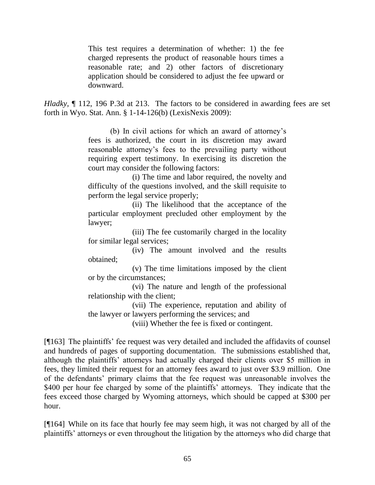This test requires a determination of whether: 1) the fee charged represents the product of reasonable hours times a reasonable rate; and 2) other factors of discretionary application should be considered to adjust the fee upward or downward.

*Hladky*,  $\parallel$  112, 196 P.3d at 213. The factors to be considered in awarding fees are set forth in Wyo. Stat. Ann. § 1-14-126(b) (LexisNexis 2009):

> (b) In civil actions for which an award of attorney's fees is authorized, the court in its discretion may award reasonable attorney's fees to the prevailing party without requiring expert testimony. In exercising its discretion the court may consider the following factors:

> (i) The time and labor required, the novelty and difficulty of the questions involved, and the skill requisite to perform the legal service properly;

> (ii) The likelihood that the acceptance of the particular employment precluded other employment by the lawyer;

> (iii) The fee customarily charged in the locality for similar legal services;

> (iv) The amount involved and the results obtained;

> (v) The time limitations imposed by the client or by the circumstances;

> (vi) The nature and length of the professional relationship with the client;

> (vii) The experience, reputation and ability of the lawyer or lawyers performing the services; and

(viii) Whether the fee is fixed or contingent.

[¶163] The plaintiffs' fee request was very detailed and included the affidavits of counsel and hundreds of pages of supporting documentation. The submissions established that, although the plaintiffs' attorneys had actually charged their clients over \$5 million in fees, they limited their request for an attorney fees award to just over \$3.9 million. One of the defendants' primary claims that the fee request was unreasonable involves the \$400 per hour fee charged by some of the plaintiffs' attorneys. They indicate that the fees exceed those charged by Wyoming attorneys, which should be capped at \$300 per hour.

[¶164] While on its face that hourly fee may seem high, it was not charged by all of the plaintiffs' attorneys or even throughout the litigation by the attorneys who did charge that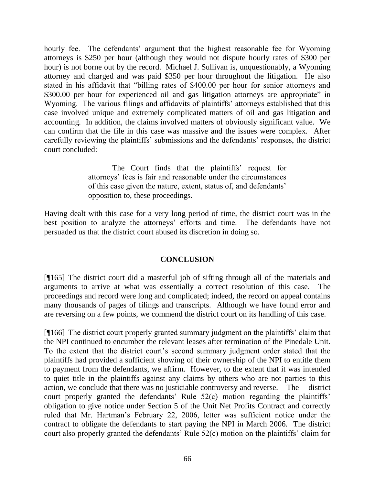hourly fee. The defendants' argument that the highest reasonable fee for Wyoming attorneys is \$250 per hour (although they would not dispute hourly rates of \$300 per hour) is not borne out by the record. Michael J. Sullivan is, unquestionably, a Wyoming attorney and charged and was paid \$350 per hour throughout the litigation. He also stated in his affidavit that "billing rates of \$400.00 per hour for senior attorneys and \$300.00 per hour for experienced oil and gas litigation attorneys are appropriate" in Wyoming. The various filings and affidavits of plaintiffs' attorneys established that this case involved unique and extremely complicated matters of oil and gas litigation and accounting. In addition, the claims involved matters of obviously significant value. We can confirm that the file in this case was massive and the issues were complex. After carefully reviewing the plaintiffs' submissions and the defendants' responses, the district court concluded:

> The Court finds that the plaintiffs' request for attorneys' fees is fair and reasonable under the circumstances of this case given the nature, extent, status of, and defendants' opposition to, these proceedings.

Having dealt with this case for a very long period of time, the district court was in the best position to analyze the attorneys' efforts and time. The defendants have not persuaded us that the district court abused its discretion in doing so.

#### **CONCLUSION**

[¶165] The district court did a masterful job of sifting through all of the materials and arguments to arrive at what was essentially a correct resolution of this case. The proceedings and record were long and complicated; indeed, the record on appeal contains many thousands of pages of filings and transcripts. Although we have found error and are reversing on a few points, we commend the district court on its handling of this case.

[¶166] The district court properly granted summary judgment on the plaintiffs' claim that the NPI continued to encumber the relevant leases after termination of the Pinedale Unit. To the extent that the district court's second summary judgment order stated that the plaintiffs had provided a sufficient showing of their ownership of the NPI to entitle them to payment from the defendants, we affirm. However, to the extent that it was intended to quiet title in the plaintiffs against any claims by others who are not parties to this action, we conclude that there was no justiciable controversy and reverse. The district court properly granted the defendants' Rule 52(c) motion regarding the plaintiffs' obligation to give notice under Section 5 of the Unit Net Profits Contract and correctly ruled that Mr. Hartman's February 22, 2006, letter was sufficient notice under the contract to obligate the defendants to start paying the NPI in March 2006. The district court also properly granted the defendants' Rule 52(c) motion on the plaintiffs' claim for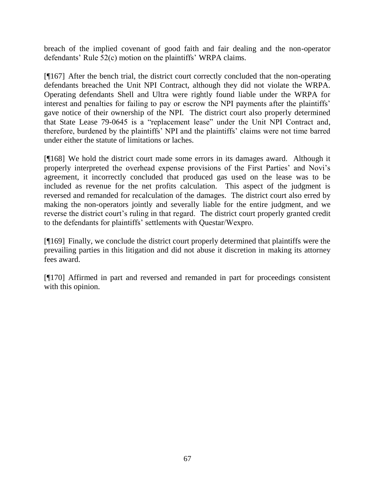breach of the implied covenant of good faith and fair dealing and the non-operator defendants' Rule 52(c) motion on the plaintiffs' WRPA claims.

[¶167] After the bench trial, the district court correctly concluded that the non-operating defendants breached the Unit NPI Contract, although they did not violate the WRPA. Operating defendants Shell and Ultra were rightly found liable under the WRPA for interest and penalties for failing to pay or escrow the NPI payments after the plaintiffs' gave notice of their ownership of the NPI. The district court also properly determined that State Lease 79-0645 is a "replacement lease" under the Unit NPI Contract and, therefore, burdened by the plaintiffs' NPI and the plaintiffs' claims were not time barred under either the statute of limitations or laches.

[¶168] We hold the district court made some errors in its damages award. Although it properly interpreted the overhead expense provisions of the First Parties' and Novi's agreement, it incorrectly concluded that produced gas used on the lease was to be included as revenue for the net profits calculation. This aspect of the judgment is reversed and remanded for recalculation of the damages. The district court also erred by making the non-operators jointly and severally liable for the entire judgment, and we reverse the district court's ruling in that regard. The district court properly granted credit to the defendants for plaintiffs' settlements with Questar/Wexpro.

[¶169] Finally, we conclude the district court properly determined that plaintiffs were the prevailing parties in this litigation and did not abuse it discretion in making its attorney fees award.

[¶170] Affirmed in part and reversed and remanded in part for proceedings consistent with this opinion.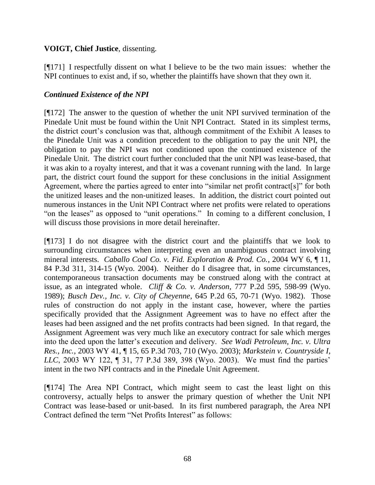# **VOIGT, Chief Justice**, dissenting.

[¶171] I respectfully dissent on what I believe to be the two main issues: whether the NPI continues to exist and, if so, whether the plaintiffs have shown that they own it.

# *Continued Existence of the NPI*

[¶172] The answer to the question of whether the unit NPI survived termination of the Pinedale Unit must be found within the Unit NPI Contract. Stated in its simplest terms, the district court's conclusion was that, although commitment of the Exhibit A leases to the Pinedale Unit was a condition precedent to the obligation to pay the unit NPI, the obligation to pay the NPI was not conditioned upon the continued existence of the Pinedale Unit. The district court further concluded that the unit NPI was lease-based, that it was akin to a royalty interest, and that it was a covenant running with the land. In large part, the district court found the support for these conclusions in the initial Assignment Agreement, where the parties agreed to enter into "similar net profit contract[s]" for both the unitized leases and the non-unitized leases. In addition, the district court pointed out numerous instances in the Unit NPI Contract where net profits were related to operations "on the leases" as opposed to "unit operations." In coming to a different conclusion, I will discuss those provisions in more detail hereinafter.

[¶173] I do not disagree with the district court and the plaintiffs that we look to surrounding circumstances when interpreting even an unambiguous contract involving mineral interests. *Caballo Coal Co. v. Fid. Exploration & Prod. Co.*, 2004 WY 6, ¶ 11, 84 P.3d 311, 314-15 (Wyo. 2004). Neither do I disagree that, in some circumstances, contemporaneous transaction documents may be construed along with the contract at issue, as an integrated whole. *Cliff & Co. v. Anderson*, 777 P.2d 595, 598-99 (Wyo. 1989); *Busch Dev., Inc. v. City of Cheyenne*, 645 P.2d 65, 70-71 (Wyo. 1982). Those rules of construction do not apply in the instant case, however, where the parties specifically provided that the Assignment Agreement was to have no effect after the leases had been assigned and the net profits contracts had been signed. In that regard, the Assignment Agreement was very much like an executory contract for sale which merges into the deed upon the latter's execution and delivery. *See Wadi Petroleum, Inc. v. Ultra Res., Inc.*, 2003 WY 41, ¶ 15, 65 P.3d 703, 710 (Wyo. 2003); *Markstein v. Countryside I, LLC*, 2003 WY 122, ¶ 31, 77 P.3d 389, 398 (Wyo. 2003). We must find the parties' intent in the two NPI contracts and in the Pinedale Unit Agreement.

[¶174] The Area NPI Contract, which might seem to cast the least light on this controversy, actually helps to answer the primary question of whether the Unit NPI Contract was lease-based or unit-based. In its first numbered paragraph, the Area NPI Contract defined the term "Net Profits Interest" as follows: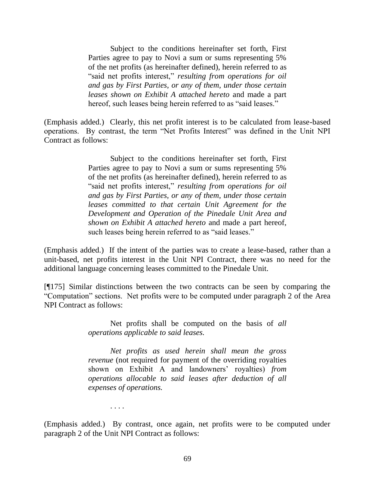Subject to the conditions hereinafter set forth, First Parties agree to pay to Novi a sum or sums representing 5% of the net profits (as hereinafter defined), herein referred to as "said net profits interest," *resulting from operations for oil and gas by First Parties, or any of them, under those certain leases shown on Exhibit A attached hereto* and made a part hereof, such leases being herein referred to as "said leases."

(Emphasis added.) Clearly, this net profit interest is to be calculated from lease-based operations. By contrast, the term "Net Profits Interest" was defined in the Unit NPI Contract as follows:

> Subject to the conditions hereinafter set forth, First Parties agree to pay to Novi a sum or sums representing 5% of the net profits (as hereinafter defined), herein referred to as "said net profits interest," *resulting from operations for oil and gas by First Parties, or any of them, under those certain leases committed to that certain Unit Agreement for the Development and Operation of the Pinedale Unit Area and shown on Exhibit A attached hereto* and made a part hereof, such leases being herein referred to as "said leases."

(Emphasis added.) If the intent of the parties was to create a lease-based, rather than a unit-based, net profits interest in the Unit NPI Contract, there was no need for the additional language concerning leases committed to the Pinedale Unit.

[¶175] Similar distinctions between the two contracts can be seen by comparing the ―Computation‖ sections. Net profits were to be computed under paragraph 2 of the Area NPI Contract as follows:

> Net profits shall be computed on the basis of *all operations applicable to said leases.*

> *Net profits as used herein shall mean the gross revenue* (not required for payment of the overriding royalties shown on Exhibit A and landowners' royalties) *from operations allocable to said leases after deduction of all expenses of operations.*

> > . . . .

(Emphasis added.) By contrast, once again, net profits were to be computed under paragraph 2 of the Unit NPI Contract as follows: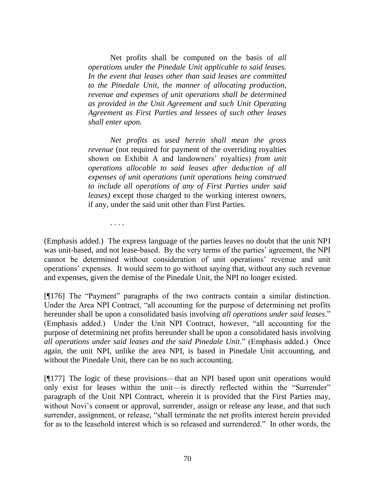Net profits shall be computed on the basis of *all operations under the Pinedale Unit applicable to said leases. In the event that leases other than said leases are committed to the Pinedale Unit, the manner of allocating production, revenue and expenses of unit operations shall be determined as provided in the Unit Agreement and such Unit Operating Agreement as First Parties and lessees of such other leases shall enter upon.*

*Net profits as used herein shall mean the gross revenue* (not required for payment of the overriding royalties shown on Exhibit A and landowners' royalties) *from unit operations allocable to said leases after deduction of all expenses of unit operations (unit operations being construed to include all operations of any of First Parties under said leases)* except those charged to the working interest owners, if any, under the said unit other than First Parties.

. . . .

(Emphasis added.) The express language of the parties leaves no doubt that the unit NPI was unit-based, and not lease-based. By the very terms of the parties' agreement, the NPI cannot be determined without consideration of unit operations' revenue and unit operations' expenses. It would seem to go without saying that, without any such revenue and expenses, given the demise of the Pinedale Unit, the NPI no longer existed.

[176] The "Payment" paragraphs of the two contracts contain a similar distinction. Under the Area NPI Contract, "all accounting for the purpose of determining net profits hereunder shall be upon a consolidated basis involving *all operations under said leases*." (Emphasis added.) Under the Unit NPI Contract, however, "all accounting for the purpose of determining net profits hereunder shall be upon a consolidated basis involving *all operations under said leases and the said Pinedale Unit*.‖ (Emphasis added.) Once again, the unit NPI, unlike the area NPI, is based in Pinedale Unit accounting, and without the Pinedale Unit, there can be no such accounting.

[¶177] The logic of these provisions—that an NPI based upon unit operations would only exist for leases within the unit—is directly reflected within the "Surrender" paragraph of the Unit NPI Contract, wherein it is provided that the First Parties may, without Novi's consent or approval, surrender, assign or release any lease, and that such surrender, assignment, or release, "shall terminate the net profits interest herein provided for as to the leasehold interest which is so released and surrendered." In other words, the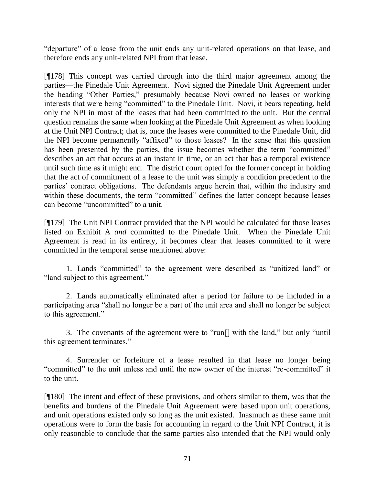"departure" of a lease from the unit ends any unit-related operations on that lease, and therefore ends any unit-related NPI from that lease.

[¶178] This concept was carried through into the third major agreement among the parties—the Pinedale Unit Agreement. Novi signed the Pinedale Unit Agreement under the heading "Other Parties," presumably because Novi owned no leases or working interests that were being "committed" to the Pinedale Unit. Novi, it bears repeating, held only the NPI in most of the leases that had been committed to the unit. But the central question remains the same when looking at the Pinedale Unit Agreement as when looking at the Unit NPI Contract; that is, once the leases were committed to the Pinedale Unit, did the NPI become permanently "affixed" to those leases? In the sense that this question has been presented by the parties, the issue becomes whether the term "committed" describes an act that occurs at an instant in time, or an act that has a temporal existence until such time as it might end. The district court opted for the former concept in holding that the act of commitment of a lease to the unit was simply a condition precedent to the parties' contract obligations. The defendants argue herein that, within the industry and within these documents, the term "committed" defines the latter concept because leases can become "uncommitted" to a unit.

[¶179] The Unit NPI Contract provided that the NPI would be calculated for those leases listed on Exhibit A *and* committed to the Pinedale Unit. When the Pinedale Unit Agreement is read in its entirety, it becomes clear that leases committed to it were committed in the temporal sense mentioned above:

1. Lands "committed" to the agreement were described as "unitized land" or "land subject to this agreement."

2. Lands automatically eliminated after a period for failure to be included in a participating area "shall no longer be a part of the unit area and shall no longer be subject to this agreement."

3. The covenants of the agreement were to "run<sup>[]</sup> with the land," but only "until" this agreement terminates."

4. Surrender or forfeiture of a lease resulted in that lease no longer being "committed" to the unit unless and until the new owner of the interest "re-committed" it to the unit.

[¶180] The intent and effect of these provisions, and others similar to them, was that the benefits and burdens of the Pinedale Unit Agreement were based upon unit operations, and unit operations existed only so long as the unit existed. Inasmuch as these same unit operations were to form the basis for accounting in regard to the Unit NPI Contract, it is only reasonable to conclude that the same parties also intended that the NPI would only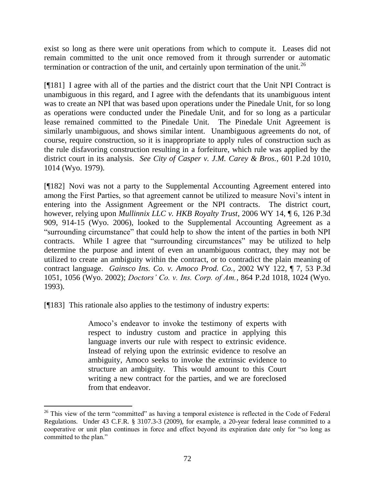exist so long as there were unit operations from which to compute it. Leases did not remain committed to the unit once removed from it through surrender or automatic termination or contraction of the unit, and certainly upon termination of the unit.<sup>26</sup>

[¶181] I agree with all of the parties and the district court that the Unit NPI Contract is unambiguous in this regard, and I agree with the defendants that its unambiguous intent was to create an NPI that was based upon operations under the Pinedale Unit, for so long as operations were conducted under the Pinedale Unit, and for so long as a particular lease remained committed to the Pinedale Unit. The Pinedale Unit Agreement is similarly unambiguous, and shows similar intent. Unambiguous agreements do not, of course, require construction, so it is inappropriate to apply rules of construction such as the rule disfavoring construction resulting in a forfeiture, which rule was applied by the district court in its analysis. *See City of Casper v. J.M. Carey & Bros.,* 601 P.2d 1010, 1014 (Wyo. 1979).

[¶182] Novi was not a party to the Supplemental Accounting Agreement entered into among the First Parties, so that agreement cannot be utilized to measure Novi's intent in entering into the Assignment Agreement or the NPI contracts. The district court, however, relying upon *Mullinnix LLC v. HKB Royalty Trust*, 2006 WY 14, ¶ 6, 126 P.3d 909, 914-15 (Wyo. 2006), looked to the Supplemental Accounting Agreement as a "surrounding circumstance" that could help to show the intent of the parties in both NPI contracts. While I agree that "surrounding circumstances" may be utilized to help determine the purpose and intent of even an unambiguous contract, they may not be utilized to create an ambiguity within the contract, or to contradict the plain meaning of contract language. *Gainsco Ins. Co. v. Amoco Prod. Co.*, 2002 WY 122, ¶ 7, 53 P.3d 1051, 1056 (Wyo. 2002); *Doctors' Co. v. Ins. Corp. of Am.*, 864 P.2d 1018, 1024 (Wyo. 1993).

[¶183] This rationale also applies to the testimony of industry experts:

 $\overline{a}$ 

Amoco's endeavor to invoke the testimony of experts with respect to industry custom and practice in applying this language inverts our rule with respect to extrinsic evidence. Instead of relying upon the extrinsic evidence to resolve an ambiguity, Amoco seeks to invoke the extrinsic evidence to structure an ambiguity. This would amount to this Court writing a new contract for the parties, and we are foreclosed from that endeavor.

 $26$  This view of the term "committed" as having a temporal existence is reflected in the Code of Federal Regulations. Under 43 C.F.R. § 3107.3-3 (2009), for example, a 20-year federal lease committed to a cooperative or unit plan continues in force and effect beyond its expiration date only for "so long as committed to the plan."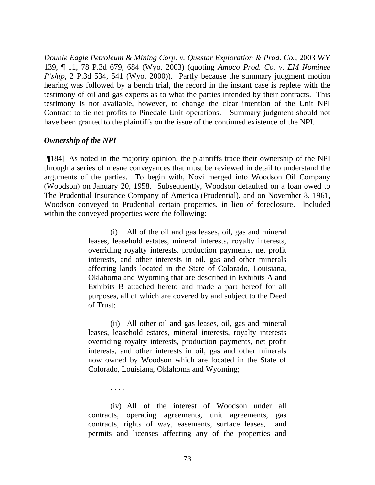*Double Eagle Petroleum & Mining Corp. v. Questar Exploration & Prod. Co.*, 2003 WY 139, ¶ 11, 78 P.3d 679, 684 (Wyo. 2003) (quoting *Amoco Prod. Co. v. EM Nominee P'ship*, 2 P.3d 534, 541 (Wyo. 2000)). Partly because the summary judgment motion hearing was followed by a bench trial, the record in the instant case is replete with the testimony of oil and gas experts as to what the parties intended by their contracts. This testimony is not available, however, to change the clear intention of the Unit NPI Contract to tie net profits to Pinedale Unit operations. Summary judgment should not have been granted to the plaintiffs on the issue of the continued existence of the NPI.

### *Ownership of the NPI*

[¶184] As noted in the majority opinion, the plaintiffs trace their ownership of the NPI through a series of mesne conveyances that must be reviewed in detail to understand the arguments of the parties. To begin with, Novi merged into Woodson Oil Company (Woodson) on January 20, 1958. Subsequently, Woodson defaulted on a loan owed to The Prudential Insurance Company of America (Prudential), and on November 8, 1961, Woodson conveyed to Prudential certain properties, in lieu of foreclosure. Included within the conveyed properties were the following:

> (i) All of the oil and gas leases, oil, gas and mineral leases, leasehold estates, mineral interests, royalty interests, overriding royalty interests, production payments, net profit interests, and other interests in oil, gas and other minerals affecting lands located in the State of Colorado, Louisiana, Oklahoma and Wyoming that are described in Exhibits A and Exhibits B attached hereto and made a part hereof for all purposes, all of which are covered by and subject to the Deed of Trust;

> (ii) All other oil and gas leases, oil, gas and mineral leases, leasehold estates, mineral interests, royalty interests overriding royalty interests, production payments, net profit interests, and other interests in oil, gas and other minerals now owned by Woodson which are located in the State of Colorado, Louisiana, Oklahoma and Wyoming;

> > . . . .

(iv) All of the interest of Woodson under all contracts, operating agreements, unit agreements, gas contracts, rights of way, easements, surface leases, and permits and licenses affecting any of the properties and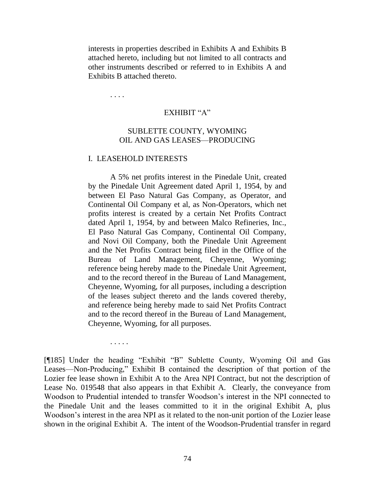interests in properties described in Exhibits A and Exhibits B attached hereto, including but not limited to all contracts and other instruments described or referred to in Exhibits A and Exhibits B attached thereto.

. . . .

. . . . .

## EXHIBIT "A"

## SUBLETTE COUNTY, WYOMING OIL AND GAS LEASES—PRODUCING

#### I. LEASEHOLD INTERESTS

A 5% net profits interest in the Pinedale Unit, created by the Pinedale Unit Agreement dated April 1, 1954, by and between El Paso Natural Gas Company, as Operator, and Continental Oil Company et al, as Non-Operators, which net profits interest is created by a certain Net Profits Contract dated April 1, 1954, by and between Malco Refineries, Inc., El Paso Natural Gas Company, Continental Oil Company, and Novi Oil Company, both the Pinedale Unit Agreement and the Net Profits Contract being filed in the Office of the Bureau of Land Management, Cheyenne, Wyoming; reference being hereby made to the Pinedale Unit Agreement, and to the record thereof in the Bureau of Land Management, Cheyenne, Wyoming, for all purposes, including a description of the leases subject thereto and the lands covered thereby, and reference being hereby made to said Net Profits Contract and to the record thereof in the Bureau of Land Management, Cheyenne, Wyoming, for all purposes.

[¶185] Under the heading "Exhibit "B" Sublette County, Wyoming Oil and Gas Leases—Non-Producing," Exhibit B contained the description of that portion of the Lozier fee lease shown in Exhibit A to the Area NPI Contract, but not the description of Lease No. 019548 that also appears in that Exhibit A. Clearly, the conveyance from Woodson to Prudential intended to transfer Woodson's interest in the NPI connected to the Pinedale Unit and the leases committed to it in the original Exhibit A, plus Woodson's interest in the area NPI as it related to the non-unit portion of the Lozier lease shown in the original Exhibit A. The intent of the Woodson-Prudential transfer in regard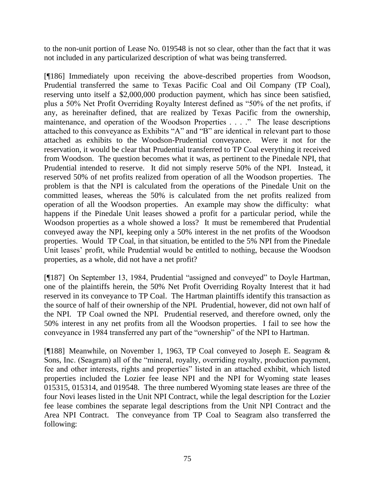to the non-unit portion of Lease No. 019548 is not so clear, other than the fact that it was not included in any particularized description of what was being transferred.

[¶186] Immediately upon receiving the above-described properties from Woodson, Prudential transferred the same to Texas Pacific Coal and Oil Company (TP Coal), reserving unto itself a \$2,000,000 production payment, which has since been satisfied, plus a 50% Net Profit Overriding Royalty Interest defined as "50% of the net profits, if any, as hereinafter defined, that are realized by Texas Pacific from the ownership, maintenance, and operation of the Woodson Properties . . . ." The lease descriptions attached to this conveyance as Exhibits "A" and "B" are identical in relevant part to those attached as exhibits to the Woodson-Prudential conveyance. Were it not for the reservation, it would be clear that Prudential transferred to TP Coal everything it received from Woodson. The question becomes what it was, as pertinent to the Pinedale NPI, that Prudential intended to reserve. It did not simply reserve 50% of the NPI. Instead, it reserved 50% of net profits realized from operation of all the Woodson properties. The problem is that the NPI is calculated from the operations of the Pinedale Unit on the committed leases, whereas the 50% is calculated from the net profits realized from operation of all the Woodson properties. An example may show the difficulty: what happens if the Pinedale Unit leases showed a profit for a particular period, while the Woodson properties as a whole showed a loss? It must be remembered that Prudential conveyed away the NPI, keeping only a 50% interest in the net profits of the Woodson properties. Would TP Coal, in that situation, be entitled to the 5% NPI from the Pinedale Unit leases' profit, while Prudential would be entitled to nothing, because the Woodson properties, as a whole, did not have a net profit?

[¶187] On September 13, 1984, Prudential "assigned and conveyed" to Doyle Hartman, one of the plaintiffs herein, the 50% Net Profit Overriding Royalty Interest that it had reserved in its conveyance to TP Coal. The Hartman plaintiffs identify this transaction as the source of half of their ownership of the NPI. Prudential, however, did not own half of the NPI. TP Coal owned the NPI. Prudential reserved, and therefore owned, only the 50% interest in any net profits from all the Woodson properties. I fail to see how the conveyance in 1984 transferred any part of the "ownership" of the NPI to Hartman.

[¶188] Meanwhile, on November 1, 1963, TP Coal conveyed to Joseph E. Seagram & Sons, Inc. (Seagram) all of the "mineral, royalty, overriding royalty, production payment, fee and other interests, rights and properties" listed in an attached exhibit, which listed properties included the Lozier fee lease NPI and the NPI for Wyoming state leases 015315, 015314, and 019548. The three numbered Wyoming state leases are three of the four Novi leases listed in the Unit NPI Contract, while the legal description for the Lozier fee lease combines the separate legal descriptions from the Unit NPI Contract and the Area NPI Contract. The conveyance from TP Coal to Seagram also transferred the following: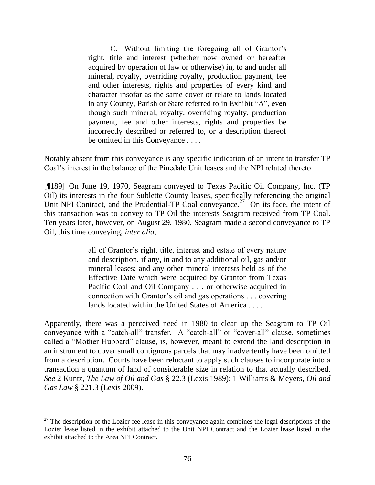C. Without limiting the foregoing all of Grantor's right, title and interest (whether now owned or hereafter acquired by operation of law or otherwise) in, to and under all mineral, royalty, overriding royalty, production payment, fee and other interests, rights and properties of every kind and character insofar as the same cover or relate to lands located in any County, Parish or State referred to in Exhibit "A", even though such mineral, royalty, overriding royalty, production payment, fee and other interests, rights and properties be incorrectly described or referred to, or a description thereof be omitted in this Conveyance . . . .

Notably absent from this conveyance is any specific indication of an intent to transfer TP Coal's interest in the balance of the Pinedale Unit leases and the NPI related thereto.

[¶189] On June 19, 1970, Seagram conveyed to Texas Pacific Oil Company, Inc. (TP Oil) its interests in the four Sublette County leases, specifically referencing the original Unit NPI Contract, and the Prudential-TP Coal conveyance.<sup>27</sup> On its face, the intent of this transaction was to convey to TP Oil the interests Seagram received from TP Coal. Ten years later, however, on August 29, 1980, Seagram made a second conveyance to TP Oil, this time conveying, *inter alia*,

> all of Grantor's right, title, interest and estate of every nature and description, if any, in and to any additional oil, gas and/or mineral leases; and any other mineral interests held as of the Effective Date which were acquired by Grantor from Texas Pacific Coal and Oil Company . . . or otherwise acquired in connection with Grantor's oil and gas operations . . . covering lands located within the United States of America . . . .

Apparently, there was a perceived need in 1980 to clear up the Seagram to TP Oil conveyance with a "catch-all" transfer. A "catch-all" or "cover-all" clause, sometimes called a "Mother Hubbard" clause, is, however, meant to extend the land description in an instrument to cover small contiguous parcels that may inadvertently have been omitted from a description. Courts have been reluctant to apply such clauses to incorporate into a transaction a quantum of land of considerable size in relation to that actually described. *See* 2 Kuntz, *The Law of Oil and Gas* § 22.3 (Lexis 1989); 1 Williams & Meyers, *Oil and Gas Law* § 221.3 (Lexis 2009).

 $\overline{a}$ 

 $27$  The description of the Lozier fee lease in this conveyance again combines the legal descriptions of the Lozier lease listed in the exhibit attached to the Unit NPI Contract and the Lozier lease listed in the exhibit attached to the Area NPI Contract.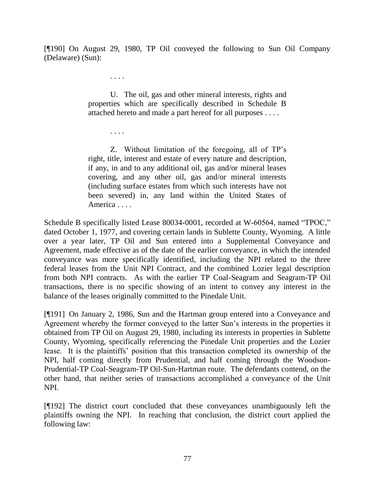[¶190] On August 29, 1980, TP Oil conveyed the following to Sun Oil Company (Delaware) (Sun):

. . . .

. . . .

U. The oil, gas and other mineral interests, rights and properties which are specifically described in Schedule B attached hereto and made a part hereof for all purposes . . . .

Z. Without limitation of the foregoing, all of TP's right, title, interest and estate of every nature and description, if any, in and to any additional oil, gas and/or mineral leases covering, and any other oil, gas and/or mineral interests (including surface estates from which such interests have not been severed) in, any land within the United States of America . . . .

Schedule B specifically listed Lease 80034-0001, recorded at W-60564, named "TPOC," dated October 1, 1977, and covering certain lands in Sublette County, Wyoming. A little over a year later, TP Oil and Sun entered into a Supplemental Conveyance and Agreement, made effective as of the date of the earlier conveyance, in which the intended conveyance was more specifically identified, including the NPI related to the three federal leases from the Unit NPI Contract, and the combined Lozier legal description from both NPI contracts. As with the earlier TP Coal-Seagram and Seagram-TP Oil transactions, there is no specific showing of an intent to convey any interest in the balance of the leases originally committed to the Pinedale Unit.

[¶191] On January 2, 1986, Sun and the Hartman group entered into a Conveyance and Agreement whereby the former conveyed to the latter Sun's interests in the properties it obtained from TP Oil on August 29, 1980, including its interests in properties in Sublette County, Wyoming, specifically referencing the Pinedale Unit properties and the Lozier lease. It is the plaintiffs' position that this transaction completed its ownership of the NPI, half coming directly from Prudential, and half coming through the Woodson-Prudential-TP Coal-Seagram-TP Oil-Sun-Hartman route. The defendants contend, on the other hand, that neither series of transactions accomplished a conveyance of the Unit NPI.

[¶192] The district court concluded that these conveyances unambiguously left the plaintiffs owning the NPI. In reaching that conclusion, the district court applied the following law: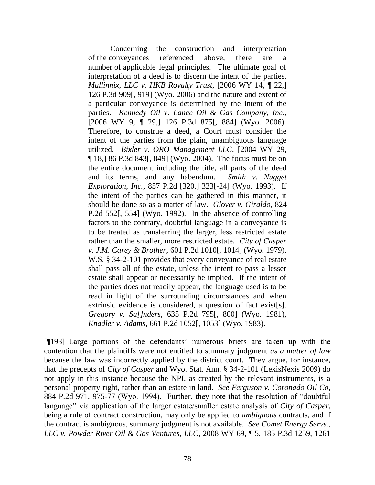Concerning the construction and interpretation of the conveyances referenced above, there are a number of applicable legal principles. The ultimate goal of interpretation of a deed is to discern the intent of the parties. *Mullinnix, LLC v. HKB Royalty Trust*, [2006 WY 14, ¶ 22,] 126 P.3d 909[, 919] (Wyo. 2006) and the nature and extent of a particular conveyance is determined by the intent of the parties. *Kennedy Oil v. Lance Oil & Gas Company, Inc.*, [2006 WY 9, ¶ 29,] 126 P.3d 875[, 884] (Wyo. 2006). Therefore, to construe a deed, a Court must consider the intent of the parties from the plain, unambiguous language utilized. *Bixler v. ORO Management LLC*, [2004 WY 29, ¶ 18,] 86 P.3d 843[, 849] (Wyo. 2004). The focus must be on the entire document including the title, all parts of the deed and its terms, and any habendum. *Smith v. Nugget Exploration, Inc.*, 857 P.2d [320,] 323[-24] (Wyo. 1993). If the intent of the parties can be gathered in this manner, it should be done so as a matter of law. *Glover v. Giraldo*, 824 P.2d 552[, 554] (Wyo. 1992). In the absence of controlling factors to the contrary, doubtful language in a conveyance is to be treated as transferring the larger, less restricted estate rather than the smaller, more restricted estate. *City of Casper v. J.M. Carey & Brother*, 601 P.2d 1010[, 1014] (Wyo. 1979). W.S. § 34-2-101 provides that every conveyance of real estate shall pass all of the estate, unless the intent to pass a lesser estate shall appear or necessarily be implied. If the intent of the parties does not readily appear, the language used is to be read in light of the surrounding circumstances and when extrinsic evidence is considered, a question of fact exist[s]. *Gregory v. Sa[]nders*, 635 P.2d 795[, 800] (Wyo. 1981), *Knadler v. Adams*, 661 P.2d 1052[, 1053] (Wyo. 1983).

[¶193] Large portions of the defendants' numerous briefs are taken up with the contention that the plaintiffs were not entitled to summary judgment *as a matter of law* because the law was incorrectly applied by the district court. They argue, for instance, that the precepts of *City of Casper* and Wyo. Stat. Ann. § 34-2-101 (LexisNexis 2009) do not apply in this instance because the NPI, as created by the relevant instruments, is a personal property right, rather than an estate in land. *See Ferguson v. Coronado Oil Co*, 884 P.2d 971, 975-77 (Wyo. 1994). Further, they note that the resolution of "doubtful" language" via application of the larger estate/smaller estate analysis of *City of Casper*, being a rule of contract construction, may only be applied to *ambiguous* contracts, and if the contract is ambiguous, summary judgment is not available. *See Comet Energy Servs., LLC v. Powder River Oil & Gas Ventures, LLC*, 2008 WY 69, ¶ 5, 185 P.3d 1259, 1261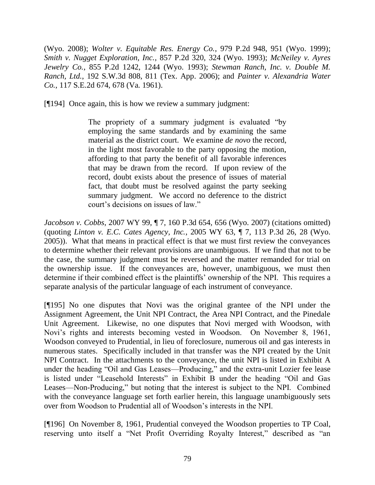(Wyo. 2008); *Wolter v. Equitable Res. Energy Co.*, 979 P.2d 948, 951 (Wyo. 1999); *Smith v. Nugget Exploration, Inc.*, 857 P.2d 320, 324 (Wyo. 1993); *McNeiley v. Ayres Jewelry Co.*, 855 P.2d 1242, 1244 (Wyo. 1993); *Stewman Ranch, Inc. v. Double M. Ranch, Ltd.*, 192 S.W.3d 808, 811 (Tex. App. 2006); and *Painter v. Alexandria Water Co.*, 117 S.E.2d 674, 678 (Va. 1961).

[¶194] Once again, this is how we review a summary judgment:

The propriety of a summary judgment is evaluated "by employing the same standards and by examining the same material as the district court. We examine *de novo* the record, in the light most favorable to the party opposing the motion, affording to that party the benefit of all favorable inferences that may be drawn from the record. If upon review of the record, doubt exists about the presence of issues of material fact, that doubt must be resolved against the party seeking summary judgment. We accord no deference to the district court's decisions on issues of law."

*Jacobson v. Cobbs*, 2007 WY 99, ¶ 7, 160 P.3d 654, 656 (Wyo. 2007) (citations omitted) (quoting *Linton v. E.C. Cates Agency, Inc.*, 2005 WY 63, ¶ 7, 113 P.3d 26, 28 (Wyo. 2005)). What that means in practical effect is that we must first review the conveyances to determine whether their relevant provisions are unambiguous. If we find that not to be the case, the summary judgment must be reversed and the matter remanded for trial on the ownership issue. If the conveyances are, however, unambiguous, we must then determine if their combined effect is the plaintiffs' ownership of the NPI. This requires a separate analysis of the particular language of each instrument of conveyance.

[¶195] No one disputes that Novi was the original grantee of the NPI under the Assignment Agreement, the Unit NPI Contract, the Area NPI Contract, and the Pinedale Unit Agreement. Likewise, no one disputes that Novi merged with Woodson, with Novi's rights and interests becoming vested in Woodson. On November 8, 1961, Woodson conveyed to Prudential, in lieu of foreclosure, numerous oil and gas interests in numerous states. Specifically included in that transfer was the NPI created by the Unit NPI Contract. In the attachments to the conveyance, the unit NPI is listed in Exhibit A under the heading "Oil and Gas Leases—Producing," and the extra-unit Lozier fee lease is listed under "Leasehold Interests" in Exhibit B under the heading "Oil and Gas Leases—Non-Producing," but noting that the interest is subject to the NPI. Combined with the conveyance language set forth earlier herein, this language unambiguously sets over from Woodson to Prudential all of Woodson's interests in the NPI.

[¶196] On November 8, 1961, Prudential conveyed the Woodson properties to TP Coal, reserving unto itself a "Net Profit Overriding Royalty Interest," described as "an